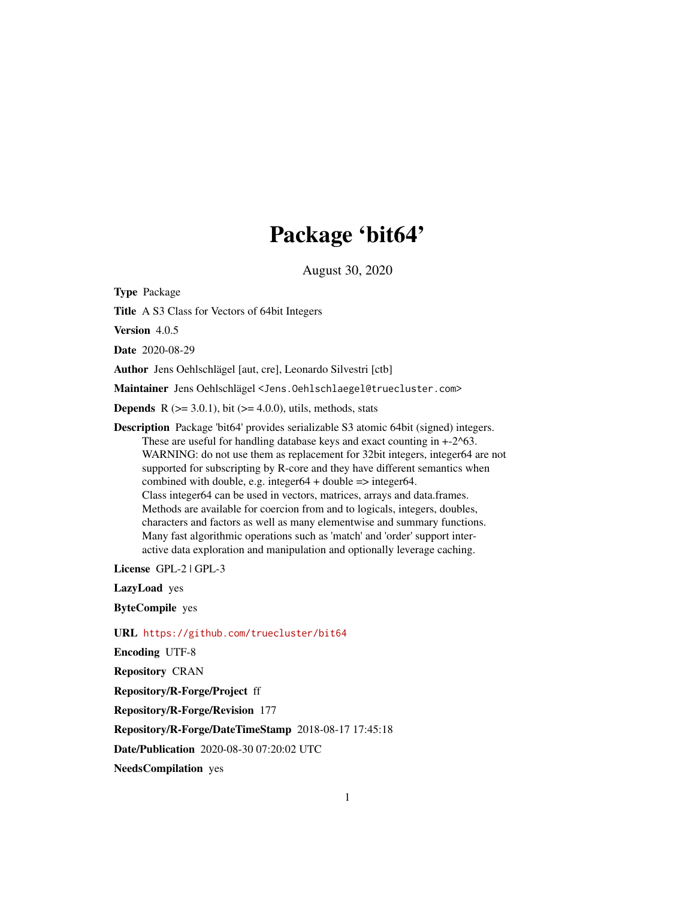# Package 'bit64'

August 30, 2020

<span id="page-0-0"></span>Type Package

Title A S3 Class for Vectors of 64bit Integers

Version 4.0.5

Date 2020-08-29

Author Jens Oehlschlägel [aut, cre], Leonardo Silvestri [ctb]

Maintainer Jens Oehlschlägel <Jens.Oehlschlaegel@truecluster.com>

**Depends** R  $(>= 3.0.1)$ , bit  $(>= 4.0.0)$ , utils, methods, stats

Description Package 'bit64' provides serializable S3 atomic 64bit (signed) integers. These are useful for handling database keys and exact counting in  $+2^6$ 63. WARNING: do not use them as replacement for 32bit integers, integer64 are not supported for subscripting by R-core and they have different semantics when combined with double, e.g. integer64 + double  $\Rightarrow$  integer64. Class integer64 can be used in vectors, matrices, arrays and data.frames. Methods are available for coercion from and to logicals, integers, doubles, characters and factors as well as many elementwise and summary functions. Many fast algorithmic operations such as 'match' and 'order' support interactive data exploration and manipulation and optionally leverage caching.

License GPL-2 | GPL-3

LazyLoad yes

ByteCompile yes

URL <https://github.com/truecluster/bit64>

Encoding UTF-8

Repository CRAN

Repository/R-Forge/Project ff

Repository/R-Forge/Revision 177

Repository/R-Forge/DateTimeStamp 2018-08-17 17:45:18

Date/Publication 2020-08-30 07:20:02 UTC

NeedsCompilation yes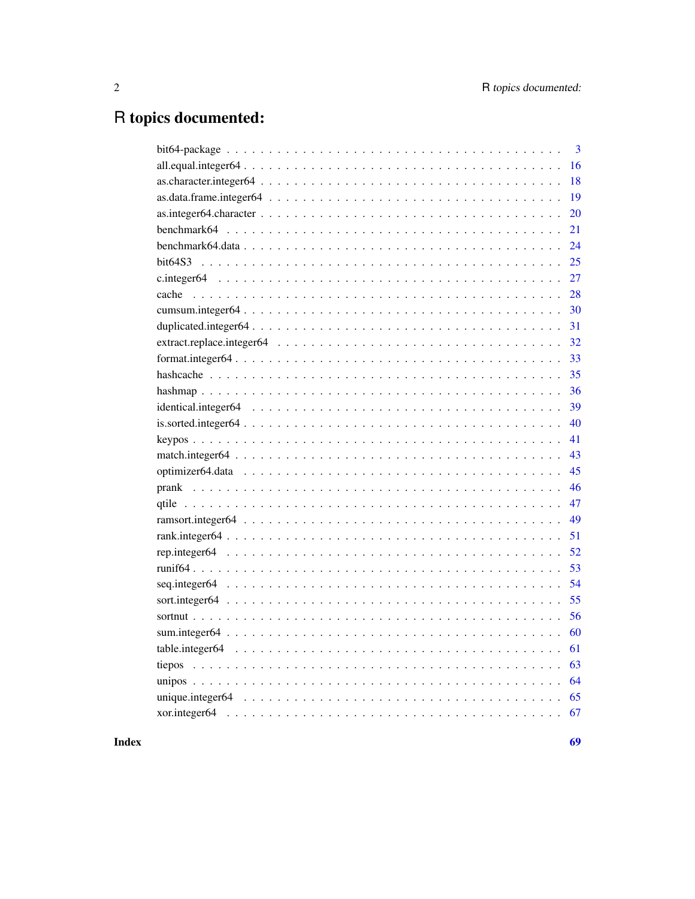# R topics documented:

|                             | $\overline{3}$ |
|-----------------------------|----------------|
|                             | 16             |
| $as. character. integer 64$ | 18             |
|                             | 19             |
|                             | 20             |
|                             | 21             |
|                             | 24             |
|                             | 25             |
|                             | 27             |
|                             | 28             |
|                             | 30             |
|                             | 31             |
|                             | 32             |
|                             | 33             |
|                             | 35             |
|                             | 36             |
|                             | 39             |
|                             | 40             |
|                             | 41             |
| 43                          |                |
|                             |                |
|                             |                |
|                             | 47             |
|                             | 49             |
|                             | 51             |
|                             | 52             |
|                             | 53             |
|                             | 54             |
|                             | 55             |
|                             | 56             |
|                             | 60             |
|                             | 61             |
|                             | 63             |
|                             | 64             |
|                             | 65             |
|                             |                |
|                             |                |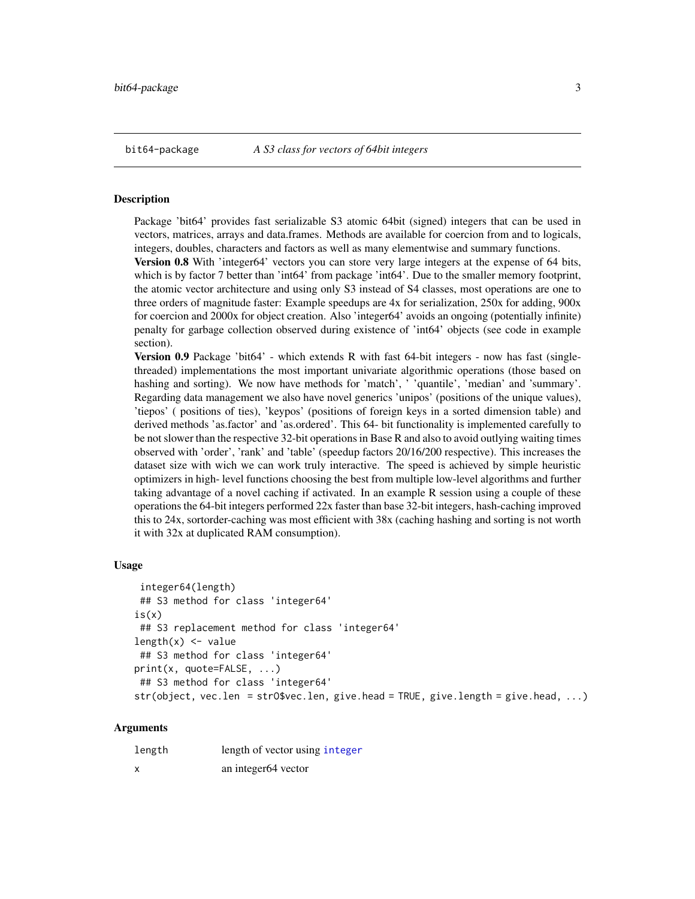# <span id="page-2-1"></span><span id="page-2-0"></span>**Description**

Package 'bit64' provides fast serializable S3 atomic 64bit (signed) integers that can be used in vectors, matrices, arrays and data.frames. Methods are available for coercion from and to logicals, integers, doubles, characters and factors as well as many elementwise and summary functions.

Version 0.8 With 'integer64' vectors you can store very large integers at the expense of 64 bits, which is by factor 7 better than 'int64' from package 'int64'. Due to the smaller memory footprint, the atomic vector architecture and using only S3 instead of S4 classes, most operations are one to three orders of magnitude faster: Example speedups are 4x for serialization, 250x for adding, 900x for coercion and 2000x for object creation. Also 'integer64' avoids an ongoing (potentially infinite) penalty for garbage collection observed during existence of 'int64' objects (see code in example section).

Version 0.9 Package 'bit64' - which extends R with fast 64-bit integers - now has fast (singlethreaded) implementations the most important univariate algorithmic operations (those based on hashing and sorting). We now have methods for 'match', ' 'quantile', 'median' and 'summary'. Regarding data management we also have novel generics 'unipos' (positions of the unique values), 'tiepos' ( positions of ties), 'keypos' (positions of foreign keys in a sorted dimension table) and derived methods 'as.factor' and 'as.ordered'. This 64- bit functionality is implemented carefully to be not slower than the respective 32-bit operations in Base R and also to avoid outlying waiting times observed with 'order', 'rank' and 'table' (speedup factors 20/16/200 respective). This increases the dataset size with wich we can work truly interactive. The speed is achieved by simple heuristic optimizers in high- level functions choosing the best from multiple low-level algorithms and further taking advantage of a novel caching if activated. In an example R session using a couple of these operations the 64-bit integers performed 22x faster than base 32-bit integers, hash-caching improved this to 24x, sortorder-caching was most efficient with 38x (caching hashing and sorting is not worth it with 32x at duplicated RAM consumption).

# Usage

```
integer64(length)
## S3 method for class 'integer64'
is(x)## S3 replacement method for class 'integer64'
length(x) <- value
## S3 method for class 'integer64'
print(x, quote=FALSE, ...)
## S3 method for class 'integer64'
str(object, vec.len = strO$vec.len, give.head = TRUE, give.length = give.head, ...)
```
#### Arguments

| length                    | length of vector using integer  |
|---------------------------|---------------------------------|
| $\boldsymbol{\mathsf{x}}$ | an integer <sub>64</sub> vector |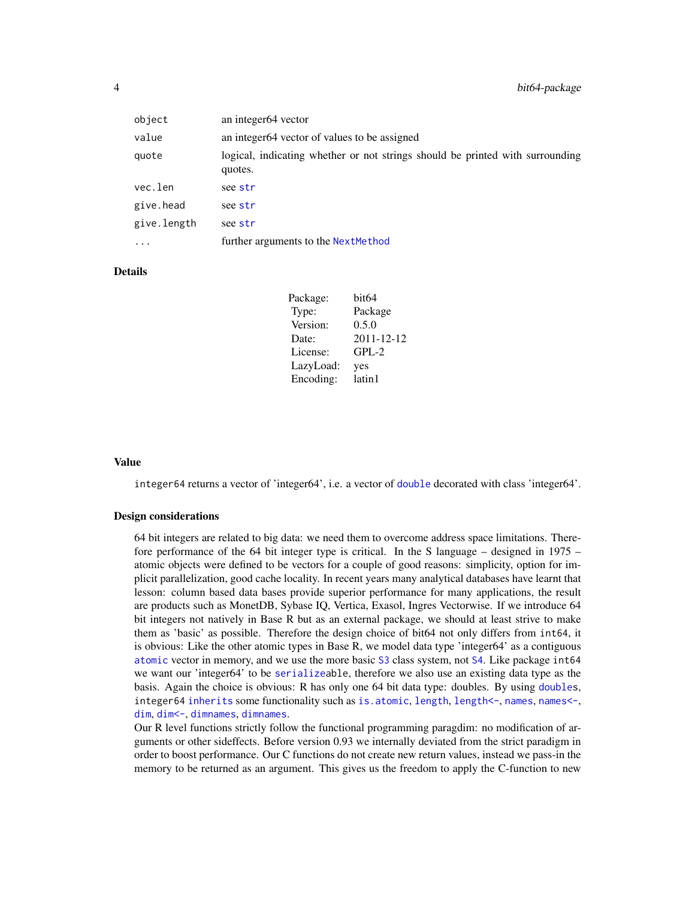| object      | an integer <sub>64</sub> vector                                                          |
|-------------|------------------------------------------------------------------------------------------|
| value       | an integer64 vector of values to be assigned                                             |
| quote       | logical, indicating whether or not strings should be printed with surrounding<br>quotes. |
| vec.len     | see str                                                                                  |
| give.head   | see str                                                                                  |
| give.length | see str                                                                                  |
| $\ddotsc$   | further arguments to the NextMethod                                                      |

# **Details**

| Package:  | bit64      |
|-----------|------------|
| Type:     | Package    |
| Version:  | 0.5.0      |
| Date:     | 2011-12-12 |
| License:  | $GPL-2$    |
| LazyLoad: | yes        |
| Encoding: | latin1     |

#### Value

integer64 returns a vector of 'integer64', i.e. a vector of [double](#page-0-0) decorated with class 'integer64'.

#### Design considerations

64 bit integers are related to big data: we need them to overcome address space limitations. Therefore performance of the 64 bit integer type is critical. In the S language – designed in 1975 – atomic objects were defined to be vectors for a couple of good reasons: simplicity, option for implicit parallelization, good cache locality. In recent years many analytical databases have learnt that lesson: column based data bases provide superior performance for many applications, the result are products such as MonetDB, Sybase IQ, Vertica, Exasol, Ingres Vectorwise. If we introduce 64 bit integers not natively in Base R but as an external package, we should at least strive to make them as 'basic' as possible. Therefore the design choice of bit64 not only differs from int64, it is obvious: Like the other atomic types in Base R, we model data type 'integer64' as a contiguous [atomic](#page-0-0) vector in memory, and we use the more basic [S3](#page-0-0) class system, not [S4](#page-0-0). Like package int64 we want our 'integer64' to be [serializea](#page-0-0)ble, therefore we also use an existing data type as the basis. Again the choice is obvious: R has only one 64 bit data type: doubles. By using [doubles](#page-0-0), integer64 [inherits](#page-0-0) some functionality such as [is.atomic](#page-0-0), [length](#page-0-0), [length<-](#page-0-0), [names](#page-0-0), [names<-](#page-0-0), [dim](#page-0-0), [dim<-](#page-0-0), [dimnames](#page-0-0), [dimnames](#page-0-0).

Our R level functions strictly follow the functional programming paragdim: no modification of arguments or other sideffects. Before version 0.93 we internally deviated from the strict paradigm in order to boost performance. Our C functions do not create new return values, instead we pass-in the memory to be returned as an argument. This gives us the freedom to apply the C-function to new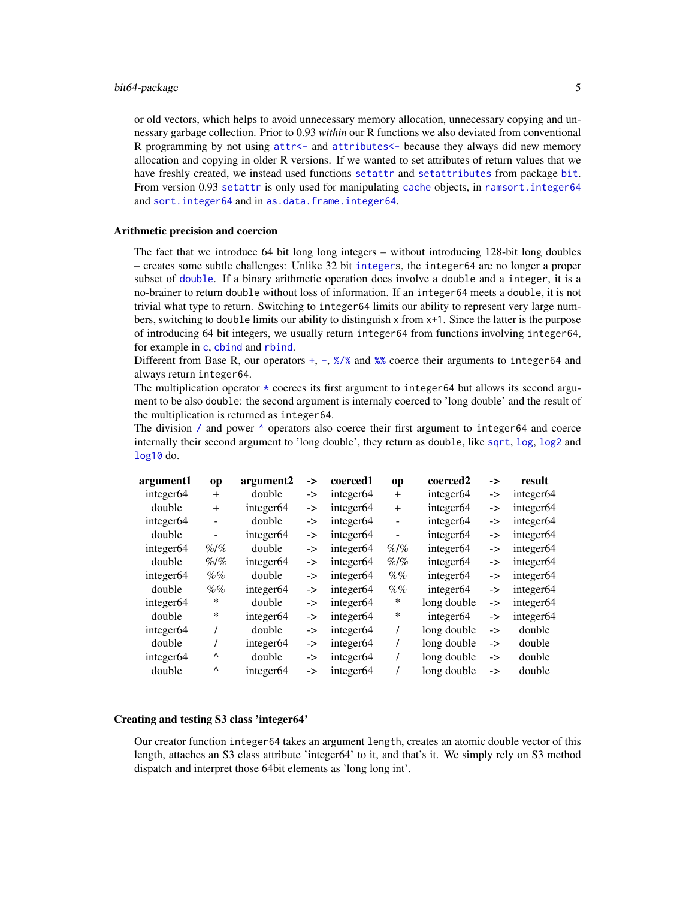or old vectors, which helps to avoid unnecessary memory allocation, unnecessary copying and unnessary garbage collection. Prior to 0.93 *within* our R functions we also deviated from conventional R programming by not using [attr<-](#page-0-0) and [attributes<-](#page-0-0) because they always did new memory allocation and copying in older R versions. If we wanted to set attributes of return values that we have freshly created, we instead used functions [setattr](#page-0-0) and [setattributes](#page-0-0) from package [bit](#page-0-0). From version 0.93 [setattr](#page-0-0) is only used for manipulating [cache](#page-27-1) objects, in [ramsort.integer64](#page-48-1) and sort. integer64 and in [as.data.frame.integer64](#page-18-1).

# Arithmetic precision and coercion

The fact that we introduce 64 bit long long integers – without introducing 128-bit long doubles – creates some subtle challenges: Unlike 32 bit [integers](#page-0-0), the integer64 are no longer a proper subset of [double](#page-0-0). If a binary arithmetic operation does involve a double and a integer, it is a no-brainer to return double without loss of information. If an integer64 meets a double, it is not trivial what type to return. Switching to integer64 limits our ability to represent very large numbers, switching to double limits our ability to distinguish x from x+1. Since the latter is the purpose of introducing 64 bit integers, we usually return integer64 from functions involving integer64, for example in [c](#page-26-1), [cbind](#page-26-2) and [rbind](#page-26-2).

Different from Base R, our operators [+](#page-66-1), [-](#page-66-1), [%/%](#page-66-1) and [%%](#page-66-1) coerce their arguments to integer64 and always return integer64.

The multiplication operator  $*$  coerces its first argument to integer64 but allows its second argument to be also double: the second argument is internaly coerced to 'long double' and the result of the multiplication is returned as integer64.

The division [/](#page-66-1) and power  $\land$  operators also coerce their first argument to integer64 and coerce internally their second argument to 'long double', they return as double, like [sqrt](#page-32-1), [log](#page-32-1), [log2](#page-32-1) and [log10](#page-32-1) do.

| argument1             | op       | argument2             | -> | coerced1              | op             | coerced2              | -> | result                |
|-----------------------|----------|-----------------------|----|-----------------------|----------------|-----------------------|----|-----------------------|
| integer <sub>64</sub> | $+$      | double                | -> | integer <sub>64</sub> | $+$            | integer <sub>64</sub> | -> | integer <sub>64</sub> |
| double                | $+$      | integer <sub>64</sub> | -> | integer <sub>64</sub> | $+$            | integer <sub>64</sub> | -> | integer <sub>64</sub> |
| integer <sub>64</sub> |          | double                | -> | integer <sub>64</sub> | -              | integer <sub>64</sub> | -> | integer <sub>64</sub> |
| double                | -        | integer <sub>64</sub> | -> | integer <sub>64</sub> | $\overline{a}$ | integer <sub>64</sub> | -> | integer <sub>64</sub> |
| integer <sub>64</sub> | $\%$ /%  | double                | -> | integer <sub>64</sub> | $\%$ /%        | integer <sub>64</sub> | -> | integer <sub>64</sub> |
| double                | $\%$ /%  | integer <sub>64</sub> | -> | integer <sub>64</sub> | $\%$ /%        | integer <sub>64</sub> | -> | integer <sub>64</sub> |
| integer <sub>64</sub> | $\%$ %   | double                | -> | integer <sub>64</sub> | $\%$ %         | integer <sub>64</sub> | -> | integer <sub>64</sub> |
| double                | $\%$ %   | integer <sub>64</sub> | -> | integer <sub>64</sub> | $\%$ %         | integer <sub>64</sub> | -> | integer <sub>64</sub> |
| integer <sub>64</sub> | *        | double                | -> | integer <sub>64</sub> | ∗              | long double           | -> | integer <sub>64</sub> |
| double                | *        | integer <sub>64</sub> | -> | integer <sub>64</sub> | $\ast$         | integer <sub>64</sub> | -> | integer <sub>64</sub> |
| integer <sub>64</sub> |          | double                | -> | integer <sub>64</sub> | 7              | long double           | -> | double                |
| double                |          | integer <sub>64</sub> | -> | integer <sub>64</sub> |                | long double           | -> | double                |
| integer <sub>64</sub> | Λ        | double                | -> | integer <sub>64</sub> |                | long double           | -> | double                |
| double                | $\wedge$ | integer <sub>64</sub> | -> | integer <sub>64</sub> |                | long double           | -> | double                |

#### Creating and testing S3 class 'integer64'

Our creator function integer64 takes an argument length, creates an atomic double vector of this length, attaches an S3 class attribute 'integer64' to it, and that's it. We simply rely on S3 method dispatch and interpret those 64bit elements as 'long long int'.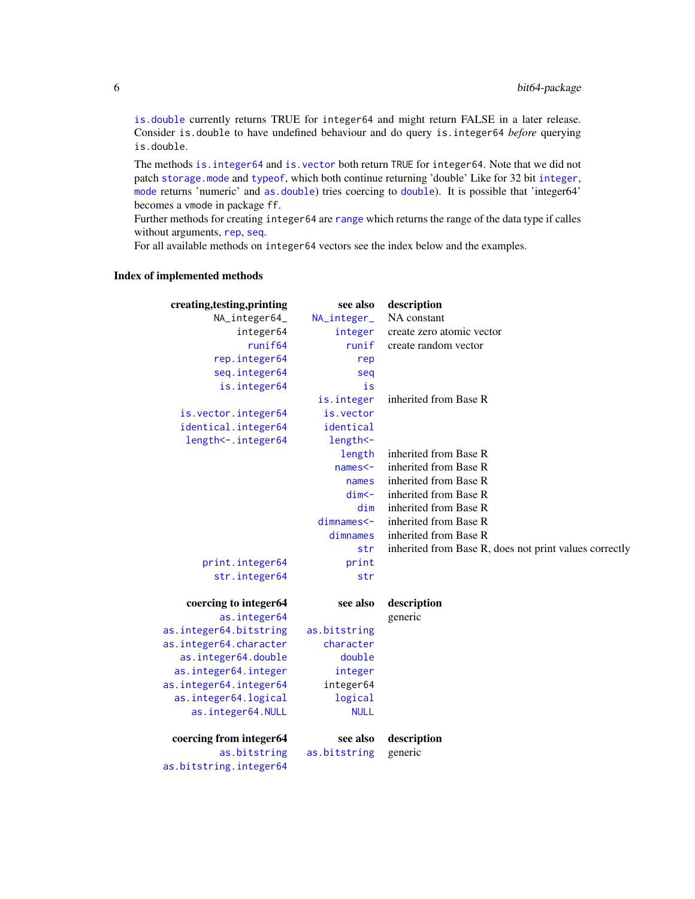[is.double](#page-24-1) currently returns TRUE for integer64 and might return FALSE in a later release. Consider is.double to have undefined behaviour and do query is.integer64 *before* querying is.double.

The methods is. integer64 and is. vector both return TRUE for integer64. Note that we did not patch [storage.mode](#page-0-0) and [typeof](#page-0-0), which both continue returning 'double' Like for 32 bit [integer](#page-0-0), [mode](#page-0-0) returns 'numeric' and [as.double](#page-0-0)) tries coercing to [double](#page-0-0)). It is possible that 'integer64' becomes a vmode in package ff.

Further methods for creating integer64 are [range](#page-59-1) which returns the range of the data type if calles without arguments, [rep](#page-51-1), [seq](#page-53-1).

For all available methods on integer64 vectors see the index below and the examples.

# Index of implemented methods

| creating, testing, printing | see also     | description                                            |
|-----------------------------|--------------|--------------------------------------------------------|
| NA_integer64_               | NA_integer_  | NA constant                                            |
| integer64                   | integer      | create zero atomic vector                              |
| runif64                     | runif        | create random vector                                   |
| rep.integer64               | rep          |                                                        |
| seq.integer64               | seq          |                                                        |
| is.integer64                | is           |                                                        |
|                             | is.integer   | inherited from Base R                                  |
| is.vector.integer64         | is.vector    |                                                        |
| identical.integer64         | identical    |                                                        |
| length <-. integer64        | length <-    |                                                        |
|                             | length       | inherited from Base R                                  |
|                             | $names < -$  | inherited from Base R                                  |
|                             | names        | inherited from Base R                                  |
|                             | $dim < -$    | inherited from Base R                                  |
|                             | dim          | inherited from Base R                                  |
|                             | dimnames<-   | inherited from Base R                                  |
|                             | dimnames     | inherited from Base R                                  |
|                             | str          | inherited from Base R, does not print values correctly |
| print.integer64             | print        |                                                        |
| str.integer64               | str          |                                                        |
|                             |              |                                                        |
| coercing to integer64       | see also     | description                                            |
| as.integer64                |              | generic                                                |
| as.integer64.bitstring      | as.bitstring |                                                        |
| as.integer64.character      | character    |                                                        |
| as.integer64.double         | double       |                                                        |
| as.integer64.integer        | integer      |                                                        |
| as.integer64.integer64      | integer64    |                                                        |
| as.integer64.logical        | logical      |                                                        |
| as.integer64.NULL           | <b>NULL</b>  |                                                        |
| coercing from integer64     | see also     | description                                            |
| as.bitstring                | as.bitstring | generic                                                |
| as.bitstring.integer64      |              |                                                        |
|                             |              |                                                        |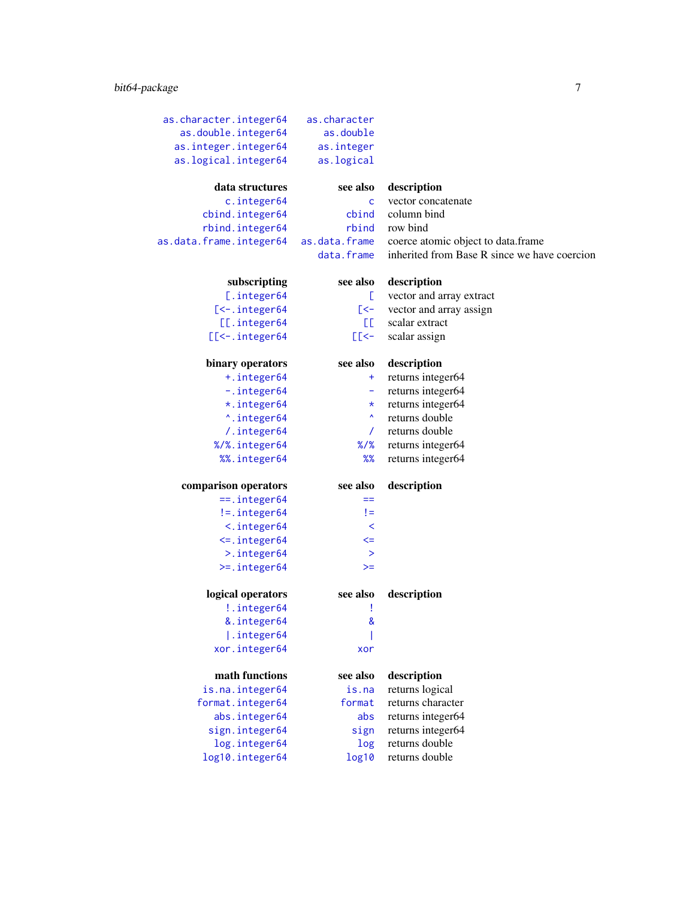# bit64-package 7

| as.character.integer64   | as.character     |                                              |
|--------------------------|------------------|----------------------------------------------|
| as.double.integer64      | as.double        |                                              |
| as.integer.integer64     | as.integer       |                                              |
| as.logical.integer64     | as.logical       |                                              |
|                          |                  |                                              |
| data structures          | see also         | description                                  |
| c.integer64              | C                | vector concatenate                           |
| cbind.integer64          | cbind            | column bind                                  |
| rbind.integer64          | rbind            | row bind                                     |
| as.data.frame.integer64  | as.data.frame    | coerce atomic object to data.frame           |
|                          | data.frame       | inherited from Base R since we have coercion |
| subscripting             | see also         | description                                  |
| [.integer64              | E.               | vector and array extract                     |
| [<-. integer64           | [<-              | vector and array assign                      |
| [[.integer64             | EE.              | scalar extract                               |
| $[$ [ $<$ - . integer 64 | E<               | scalar assign                                |
|                          |                  |                                              |
| binary operators         | see also         | description                                  |
| +.integer64              | ÷                | returns integer64                            |
| -.integer64              | ۰                | returns integer64                            |
| *.integer64              | $\star$          | returns integer64                            |
| ^.integer64              | $\blacktriangle$ | returns double                               |
| /.integer64              | $\prime$         | returns double                               |
| %/%.integer64            | $%$ /%           | returns integer64                            |
| %%.integer64             | %                | returns integer64                            |
| comparison operators     | see also         | description                                  |
| $==.$ integer $64$       | $==$             |                                              |
| $!= .$ integer $64$      | $!=$             |                                              |
| $\langle$ . integer $64$ | $\prec$          |                                              |
| $\le$ integer64          | $\leq$           |                                              |
| >.integer64              | $\geq$           |                                              |
| $>= .$ integer64         | $>=$             |                                              |
|                          |                  |                                              |
| logical operators        | see also         | description                                  |
| !.integer64              | I                |                                              |
| &.integer64              | $\pmb{8}$        |                                              |
| .integer64               |                  |                                              |
| xor.integer64            | xor              |                                              |
| math functions           | see also         | description                                  |
| is.na.integer64          | is.na            | returns logical                              |
| format.integer64         | format           | returns character                            |
| abs.integer64            | abs              | returns integer64                            |
| sign.integer64           | sign             | returns integer64                            |
| log.integer64            | log              | returns double                               |
| log10.integer64          | log10            | returns double                               |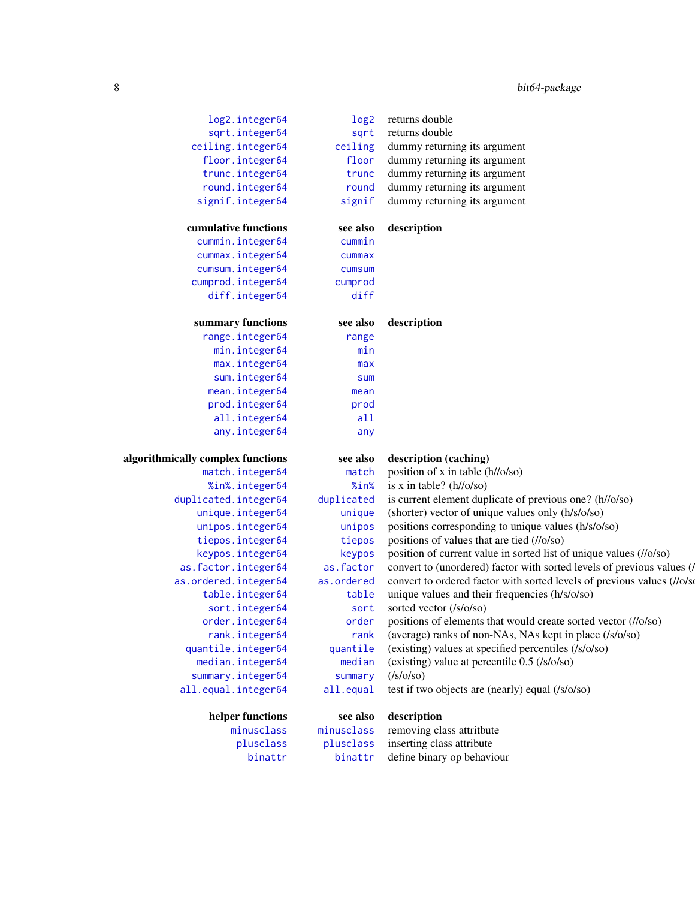| log2.integer64                    | log <sub>2</sub>       | returns double                                                           |
|-----------------------------------|------------------------|--------------------------------------------------------------------------|
| sqrt.integer64                    | sqrt                   | returns double                                                           |
| ceiling.integer64                 | ceiling                | dummy returning its argument                                             |
| floor.integer64                   | floor                  | dummy returning its argument                                             |
| trunc.integer64                   | trunc                  | dummy returning its argument                                             |
| round.integer64                   | round                  | dummy returning its argument                                             |
| signif.integer64                  | signif                 | dummy returning its argument                                             |
|                                   |                        |                                                                          |
| cumulative functions              | see also               | description                                                              |
| cummin.integer64                  | cummin                 |                                                                          |
| cummax.integer64                  | cummax                 |                                                                          |
| cumsum.integer64                  | cumsum                 |                                                                          |
| cumprod.integer64                 | cumprod                |                                                                          |
| diff.integer64                    | diff                   |                                                                          |
| summary functions                 | see also               | description                                                              |
| range.integer64                   | range                  |                                                                          |
| min.integer64                     | min                    |                                                                          |
| max.integer64                     | max                    |                                                                          |
| sum.integer64                     | sum                    |                                                                          |
| mean.integer64                    | mean                   |                                                                          |
| prod.integer64                    | prod                   |                                                                          |
| all.integer64                     | all                    |                                                                          |
| any.integer64                     | any                    |                                                                          |
| algorithmically complex functions | see also               | description (caching)                                                    |
| match.integer64                   | match                  | position of x in table (h//o/so)                                         |
| %in%.integer64                    | %in%                   | is x in table? $(h//o/so)$                                               |
| duplicated.integer64              | duplicated             | is current element duplicate of previous one? (h//o/so)                  |
| unique.integer64                  | unique                 | (shorter) vector of unique values only (h/s/o/so)                        |
| unipos.integer64                  | unipos                 | positions corresponding to unique values (h/s/o/so)                      |
| tiepos.integer64                  | tiepos                 | positions of values that are tied (//o/so)                               |
| keypos.integer64                  | keypos                 | position of current value in sorted list of unique values (//o/so)       |
| as.factor.integer64               | as.factor              | convert to (unordered) factor with sorted levels of previous values (/   |
| as.ordered.integer64              | as.ordered             | convert to ordered factor with sorted levels of previous values (//o/sol |
| table.integer64                   | table                  | unique values and their frequencies (h/s/o/so)                           |
| sort.integer64                    | sort                   | sorted vector (/s/o/so)                                                  |
| order.integer64                   | order                  | positions of elements that would create sorted vector (//o/so)           |
| rank.integer64                    | rank                   | (average) ranks of non-NAs, NAs kept in place (/s/o/so)                  |
| quantile.integer64                | quantile               | (existing) values at specified percentiles (/s/o/so)                     |
| median.integer64                  | median                 | (existing) value at percentile 0.5 (/s/o/so)                             |
| summary.integer64                 | summary                | ( s/o s                                                                  |
| all.equal.integer64               | all.equal              | test if two objects are (nearly) equal (/s/o/so)                         |
|                                   |                        |                                                                          |
| helper functions<br>minusclass    | see also<br>minusclass | description                                                              |
|                                   |                        | removing class attritbute                                                |
| plusclass                         | plusclass              | inserting class attribute                                                |
| binattr                           | binattr                | define binary op behaviour                                               |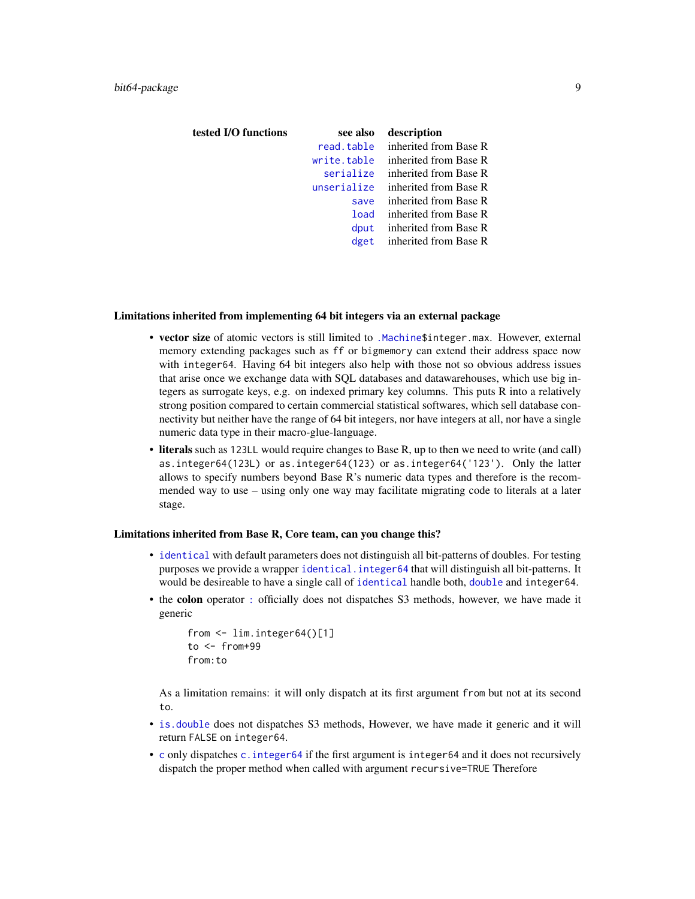| tested I/O functions | see also    | description           |
|----------------------|-------------|-----------------------|
|                      | read.table  | inherited from Base R |
|                      | write.table | inherited from Base R |
|                      | serialize   | inherited from Base R |
|                      | unserialize | inherited from Base R |
|                      | save        | inherited from Base R |
|                      | load        | inherited from Base R |
|                      | dput        | inherited from Base R |
|                      | dget        | inherited from Base R |
|                      |             |                       |

#### Limitations inherited from implementing 64 bit integers via an external package

- vector size of atomic vectors is still limited to [.Machine\\$](#page-0-0)integer.max. However, external memory extending packages such as ff or bigmemory can extend their address space now with integer64. Having 64 bit integers also help with those not so obvious address issues that arise once we exchange data with SQL databases and datawarehouses, which use big integers as surrogate keys, e.g. on indexed primary key columns. This puts R into a relatively strong position compared to certain commercial statistical softwares, which sell database connectivity but neither have the range of 64 bit integers, nor have integers at all, nor have a single numeric data type in their macro-glue-language.
- literals such as 123LL would require changes to Base R, up to then we need to write (and call) as.integer64(123L) or as.integer64(123) or as.integer64('123'). Only the latter allows to specify numbers beyond Base R's numeric data types and therefore is the recommended way to use – using only one way may facilitate migrating code to literals at a later stage.

#### Limitations inherited from Base R, Core team, can you change this?

- [identical](#page-0-0) with default parameters does not distinguish all bit-patterns of doubles. For testing purposes we provide a wrapper [identical.integer64](#page-38-1) that will distinguish all bit-patterns. It would be desireable to have a single call of [identical](#page-0-0) handle both, [double](#page-0-0) and integer64.
- the colon operator [:](#page-24-1) officially does not dispatches S3 methods, however, we have made it generic

```
from <- lim.integer64()[1]
to < - from+99
from:to
```
As a limitation remains: it will only dispatch at its first argument from but not at its second to.

- [is.double](#page-24-1) does not dispatches S3 methods, However, we have made it generic and it will return FALSE on integer64.
- [c](#page-0-0) only dispatches [c.integer64](#page-26-1) if the first argument is integer64 and it does not recursively dispatch the proper method when called with argument recursive=TRUE Therefore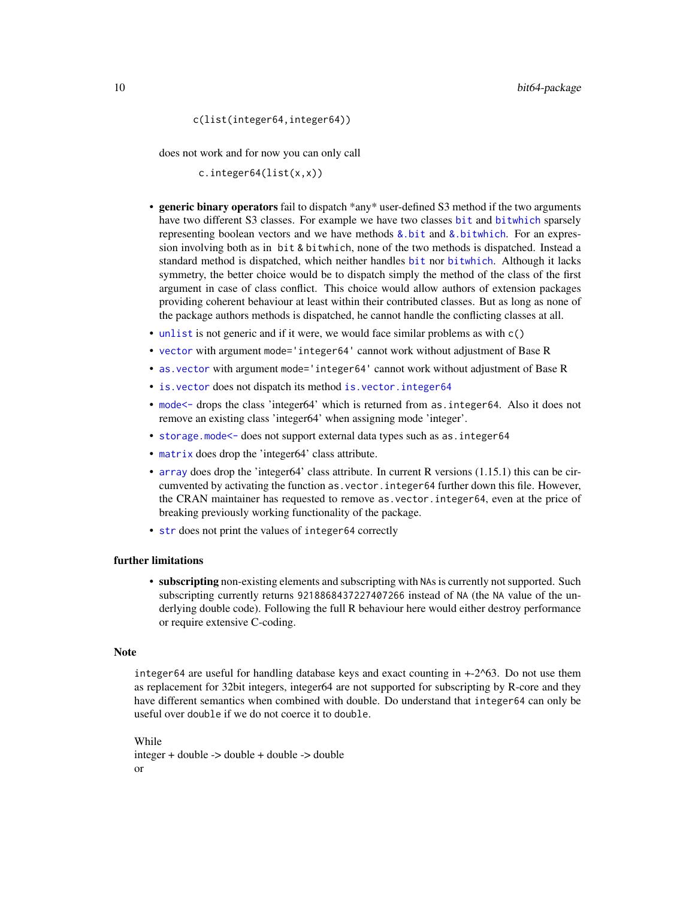c(list(integer64,integer64))

does not work and for now you can only call

c.integer64(list(x,x))

- generic binary operators fail to dispatch \*any\* user-defined S3 method if the two arguments have two different S3 classes. For example we have two classes [bit](#page-0-0) and [bitwhich](#page-0-0) sparsely representing boolean vectors and we have methods  $\&$  bit and  $\&$  bitwhich. For an expression involving both as in bit & bitwhich, none of the two methods is dispatched. Instead a standard method is dispatched, which neither handles [bit](#page-0-0) nor [bitwhich](#page-0-0). Although it lacks symmetry, the better choice would be to dispatch simply the method of the class of the first argument in case of class conflict. This choice would allow authors of extension packages providing coherent behaviour at least within their contributed classes. But as long as none of the package authors methods is dispatched, he cannot handle the conflicting classes at all.
- [unlist](#page-0-0) is not generic and if it were, we would face similar problems as with  $c()$
- [vector](#page-0-0) with argument mode='integer64' cannot work without adjustment of Base R
- [as.vector](#page-0-0) with argument mode='integer64' cannot work without adjustment of Base R
- [is.vector](#page-0-0) does not dispatch its method [is.vector.integer64](#page-2-1)
- [mode<-](#page-0-0) drops the class 'integer64' which is returned from as.integer64. Also it does not remove an existing class 'integer64' when assigning mode 'integer'.
- [storage.mode<-](#page-0-0) does not support external data types such as as. integer64
- [matrix](#page-0-0) does drop the 'integer64' class attribute.
- [array](#page-0-0) does drop the 'integer64' class attribute. In current R versions (1.15.1) this can be circumvented by activating the function as.vector.integer64 further down this file. However, the CRAN maintainer has requested to remove as.vector.integer64, even at the price of breaking previously working functionality of the package.
- [str](#page-0-0) does not print the values of integer64 correctly

#### further limitations

• subscripting non-existing elements and subscripting with NAs is currently not supported. Such subscripting currently returns 9218868437227407266 instead of NA (the NA value of the underlying double code). Following the full R behaviour here would either destroy performance or require extensive C-coding.

#### Note

integer64 are useful for handling database keys and exact counting in  $+2^{\circ}63$ . Do not use them as replacement for 32bit integers, integer64 are not supported for subscripting by R-core and they have different semantics when combined with double. Do understand that integer64 can only be useful over double if we do not coerce it to double.

While integer + double -> double + double -> double or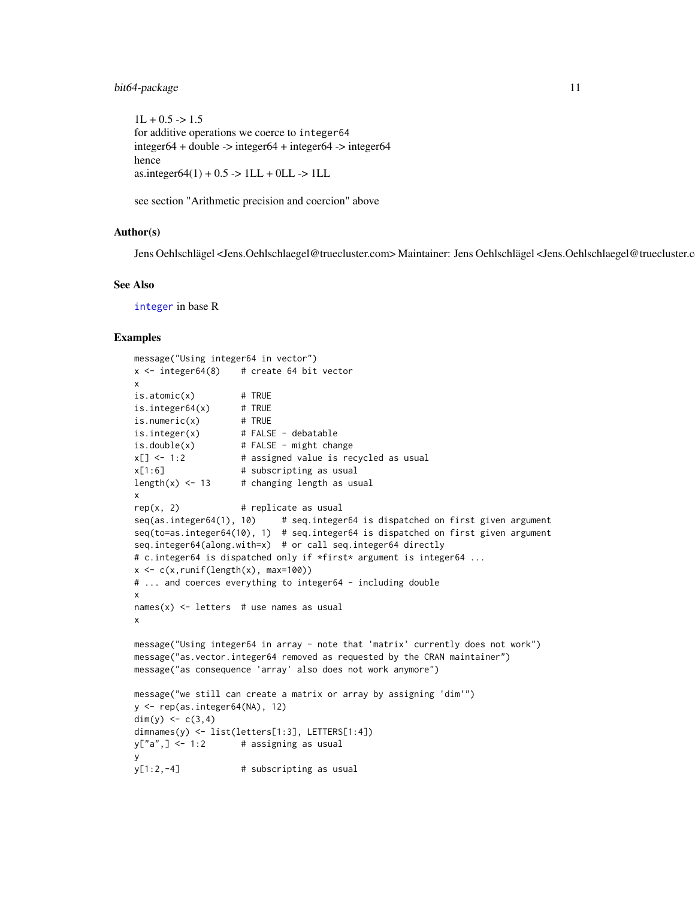```
1L + 0.5 \rightarrow 1.5for additive operations we coerce to integer64
integer64 + double -> integer64 + integer64 -> integer64
hence
\text{as.integer}64(1) + 0.5 \rightarrow \text{1LL} + \text{0LL} \rightarrow \text{1LL}
```
see section "Arithmetic precision and coercion" above

### Author(s)

Jens Oehlschlägel <Jens.Oehlschlaegel@truecluster.com> Maintainer: Jens Oehlschlägel <Jens.Oehlschlaegel@truecluster.com>

#### See Also

[integer](#page-0-0) in base R

#### Examples

```
message("Using integer64 in vector")
x \le - integer64(8) # create 64 bit vector
x
is.atomic(x) # TRUE
is.integer64(x) # TRUE
is.numeric(x) \qquad # TRUE
is.integer(x) # FALSE - debatable
is.double(x) # FALSE - might change
x[] <- 1:2 # assigned value is recycled as usual
x[1:6] # subscripting as usual
length(x) \leftarrow 13 # changing length as usual
x
rep(x, 2) # replicate as usual
seq(as.integer64(1), 10) # seq.integer64 is dispatched on first given argument
seq(to=as.integer64(10), 1) # seq.integer64 is dispatched on first given argument
seq.integer64(along.with=x) # or call seq.integer64 directly
# c.integer64 is dispatched only if *first* argument is integer64 ...
x \leftarrow c(x, runif(length(x), max=100))# ... and coerces everything to integer64 - including double
x
names(x) \le letters # use names as usual
x
message("Using integer64 in array - note that 'matrix' currently does not work")
message("as.vector.integer64 removed as requested by the CRAN maintainer")
message("as consequence 'array' also does not work anymore")
message("we still can create a matrix or array by assigning 'dim'")
y <- rep(as.integer64(NA), 12)
dim(y) <- c(3,4)dimnames(y) <- list(letters[1:3], LETTERS[1:4])
y['a'',] < -1:2 # assigning as usual
y
y[1:2,-4] # subscripting as usual
```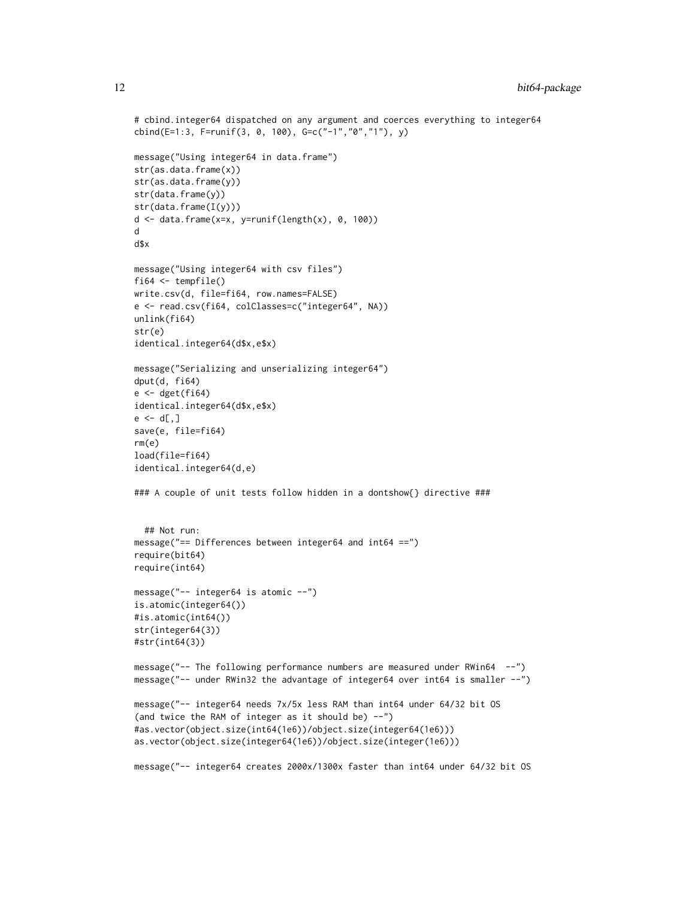```
# cbind.integer64 dispatched on any argument and coerces everything to integer64
cbind(E=1:3, F=runif(3, 0, 100), G=c("-1","0","1"), y)
message("Using integer64 in data.frame")
str(as.data.frame(x))
str(as.data.frame(y))
str(data.frame(y))
str(data.frame(I(y)))
d \leq - data.frame(x=x, y=runif(length(x), 0, 100))
d
d$x
message("Using integer64 with csv files")
fi64 <- tempfile()
write.csv(d, file=fi64, row.names=FALSE)
e <- read.csv(fi64, colClasses=c("integer64", NA))
unlink(fi64)
str(e)
identical.integer64(d$x,e$x)
message("Serializing and unserializing integer64")
dput(d, fi64)
e < - dget(fi64)
identical.integer64(d$x,e$x)
e \leftarrow d[,]save(e, file=fi64)
rm(e)
load(file=fi64)
identical.integer64(d,e)
### A couple of unit tests follow hidden in a dontshow{} directive ###
  ## Not run:
message("== Differences between integer64 and int64 ==")
require(bit64)
require(int64)
message("-- integer64 is atomic --")
is.atomic(integer64())
#is.atomic(int64())
str(integer64(3))
#str(int64(3))
message("-- The following performance numbers are measured under RWin64 --")
message("-- under RWin32 the advantage of integer64 over int64 is smaller --")
message("-- integer64 needs 7x/5x less RAM than int64 under 64/32 bit OS
(and twice the RAM of integer as it should be) --")
#as.vector(object.size(int64(1e6))/object.size(integer64(1e6)))
as.vector(object.size(integer64(1e6))/object.size(integer(1e6)))
message("-- integer64 creates 2000x/1300x faster than int64 under 64/32 bit OS
```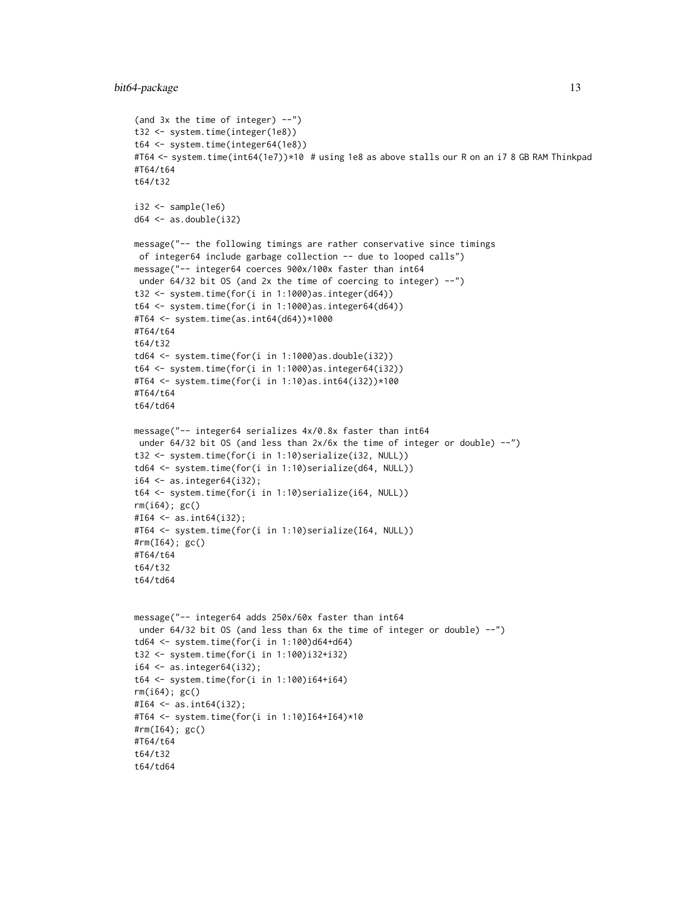```
(and 3x the time of integer) --")
t32 <- system.time(integer(1e8))
t64 <- system.time(integer64(1e8))
#T64 <- system.time(int64(1e7))*10 # using 1e8 as above stalls our R on an i7 8 GB RAM Thinkpad
#T64/t64
t64/t32
i32 < - sample(1e6)
d64 \leq -as.double(i32)message("-- the following timings are rather conservative since timings
of integer64 include garbage collection -- due to looped calls")
message("-- integer64 coerces 900x/100x faster than int64
under 64/32 bit OS (and 2x the time of coercing to integer) --")
t32 <- system.time(for(i in 1:1000)as.integer(d64))
t64 <- system.time(for(i in 1:1000)as.integer64(d64))
#T64 <- system.time(as.int64(d64))*1000
#T64/t64
t64/t32
td64 <- system.time(for(i in 1:1000)as.double(i32))
t64 <- system.time(for(i in 1:1000)as.integer64(i32))
#T64 <- system.time(for(i in 1:10)as.int64(i32))*100
#T64/t64
t64/td64
message("-- integer64 serializes 4x/0.8x faster than int64
under 64/32 bit OS (and less than 2x/6x the time of integer or double) --")
t32 <- system.time(for(i in 1:10)serialize(i32, NULL))
td64 <- system.time(for(i in 1:10)serialize(d64, NULL))
i64 < -as.integer64(i32);t64 <- system.time(for(i in 1:10)serialize(i64, NULL))
rm(i64); gc()
#I64 <- as.int64(i32);
#T64 <- system.time(for(i in 1:10)serialize(I64, NULL))
#rm(I64); gc()
#T64/t64
t64/t32
t64/td64
message("-- integer64 adds 250x/60x faster than int64
under 64/32 bit OS (and less than 6x the time of integer or double) --")
td64 <- system.time(for(i in 1:100)d64+d64)
t32 <- system.time(for(i in 1:100)i32+i32)
i64 \leftarrow as.integer64(i32);t64 <- system.time(for(i in 1:100)i64+i64)
rm(i64); gc()
#164 < -as.int64(i32);#T64 <- system.time(for(i in 1:10)I64+I64)*10
#rm(I64); gc()
#T64/t64
t64/t32
t64/td64
```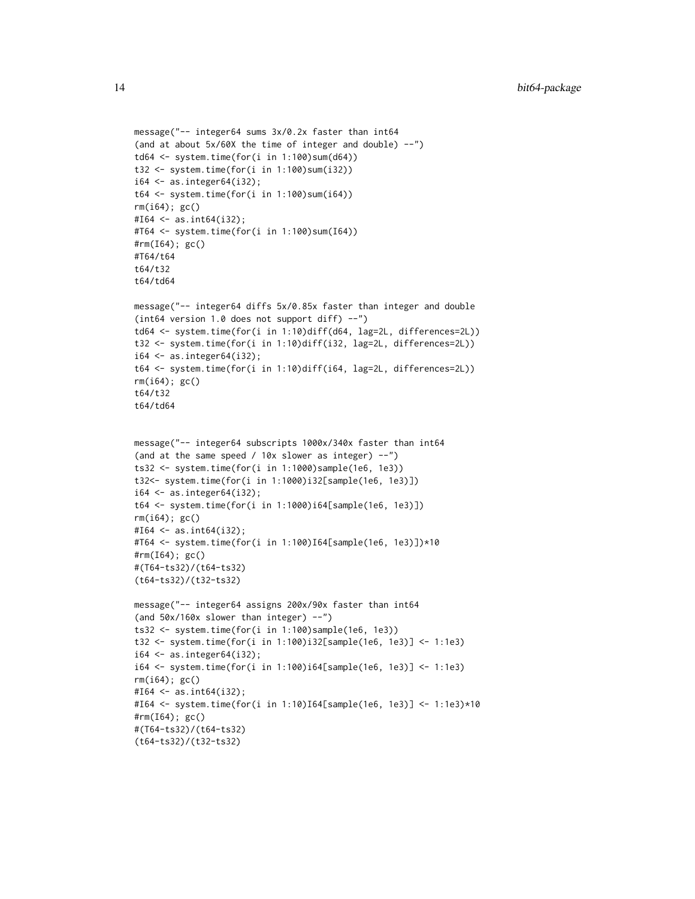```
message("-- integer64 sums 3x/0.2x faster than int64
(and at about 5x/60X the time of integer and double) --")
td64 <- system.time(for(i in 1:100)sum(d64))
t32 <- system.time(for(i in 1:100)sum(i32))
i64 < -as.integer64(i32);t64 <- system.time(for(i in 1:100)sum(i64))
rm(i64); gc()
#I64 \leftarrow as.int64(i32);
#T64 <- system.time(for(i in 1:100)sum(I64))
#rm(I64); gc()
#T64/t64
t64/t32
t64/td64
message("-- integer64 diffs 5x/0.85x faster than integer and double
(int64 version 1.0 does not support diff) --")
td64 <- system.time(for(i in 1:10)diff(d64, lag=2L, differences=2L))
t32 <- system.time(for(i in 1:10)diff(i32, lag=2L, differences=2L))
i64 \leftarrow as.integer64(i32);t64 <- system.time(for(i in 1:10)diff(i64, lag=2L, differences=2L))
rm(i64); gc()
t64/t32
t64/td64
message("-- integer64 subscripts 1000x/340x faster than int64
(and at the same speed / 10x slower as integer) --")
ts32 <- system.time(for(i in 1:1000)sample(1e6, 1e3))
t32<- system.time(for(i in 1:1000)i32[sample(1e6, 1e3)])
i64 \leftarrow as.integer64(i32);t64 <- system.time(for(i in 1:1000)i64[sample(1e6, 1e3)])
rm(i64); gc()
#164 < -as.int64(i32);#T64 <- system.time(for(i in 1:100)I64[sample(1e6, 1e3)])*10
#rm(I64); gc()
#(T64-ts32)/(t64-ts32)
(t64-ts32)/(t32-ts32)
message("-- integer64 assigns 200x/90x faster than int64
(and 50x/160x slower than integer) --")
ts32 <- system.time(for(i in 1:100)sample(1e6, 1e3))
t32 <- system.time(for(i in 1:100)i32[sample(1e6, 1e3)] <- 1:1e3)
i64 < -as.integer64(i32);i64 <- system.time(for(i in 1:100)i64[sample(1e6, 1e3)] <- 1:1e3)
rm(i64); gc()
#164 < -as.int64(i32);#I64 <- system.time(for(i in 1:10)I64[sample(1e6, 1e3)] <- 1:1e3)*10
#rm(I64); gc()
#(T64-ts32)/(t64-ts32)
(t64-ts32)/(t32-ts32)
```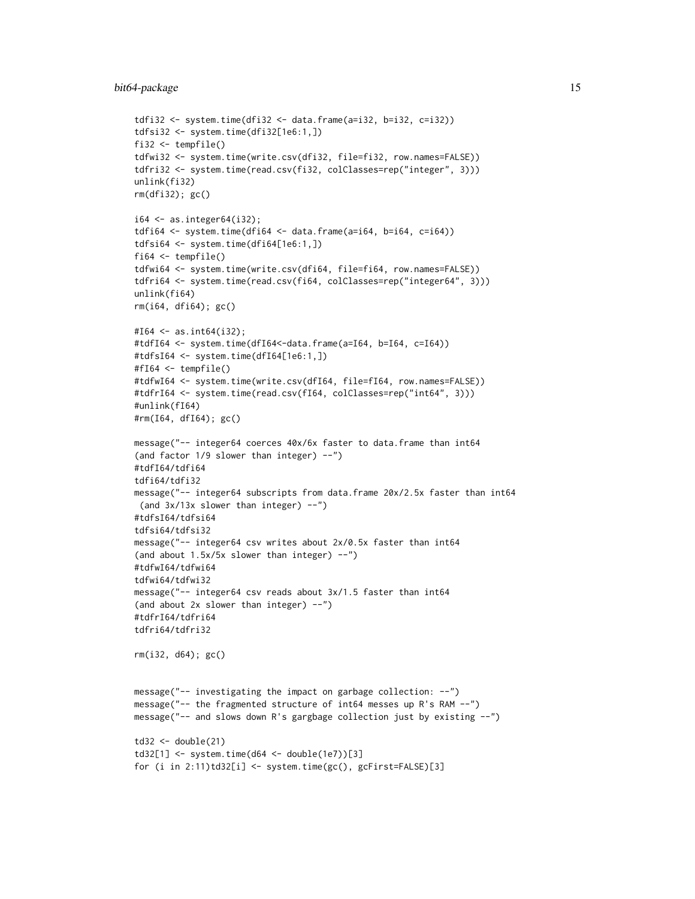```
tdfi32 <- system.time(dfi32 <- data.frame(a=i32, b=i32, c=i32))
tdfsi32 <- system.time(dfi32[1e6:1,])
fi32 <- tempfile()
tdfwi32 <- system.time(write.csv(dfi32, file=fi32, row.names=FALSE))
tdfri32 <- system.time(read.csv(fi32, colClasses=rep("integer", 3)))
unlink(fi32)
rm(dfi32); gc()
i64 \leq a \sin t as integer 64(i32);
tdfi64 \leftarrow system.time(dfi64 \leftarrow data-frame(a=i64, b=i64, c=i64))tdfsi64 <- system.time(dfi64[1e6:1,])
fi64 \leftarrow tempfile()
tdfwi64 <- system.time(write.csv(dfi64, file=fi64, row.names=FALSE))
tdfri64 <- system.time(read.csv(fi64, colClasses=rep("integer64", 3)))
unlink(fi64)
rm(i64, dfi64); gc()
#I64 <- as.int64(i32);
#tdfI64 <- system.time(dfI64<-data.frame(a=I64, b=I64, c=I64))
#tdfsI64 <- system.time(dfI64[1e6:1,])
#fI64 <- tempfile()
#tdfwI64 <- system.time(write.csv(dfI64, file=fI64, row.names=FALSE))
#tdfrI64 <- system.time(read.csv(fI64, colClasses=rep("int64", 3)))
#unlink(fI64)
#rm(I64, dfI64); gc()
message("-- integer64 coerces 40x/6x faster to data.frame than int64
(and factor 1/9 slower than integer) --")
#tdfI64/tdfi64
tdfi64/tdfi32
message("-- integer64 subscripts from data.frame 20x/2.5x faster than int64
 (and 3x/13x slower than integer) --")
#tdfsI64/tdfsi64
tdfsi64/tdfsi32
message("-- integer64 csv writes about 2x/0.5x faster than int64
(and about 1.5x/5x slower than integer) --")
#tdfwI64/tdfwi64
tdfwi64/tdfwi32
message("-- integer64 csv reads about 3x/1.5 faster than int64
(and about 2x slower than integer) --")
#tdfrI64/tdfri64
tdfri64/tdfri32
rm(i32, d64); gc()
message("-- investigating the impact on garbage collection: --")
message("-- the fragmented structure of int64 messes up R's RAM --")
message("-- and slows down R's gargbage collection just by existing --")
td32 \leftarrow double(21)td32[1] < - system.time(d64 <- double(1e7))[3]
for (i in 2:11)td32[i] <- system.time(gc(), gcFirst=FALSE)[3]
```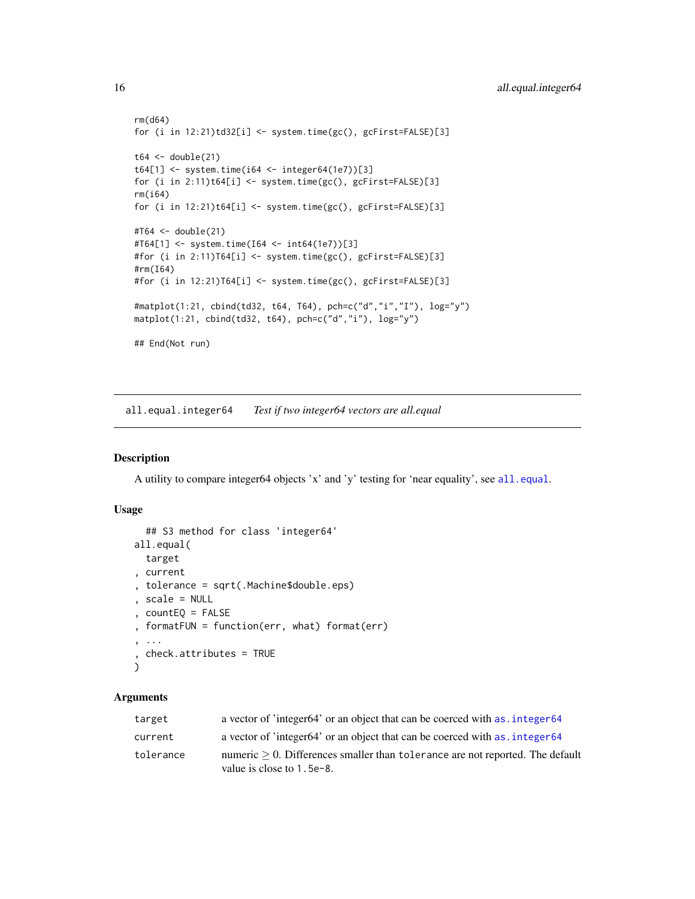```
rm(d64)
for (i in 12:21)td32[i] <- system.time(gc(), gcFirst=FALSE)[3]
t64 < - double(21)
t64[1] <- system.time(i64 <- integer64(1e7))[3]
for (i in 2:11)t64[i] <- system.time(gc(), gcFirst=FALSE)[3]
rm(i64)
for (i in 12:21)t64[i] <- system.time(gc(), gcFirst=FALSE)[3]
#T64 <- double(21)
#T64[1] <- system.time(I64 <- int64(1e7))[3]
#for (i in 2:11)T64[i] <- system.time(gc(), gcFirst=FALSE)[3]
#rm(I64)
#for (i in 12:21)T64[i] <- system.time(gc(), gcFirst=FALSE)[3]
#matplot(1:21, cbind(td32, t64, T64), pch=c("d","i","I"), log="y")
matplot(1:21, cbind(td32, t64), pch=c("d","i"), log="y")
## End(Not run)
```
<span id="page-15-1"></span>all.equal.integer64 *Test if two integer64 vectors are all.equal*

#### Description

A utility to compare integer64 objects 'x' and 'y' testing for 'near equality', see [all.equal](#page-0-0).

#### Usage

```
## S3 method for class 'integer64'
all.equal(
 target
, current
, tolerance = sqrt(.Machine$double.eps)
, scale = NULL
, countEQ = FALSE
, formatFUN = function(err, what) format(err)
, ...
, check.attributes = TRUE
)
```
#### Arguments

| target    | a vector of 'integer64' or an object that can be coerced with as, integer64                                      |
|-----------|------------------------------------------------------------------------------------------------------------------|
| current   | a vector of 'integer64' or an object that can be coerced with as, integer64                                      |
| tolerance | numeric $> 0$ . Differences smaller than tolerance are not reported. The default<br>value is close to $1.5e-8$ . |

<span id="page-15-0"></span>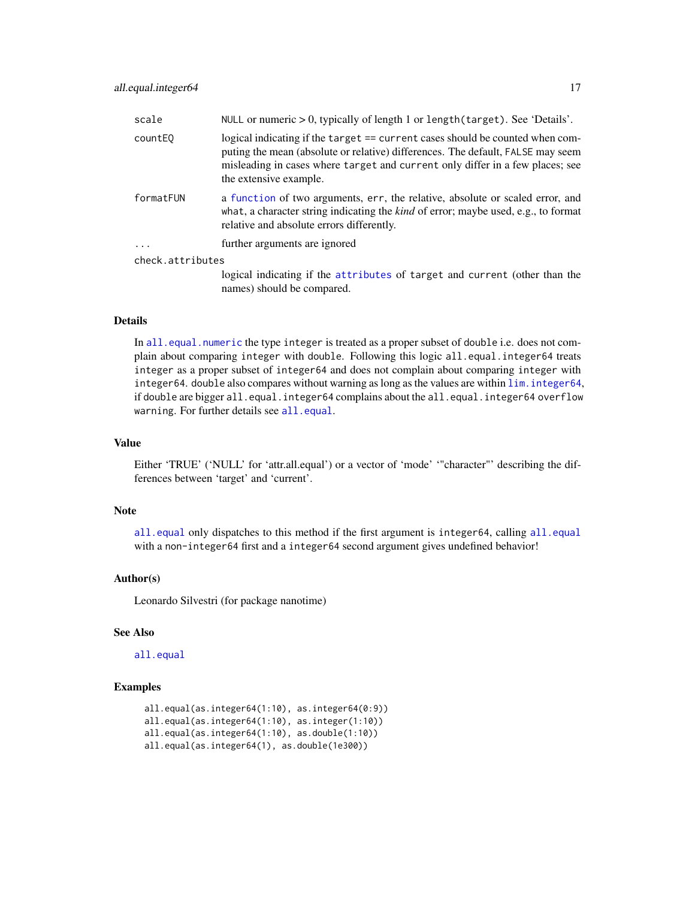| scale               | NULL or numeric $> 0$ , typically of length 1 or length (target). See 'Details'.                                                                                                                                                                                            |
|---------------------|-----------------------------------------------------------------------------------------------------------------------------------------------------------------------------------------------------------------------------------------------------------------------------|
| count <sub>E0</sub> | logical indicating if the target == current cases should be counted when com-<br>puting the mean (absolute or relative) differences. The default, FALSE may seem<br>misleading in cases where target and current only differ in a few places; see<br>the extensive example. |
| formatFUN           | a function of two arguments, err, the relative, absolute or scaled error, and<br>what, a character string indicating the <i>kind</i> of error; maybe used, e.g., to format<br>relative and absolute errors differently.                                                     |
| .                   | further arguments are ignored                                                                                                                                                                                                                                               |
| check.attributes    |                                                                                                                                                                                                                                                                             |
|                     | logical indicating if the attributes of target and current (other than the<br>names) should be compared.                                                                                                                                                                    |

# Details

In [all.equal.numeric](#page-0-0) the type integer is treated as a proper subset of double i.e. does not complain about comparing integer with double. Following this logic all.equal.integer64 treats integer as a proper subset of integer64 and does not complain about comparing integer with integer64. double also compares without warning as long as the values are within [lim.integer64](#page-59-1), if double are bigger all.equal.integer64 complains about the all.equal.integer64 overflow warning. For further details see [all.equal](#page-0-0).

# Value

Either 'TRUE' ('NULL' for 'attr.all.equal') or a vector of 'mode' '"character"' describing the differences between 'target' and 'current'.

#### Note

[all.equal](#page-0-0) only dispatches to this method if the first argument is integer64, calling [all.equal](#page-0-0) with a non-integer64 first and a integer64 second argument gives undefined behavior!

# Author(s)

Leonardo Silvestri (for package nanotime)

# See Also

[all.equal](#page-0-0)

# Examples

```
all.equal(as.integer64(1:10), as.integer64(0:9))
all.equal(as.integer64(1:10), as.integer(1:10))
all.equal(as.integer64(1:10), as.double(1:10))
all.equal(as.integer64(1), as.double(1e300))
```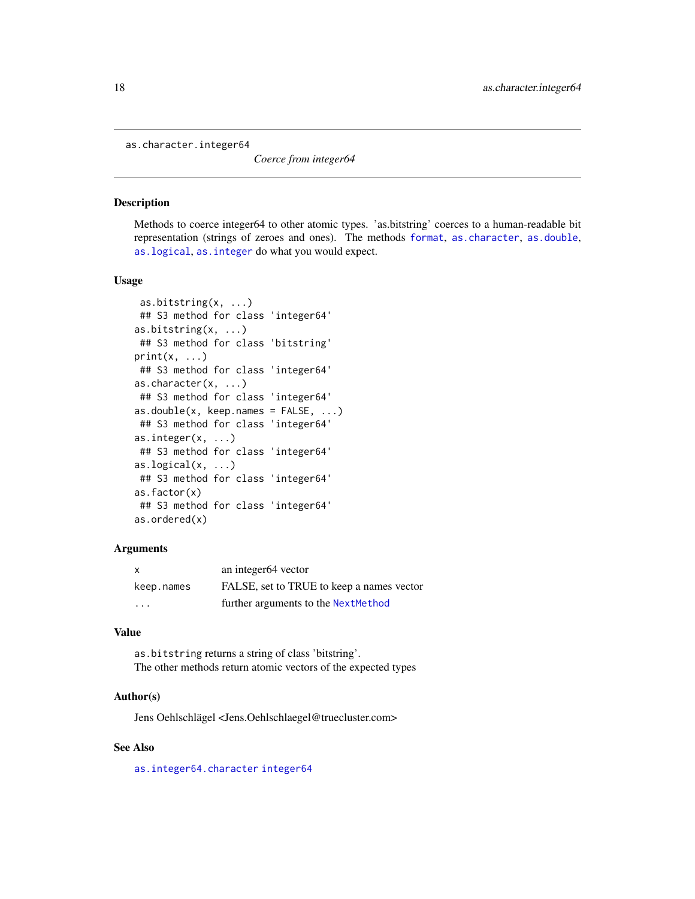<span id="page-17-2"></span><span id="page-17-0"></span>as.character.integer64

*Coerce from integer64*

#### <span id="page-17-1"></span>Description

Methods to coerce integer64 to other atomic types. 'as.bitstring' coerces to a human-readable bit representation (strings of zeroes and ones). The methods [format](#page-0-0), [as.character](#page-0-0), [as.double](#page-0-0), [as.logical](#page-0-0), [as.integer](#page-0-0) do what you would expect.

#### Usage

```
as.bitstring(x, ...)
## S3 method for class 'integer64'
as.bitstring(x, ...)
## S3 method for class 'bitstring'
print(x, \ldots)## S3 method for class 'integer64'
as.character(x, ...)
## S3 method for class 'integer64'
as.double(x, keep.names = FALSE, ...)## S3 method for class 'integer64'
as.integer(x, ...)
## S3 method for class 'integer64'
as.logical(x, \ldots)## S3 method for class 'integer64'
as.factor(x)
## S3 method for class 'integer64'
as.ordered(x)
```
# Arguments

| $\mathsf{x}$ | an integer64 vector                       |
|--------------|-------------------------------------------|
| keep.names   | FALSE, set to TRUE to keep a names vector |
| .            | further arguments to the NextMethod       |

# Value

as.bitstring returns a string of class 'bitstring'. The other methods return atomic vectors of the expected types

#### Author(s)

Jens Oehlschlägel <Jens.Oehlschlaegel@truecluster.com>

# See Also

[as.integer64.character](#page-19-2) [integer64](#page-2-1)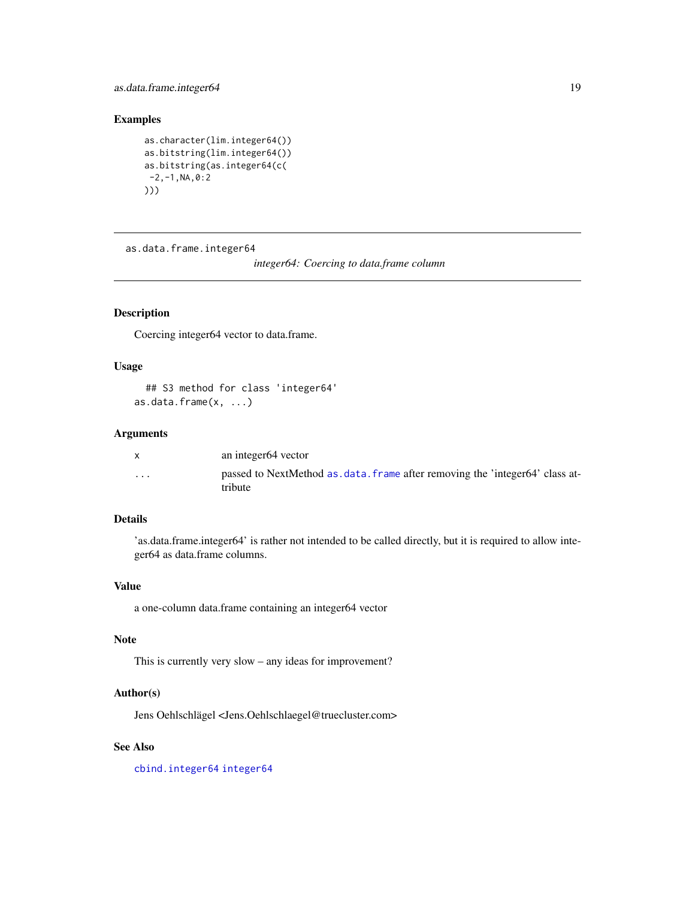<span id="page-18-0"></span>as.data.frame.integer64 19

# Examples

```
as.character(lim.integer64())
as.bitstring(lim.integer64())
as.bitstring(as.integer64(c(
-2, -1, NA, 0:2)))
```
<span id="page-18-1"></span>as.data.frame.integer64

*integer64: Coercing to data.frame column*

# Description

Coercing integer64 vector to data.frame.

### Usage

## S3 method for class 'integer64' as.data.frame(x, ...)

# Arguments

|          | an integer64 vector                                                                            |
|----------|------------------------------------------------------------------------------------------------|
| $\cdots$ | passed to NextMethod as data. frame after removing the 'integer64' class at-<br><i>tribute</i> |

# Details

'as.data.frame.integer64' is rather not intended to be called directly, but it is required to allow integer64 as data.frame columns.

# Value

a one-column data.frame containing an integer64 vector

# Note

This is currently very slow – any ideas for improvement?

# Author(s)

Jens Oehlschlägel <Jens.Oehlschlaegel@truecluster.com>

# See Also

[cbind.integer64](#page-26-2) [integer64](#page-2-1)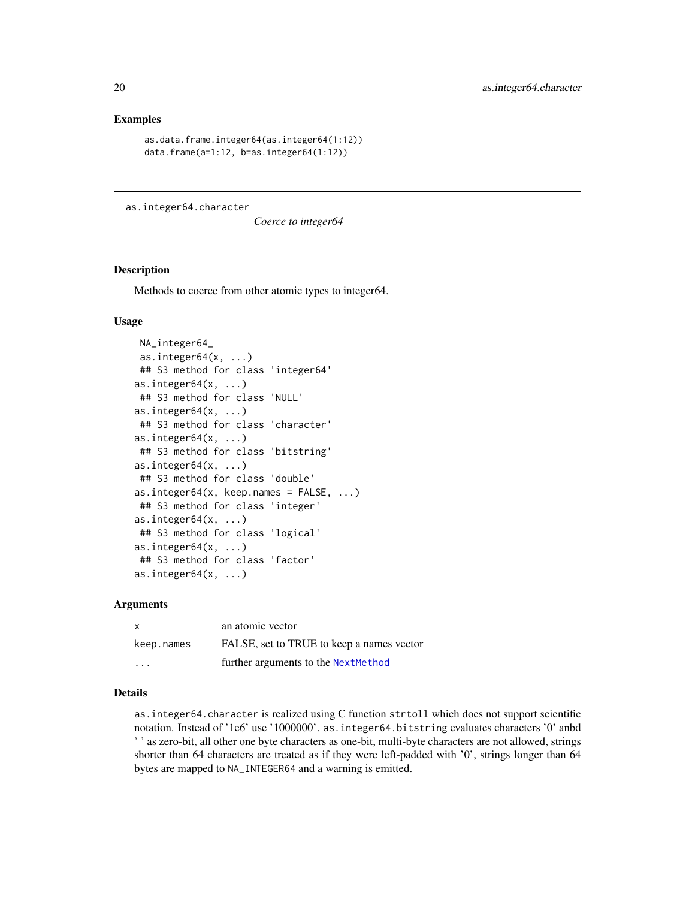# <span id="page-19-0"></span>Examples

```
as.data.frame.integer64(as.integer64(1:12))
data.frame(a=1:12, b=as.integer64(1:12))
```
<span id="page-19-2"></span>as.integer64.character

*Coerce to integer64*

#### <span id="page-19-1"></span>**Description**

Methods to coerce from other atomic types to integer64.

# Usage

```
NA_integer64_
as.integer64(x, \ldots)## S3 method for class 'integer64'
as.integer64(x, \ldots)## S3 method for class 'NULL'
as.integer64(x, \ldots)## S3 method for class 'character'
as.integer64(x, \ldots)## S3 method for class 'bitstring'
as.integer64(x, \ldots)## S3 method for class 'double'
as.integer64(x, \text{keep}.\text{names} = \text{FALSE}, \ldots)## S3 method for class 'integer'
as.integer64(x, \ldots)## S3 method for class 'logical'
as.integer64(x, \ldots)## S3 method for class 'factor'
as.integer64(x, ...)
```
#### Arguments

| <b>X</b>                | an atomic vector                          |
|-------------------------|-------------------------------------------|
| keep.names              | FALSE, set to TRUE to keep a names vector |
| $\cdot$ $\cdot$ $\cdot$ | further arguments to the NextMethod       |

# Details

as.integer64.character is realized using C function strtoll which does not support scientific notation. Instead of '1e6' use '1000000'. as.integer64.bitstring evaluates characters '0' anbd ' ' as zero-bit, all other one byte characters as one-bit, multi-byte characters are not allowed, strings shorter than 64 characters are treated as if they were left-padded with '0', strings longer than 64 bytes are mapped to NA\_INTEGER64 and a warning is emitted.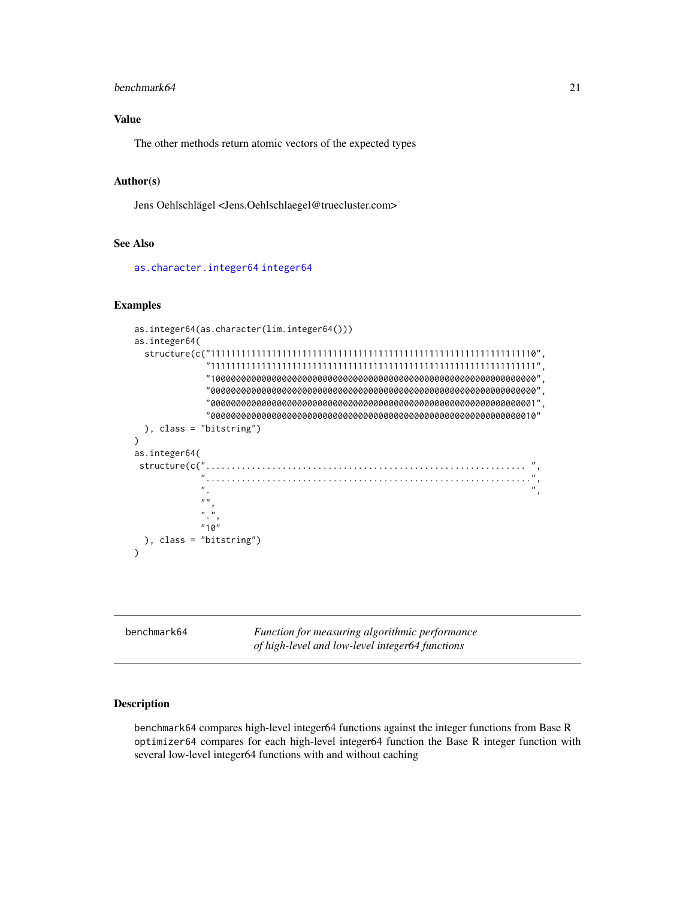#### <span id="page-20-0"></span>benchmark64 21

# Value

The other methods return atomic vectors of the expected types

# Author(s)

Jens Oehlschlägel <Jens.Oehlschlaegel@truecluster.com>

# See Also

[as.character.integer64](#page-17-2) [integer64](#page-2-1)

# Examples

```
as.integer64(as.character(lim.integer64()))
as.integer64(
  structure(c("1111111111111111111111111111111111111111111111111111111111111110",
                   "1111111111111111111111111111111111111111111111111111111111111111",
                  "1000000000000000000000000000000000000000000000000000000000000000",
                  "0000000000000000000000000000000000000000000000000000000000000000",
                  "0000000000000000000000000000000000000000000000000000000000000001",
                  "0000000000000000000000000000000000000000000000000000000000000010"
  ), class = "bitstring")
)
as.integer64(
 structure(c("............................................................... ",
                 "................................................................",
                 \mathbb{R}^n, \mathbb{R}^n, \mathbb{R}^n, \mathbb{R}^n, \mathbb{R}^n, \mathbb{R}^n, \mathbb{R}^n, \mathbb{R}^n, \mathbb{R}^n, \mathbb{R}^n, \mathbb{R}^n, \mathbb{R}^n, \mathbb{R}^n, \mathbb{R}^n, \mathbb{R}^n, \mathbb{R}^n, \mathbb{R}^n, \mathbb{R}^n, \mathbb{^{\prime\prime\prime\prime}\overline{m}, \overline{n}"10"
  ), class = "bitstring")
)
```
<span id="page-20-1"></span>benchmark64 *Function for measuring algorithmic performance of high-level and low-level integer64 functions*

#### Description

benchmark64 compares high-level integer64 functions against the integer functions from Base R optimizer64 compares for each high-level integer64 function the Base R integer function with several low-level integer64 functions with and without caching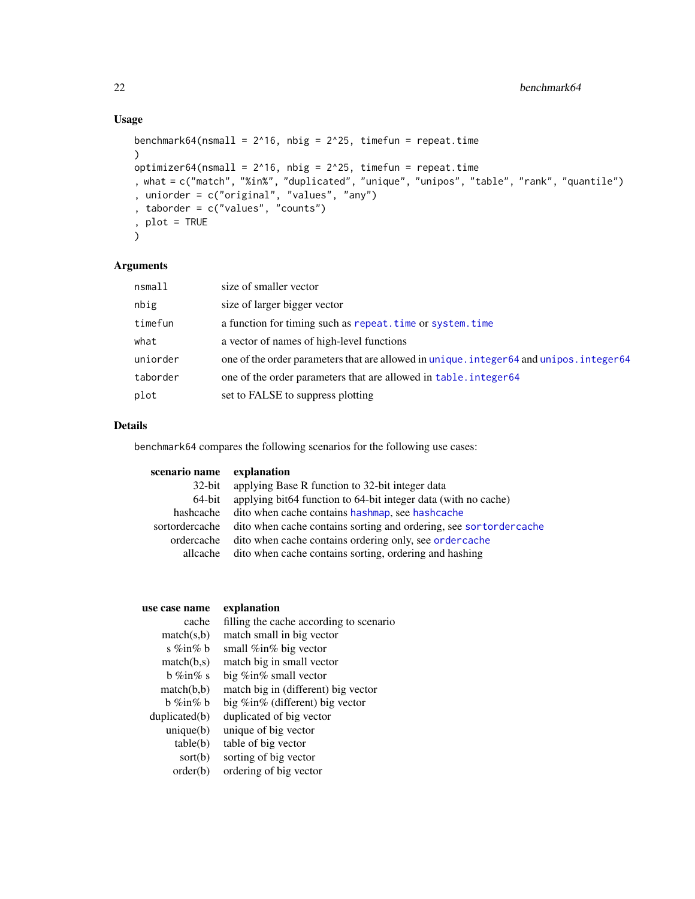# Usage

```
benchmark64(nsmall = 2^16, nbig = 2^225, timefun = repeat.time
)
optimizer64(nsmall = 2^16, nbig = 2^25, timefun = repeat.time
, what = c("match", "%in%", "duplicated", "unique", "unipos", "table", "rank", "quantile")
, uniorder = c("original", "values", "any")
, taborder = c("values", "counts")
, plot = TRUE
\mathcal{L}
```
# Arguments

| nsmall   | size of smaller vector                                                                    |
|----------|-------------------------------------------------------------------------------------------|
| nbig     | size of larger bigger vector                                                              |
| timefun  | a function for timing such as repeat. time or system. time                                |
| what     | a vector of names of high-level functions                                                 |
| uniorder | one of the order parameters that are allowed in unique, integer 64 and unipos, integer 64 |
| taborder | one of the order parameters that are allowed in table, integer64                          |
| plot     | set to FALSE to suppress plotting                                                         |

# Details

benchmark64 compares the following scenarios for the following use cases:

| scenario name | explanation                                                                      |
|---------------|----------------------------------------------------------------------------------|
| $32$ -bit     | applying Base R function to 32-bit integer data                                  |
| 64-bit        | applying bit64 function to 64-bit integer data (with no cache)                   |
| hashcache     | dito when cache contains hashmap, see hashcache                                  |
|               | sortordercache dito when cache contains sorting and ordering, see sortordercache |
| ordercache    | dito when cache contains ordering only, see order cache                          |
| allcache      | dito when cache contains sorting, ordering and hashing                           |
|               |                                                                                  |

| use case name        | explanation                             |
|----------------------|-----------------------------------------|
| cache                | filling the cache according to scenario |
| match(s,b)           | match small in big vector               |
| s %in% $\mathfrak b$ | small %in% big vector                   |
| match(b,s)           | match big in small vector               |
| $b \%$ in $\% s$     | big $\%$ in $\%$ small vector           |
| match(b,b)           | match big in (different) big vector     |
| b %in% b             | big %in% (different) big vector         |
| $d$ uplicated $(b)$  | duplicated of big vector                |
| unique(b)            | unique of big vector                    |
| table(b)             | table of big vector                     |
| sort(b)              | sorting of big vector                   |
| order(b)             | ordering of big vector                  |
|                      |                                         |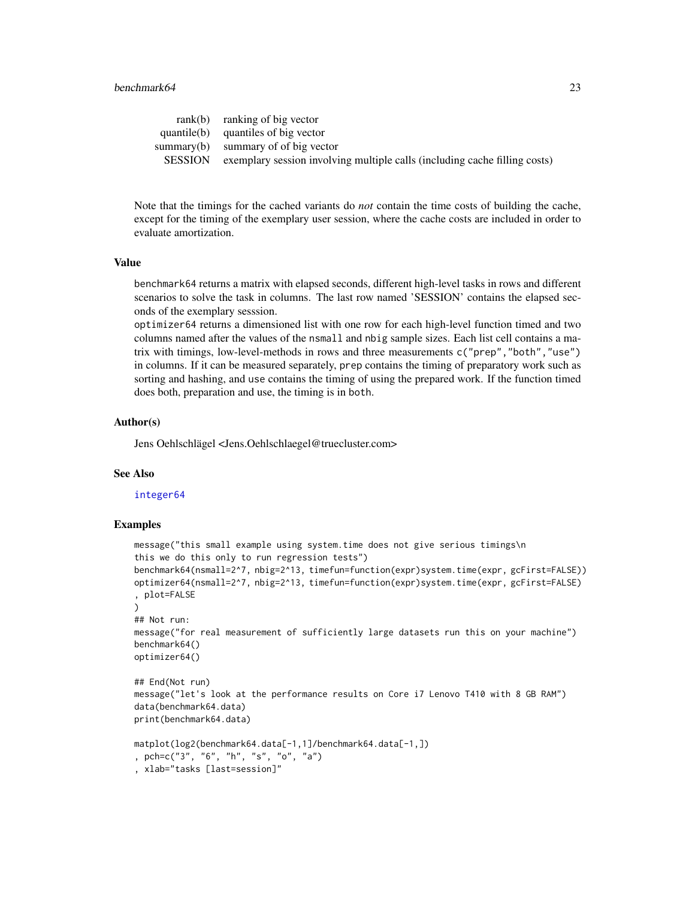#### benchmark64 23

|         | $rank(b)$ ranking of big vector                                            |
|---------|----------------------------------------------------------------------------|
|         | $quantile(b)$ quantiles of big vector                                      |
|         | summary(b) summary of of big vector                                        |
| SESSION | exemplary session involving multiple calls (including cache filling costs) |
|         |                                                                            |

Note that the timings for the cached variants do *not* contain the time costs of building the cache, except for the timing of the exemplary user session, where the cache costs are included in order to evaluate amortization.

# Value

benchmark64 returns a matrix with elapsed seconds, different high-level tasks in rows and different scenarios to solve the task in columns. The last row named 'SESSION' contains the elapsed seconds of the exemplary sesssion.

optimizer64 returns a dimensioned list with one row for each high-level function timed and two columns named after the values of the nsmall and nbig sample sizes. Each list cell contains a matrix with timings, low-level-methods in rows and three measurements c("prep","both","use") in columns. If it can be measured separately, prep contains the timing of preparatory work such as sorting and hashing, and use contains the timing of using the prepared work. If the function timed does both, preparation and use, the timing is in both.

#### Author(s)

Jens Oehlschlägel <Jens.Oehlschlaegel@truecluster.com>

#### See Also

#### [integer64](#page-2-1)

#### Examples

```
message("this small example using system.time does not give serious timings\n
this we do this only to run regression tests")
benchmark64(nsmall=2^7, nbig=2^13, timefun=function(expr)system.time(expr, gcFirst=FALSE))
optimizer64(nsmall=2^7, nbig=2^13, timefun=function(expr)system.time(expr, gcFirst=FALSE)
, plot=FALSE
)
## Not run:
message("for real measurement of sufficiently large datasets run this on your machine")
benchmark64()
optimizer64()
## End(Not run)
message("let's look at the performance results on Core i7 Lenovo T410 with 8 GB RAM")
data(benchmark64.data)
print(benchmark64.data)
matplot(log2(benchmark64.data[-1,1]/benchmark64.data[-1,])
, pch=c("3", "6", "h", "s", "o", "a")
, xlab="tasks [last=session]"
```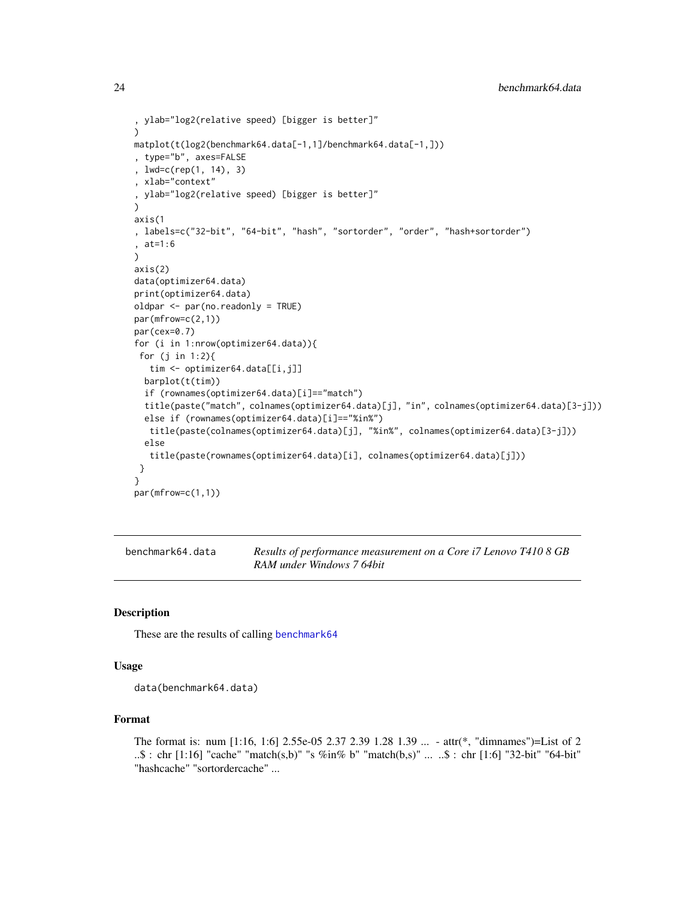```
, ylab="log2(relative speed) [bigger is better]"
)
matplot(t(log2(benchmark64.data[-1,1]/benchmark64.data[-1,]))
, type="b", axes=FALSE
, lwd=c(rep(1, 14), 3)
, xlab="context"
, ylab="log2(relative speed) [bigger is better]"
)
axis(1
, labels=c("32-bit", "64-bit", "hash", "sortorder", "order", "hash+sortorder")
, at=1:6
)
axis(2)
data(optimizer64.data)
print(optimizer64.data)
oldpar <- par(no.readonly = TRUE)
par(mfrow=c(2,1))
par(cex=0.7)
for (i in 1:nrow(optimizer64.data)){
 for (j in 1:2){
  tim <- optimizer64.data[[i,j]]
  barplot(t(tim))
  if (rownames(optimizer64.data)[i]=="match")
  title(paste("match", colnames(optimizer64.data)[j], "in", colnames(optimizer64.data)[3-j]))
  else if (rownames(optimizer64.data)[i]=="%in%")
  title(paste(colnames(optimizer64.data)[j], "%in%", colnames(optimizer64.data)[3-j]))
  else
   title(paste(rownames(optimizer64.data)[i], colnames(optimizer64.data)[j]))
 }
}
par(mfrow=c(1,1))
```

| benchmark64.data | Results of performance measurement on a Core i7 Lenovo T410 8 GB |
|------------------|------------------------------------------------------------------|
|                  | RAM under Windows 7 64bit                                        |

# Description

These are the results of calling [benchmark64](#page-20-1)

#### Usage

```
data(benchmark64.data)
```
# Format

The format is: num [1:16, 1:6] 2.55e-05 2.37 2.39 1.28 1.39 ... - attr(\*, "dimnames")=List of 2 ..\$ : chr [1:16] "cache" "match(s,b)" "s %in% b" "match(b,s)" ... ..\$ : chr [1:6] "32-bit" "64-bit" "hashcache" "sortordercache" ...

<span id="page-23-0"></span>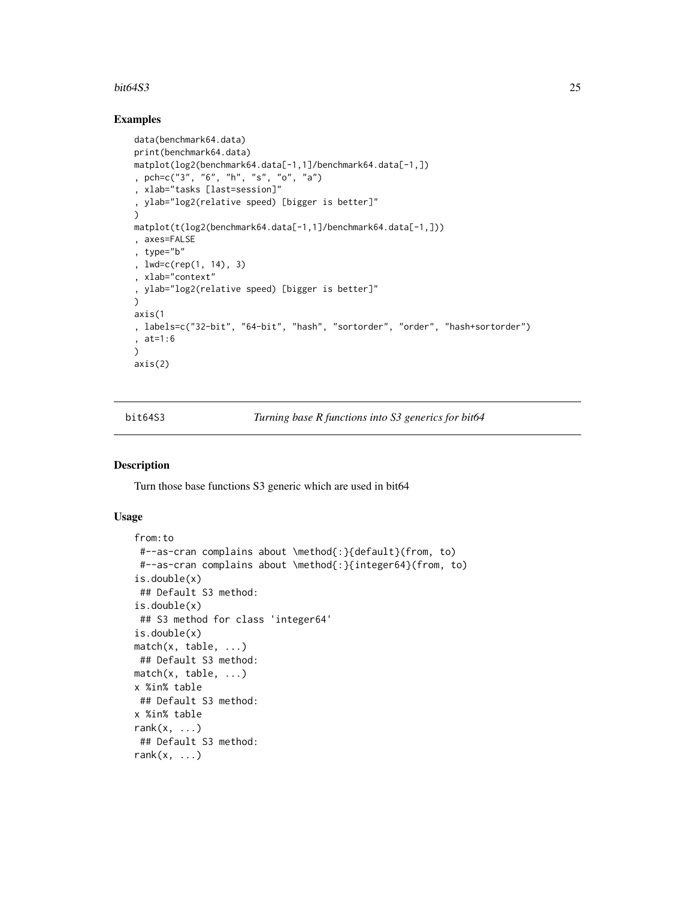#### <span id="page-24-0"></span>bit64S3 25

# Examples

```
data(benchmark64.data)
print(benchmark64.data)
matplot(log2(benchmark64.data[-1,1]/benchmark64.data[-1,])
, pch=c("3", "6", "h", "s", "o", "a")
, xlab="tasks [last=session]"
, ylab="log2(relative speed) [bigger is better]"
)
matplot(t(log2(benchmark64.data[-1,1]/benchmark64.data[-1,]))
, axes=FALSE
, type="b"
, lwd=c(rep(1, 14), 3)
, xlab="context"
, ylab="log2(relative speed) [bigger is better]"
\lambdaaxis(1
, labels=c("32-bit", "64-bit", "hash", "sortorder", "order", "hash+sortorder")
, at=1:6
\lambdaaxis(2)
```
bit64S3 *Turning base R functions into S3 generics for bit64*

# <span id="page-24-1"></span>Description

Turn those base functions S3 generic which are used in bit64

# Usage

```
from:to
#--as-cran complains about \method{:}{default}(from, to)
 #--as-cran complains about \method{:}{integer64}(from, to)
is.double(x)
 ## Default S3 method:
is.double(x)
## S3 method for class 'integer64'
is.double(x)
match(x, table, ...)
## Default S3 method:
match(x, table, ...)
x %in% table
## Default S3 method:
x %in% table
rank(x, \ldots)## Default S3 method:
rank(x, \ldots)
```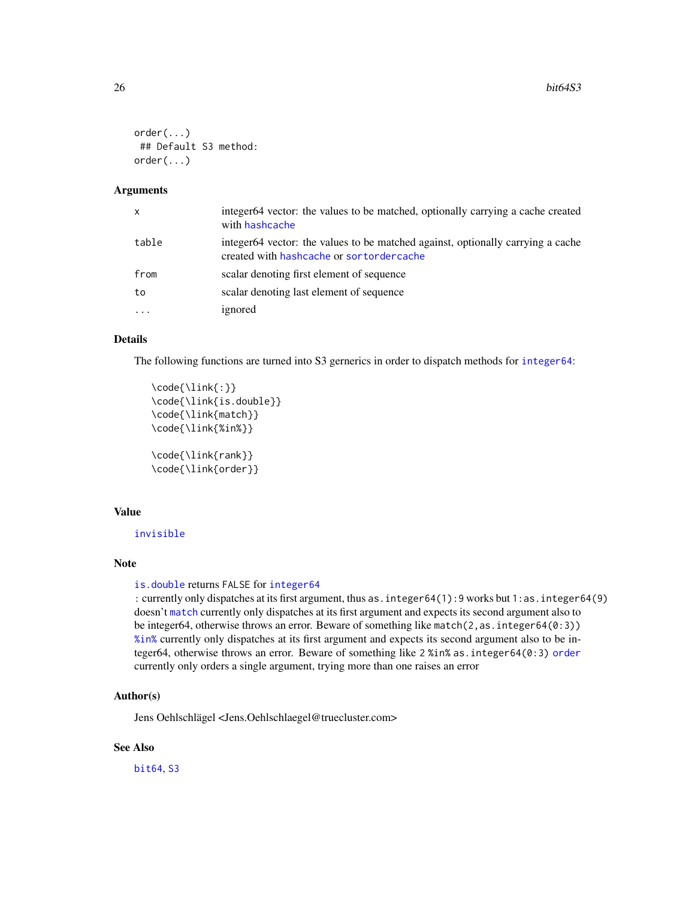```
order(...)
## Default S3 method:
order(...)
```
# Arguments

| $\mathsf{x}$ | integer64 vector: the values to be matched, optionally carrying a cache created<br>with hashcache                           |
|--------------|-----------------------------------------------------------------------------------------------------------------------------|
| table        | integer64 vector: the values to be matched against, optionally carrying a cache<br>created with hashcache or sortordercache |
| from         | scalar denoting first element of sequence                                                                                   |
| to           | scalar denoting last element of sequence                                                                                    |
|              | ignored                                                                                                                     |

# Details

The following functions are turned into S3 gernerics in order to dispatch methods for [integer64](#page-2-1):

```
\code{\link{:}}
\code{\link{is.double}}
\code{\link{match}}
\code{\link{%in%}}
\code{\link{rank}}
```
\code{\link{order}}

#### Value

[invisible](#page-0-0)

#### Note

```
is.double returns FALSE for integer64
```
[:](#page-24-1) currently only dispatches at its first argument, thus as.integer64(1):9 works but 1:as.integer64(9) doesn't [match](#page-24-1) currently only dispatches at its first argument and expects its second argument also to be integer64, otherwise throws an error. Beware of something like match(2, as. integer64(0:3)) [%in%](#page-24-1) currently only dispatches at its first argument and expects its second argument also to be integer64, otherwise throws an error. Beware of something like 2 %in% as.integer64(0:3) [order](#page-24-1) currently only orders a single argument, trying more than one raises an error

### Author(s)

Jens Oehlschlägel <Jens.Oehlschlaegel@truecluster.com>

# See Also

[bit64](#page-2-1), [S3](#page-0-0)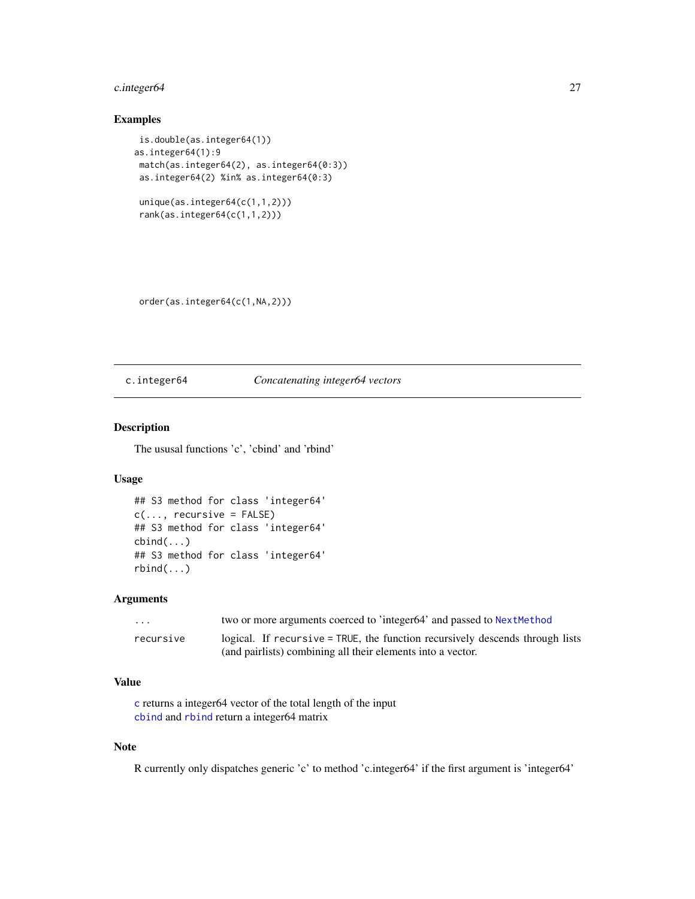# <span id="page-26-0"></span>c.integer64 27

# Examples

```
is.double(as.integer64(1))
as.integer64(1):9
match(as.integer64(2), as.integer64(0:3))
as.integer64(2) %in% as.integer64(0:3)
unique(as.integer64(c(1,1,2)))
rank(as.integer64(c(1,1,2)))
```
order(as.integer64(c(1,NA,2)))

### <span id="page-26-1"></span>c.integer64 *Concatenating integer64 vectors*

#### <span id="page-26-2"></span>Description

The ususal functions 'c', 'cbind' and 'rbind'

#### Usage

```
## S3 method for class 'integer64'
c(\ldots, recursive = FALSE)
## S3 method for class 'integer64'
cbind(...)
## S3 method for class 'integer64'
rbind(...)
```
# Arguments

| .         | two or more arguments coerced to 'integer64' and passed to Next Method        |
|-----------|-------------------------------------------------------------------------------|
| recursive | logical. If recursive = TRUE, the function recursively descends through lists |
|           | (and pairlists) combining all their elements into a vector.                   |

# Value

[c](#page-0-0) returns a integer64 vector of the total length of the input [cbind](#page-0-0) and [rbind](#page-0-0) return a integer64 matrix

# Note

R currently only dispatches generic 'c' to method 'c.integer64' if the first argument is 'integer64'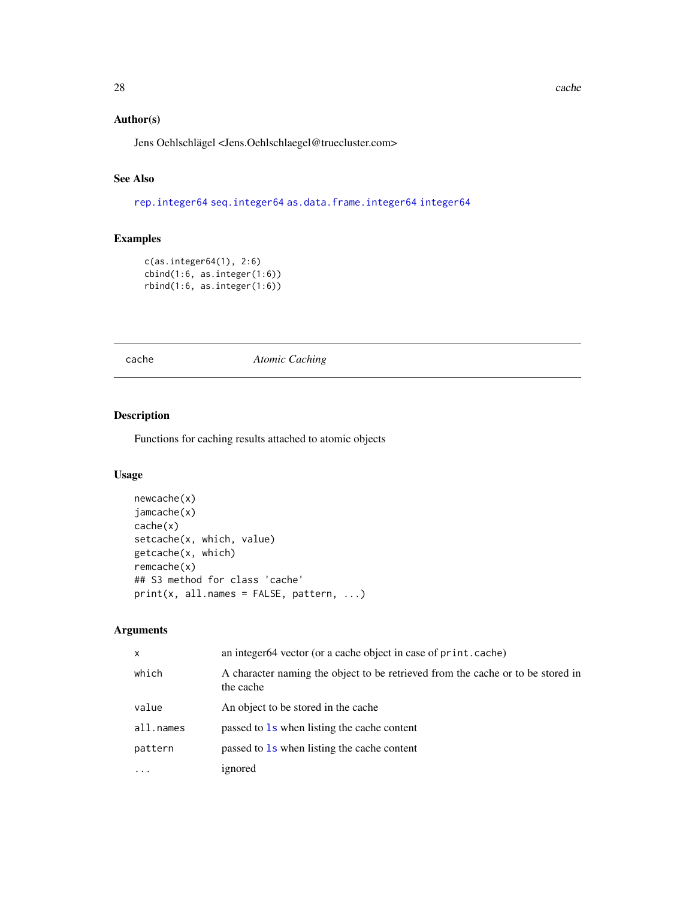# <span id="page-27-0"></span>Author(s)

Jens Oehlschlägel <Jens.Oehlschlaegel@truecluster.com>

# See Also

[rep.integer64](#page-51-1) [seq.integer64](#page-53-1) [as.data.frame.integer64](#page-18-1) [integer64](#page-2-1)

# Examples

```
c(as.integer64(1), 2:6)
cbind(1:6, as.integer(1:6))
rbind(1:6, as.integer(1:6))
```
<span id="page-27-1"></span>cache *Atomic Caching*

# Description

Functions for caching results attached to atomic objects

# Usage

```
newcache(x)
jamcache(x)
cache(x)
setcache(x, which, value)
getcache(x, which)
remcache(x)
## S3 method for class 'cache'
print(x, all.names = FALSE, pattern, ...)
```
# Arguments

| $\mathsf{x}$ | an integer64 vector (or a cache object in case of print.cache)                               |
|--------------|----------------------------------------------------------------------------------------------|
| which        | A character naming the object to be retrieved from the cache or to be stored in<br>the cache |
| value        | An object to be stored in the cache.                                                         |
| all.names    | passed to 1s when listing the cache content                                                  |
| pattern      | passed to 1s when listing the cache content                                                  |
| $\cdots$     | ignored                                                                                      |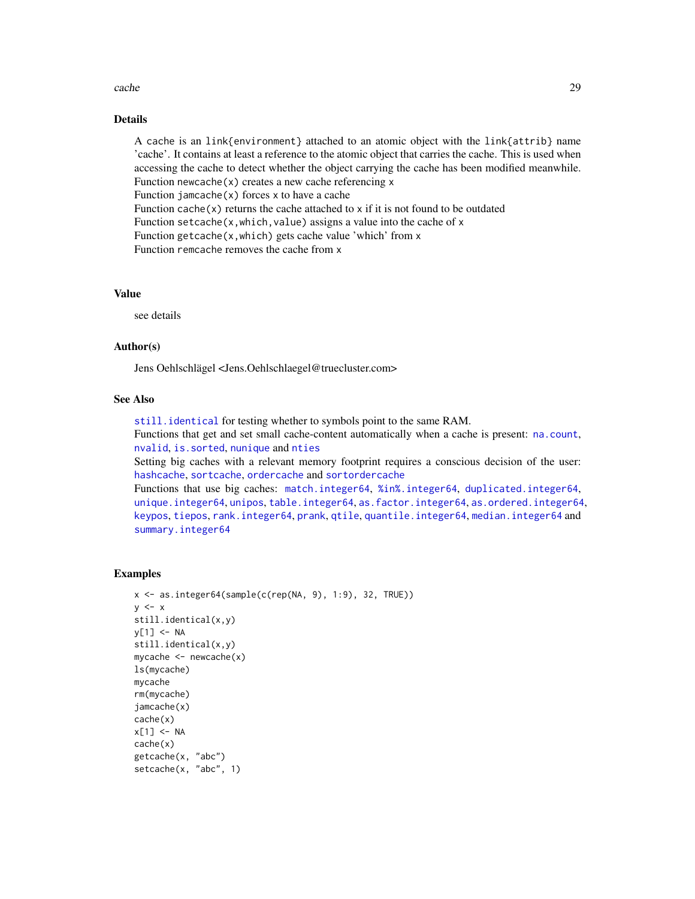#### cache 29

# Details

A cache is an link{environment} attached to an atomic object with the link{attrib} name 'cache'. It contains at least a reference to the atomic object that carries the cache. This is used when accessing the cache to detect whether the object carrying the cache has been modified meanwhile. Function newcache $(x)$  creates a new cache referencing  $x$ Function jamcache $(x)$  forces x to have a cache Function cache $(x)$  returns the cache attached to x if it is not found to be outdated Function setcache(x, which, value) assigns a value into the cache of x Function getcache(x,which) gets cache value 'which' from x Function remcache removes the cache from x

# Value

see details

# Author(s)

Jens Oehlschlägel <Jens.Oehlschlaegel@truecluster.com>

# See Also

[still.identical](#page-0-0) for testing whether to symbols point to the same RAM. Functions that get and set small cache-content automatically when a cache is present: [na.count](#page-0-0), [nvalid](#page-0-0), [is.sorted](#page-0-0), [nunique](#page-0-0) and [nties](#page-0-0) Setting big caches with a relevant memory footprint requires a conscious decision of the user: [hashcache](#page-34-1), [sortcache](#page-34-2), [ordercache](#page-34-2) and [sortordercache](#page-34-2) Functions that use big caches: [match.integer64](#page-42-1), [%in%.integer64](#page-42-2), [duplicated.integer64](#page-30-1), [unique.integer64](#page-64-1), [unipos](#page-63-2), [table.integer64](#page-60-1), [as.factor.integer64](#page-17-1), [as.ordered.integer64](#page-17-1), [keypos](#page-40-2), [tiepos](#page-62-2), [rank.integer64](#page-50-1), [prank](#page-45-1), [qtile](#page-46-2), [quantile.integer64](#page-46-1), [median.integer64](#page-46-1) and

```
summary.integer64
```
#### Examples

```
x \le - as.integer64(sample(c(rep(NA, 9), 1:9), 32, TRUE))
y \leq -xstill.identical(x,y)
y[1] <- NA
still.identical(x,y)
mycache \leq newcache(x)ls(mycache)
mycache
rm(mycache)
jamcache(x)
cache(x)
x[1] <- NA
cache(x)
getcache(x, "abc")
setcache(x, "abc", 1)
```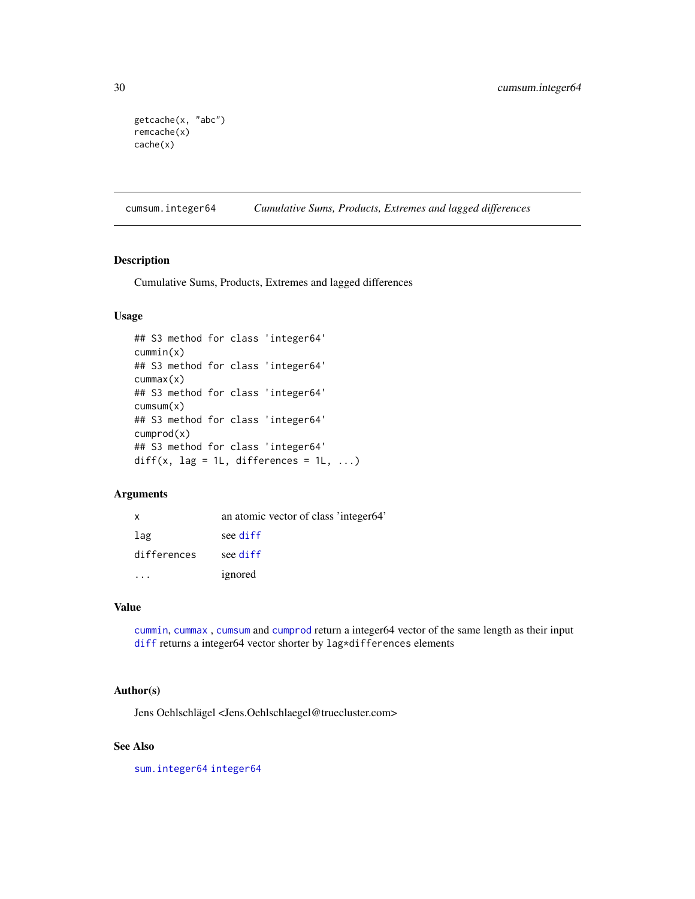```
getcache(x, "abc")
remcache(x)
cache(x)
```
<span id="page-29-2"></span>cumsum.integer64 *Cumulative Sums, Products, Extremes and lagged differences*

### <span id="page-29-1"></span>Description

Cumulative Sums, Products, Extremes and lagged differences

### Usage

```
## S3 method for class 'integer64'
cummin(x)
## S3 method for class 'integer64'
cummax(x)
## S3 method for class 'integer64'
cumsum(x)
## S3 method for class 'integer64'
cumprod(x)
## S3 method for class 'integer64'
diff(x, \text{lag} = 1L, differences = 1L, ...)
```
# Arguments

| $\mathsf{X}$ | an atomic vector of class 'integer64' |
|--------------|---------------------------------------|
| lag          | see diff                              |
| differences  | see diff                              |
|              | ignored                               |

# Value

[cummin](#page-0-0), [cummax](#page-0-0) , [cumsum](#page-0-0) and [cumprod](#page-0-0) return a integer64 vector of the same length as their input [diff](#page-0-0) returns a integer64 vector shorter by lag\*differences elements

# Author(s)

Jens Oehlschlägel <Jens.Oehlschlaegel@truecluster.com>

# See Also

[sum.integer64](#page-59-2) [integer64](#page-2-1)

<span id="page-29-0"></span>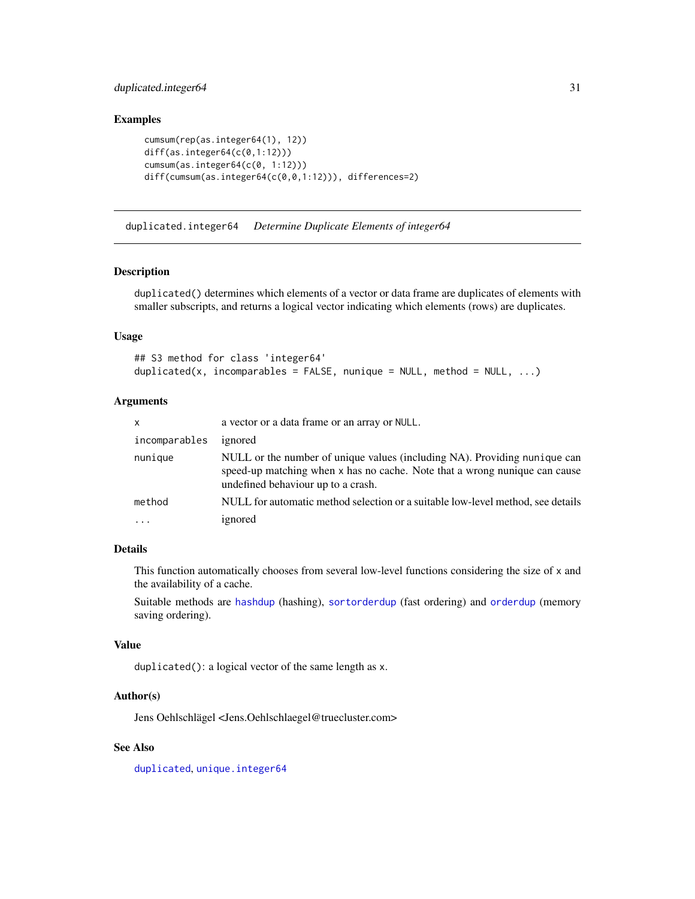# <span id="page-30-0"></span>duplicated.integer64 31

# Examples

```
cumsum(rep(as.integer64(1), 12))
diff(as.integer64(c(0,1:12)))
cumsum(as.integer64(c(0, 1:12)))
diff(cumsum(as.integer64(c(0,0,1:12))), differences=2)
```
<span id="page-30-1"></span>duplicated.integer64 *Determine Duplicate Elements of integer64*

#### Description

duplicated() determines which elements of a vector or data frame are duplicates of elements with smaller subscripts, and returns a logical vector indicating which elements (rows) are duplicates.

# Usage

```
## S3 method for class 'integer64'
duplicated(x, incomparables = FALSE, nunique = NULL, method = NULL, \dots)
```
# Arguments

| x             | a vector or a data frame or an array or NULL.                                                                                                                                                 |
|---------------|-----------------------------------------------------------------------------------------------------------------------------------------------------------------------------------------------|
| incomparables | ignored                                                                                                                                                                                       |
| nunique       | NULL or the number of unique values (including NA). Providing nunique can<br>speed-up matching when x has no cache. Note that a wrong nunique can cause<br>undefined behaviour up to a crash. |
| method        | NULL for automatic method selection or a suitable low-level method, see details                                                                                                               |
| .             | ignored                                                                                                                                                                                       |

# Details

This function automatically chooses from several low-level functions considering the size of x and the availability of a cache.

Suitable methods are [hashdup](#page-35-2) (hashing), [sortorderdup](#page-55-1) (fast ordering) and [orderdup](#page-55-1) (memory saving ordering).

#### Value

duplicated(): a logical vector of the same length as x.

### Author(s)

Jens Oehlschlägel <Jens.Oehlschlaegel@truecluster.com>

# See Also

[duplicated](#page-0-0), [unique.integer64](#page-64-1)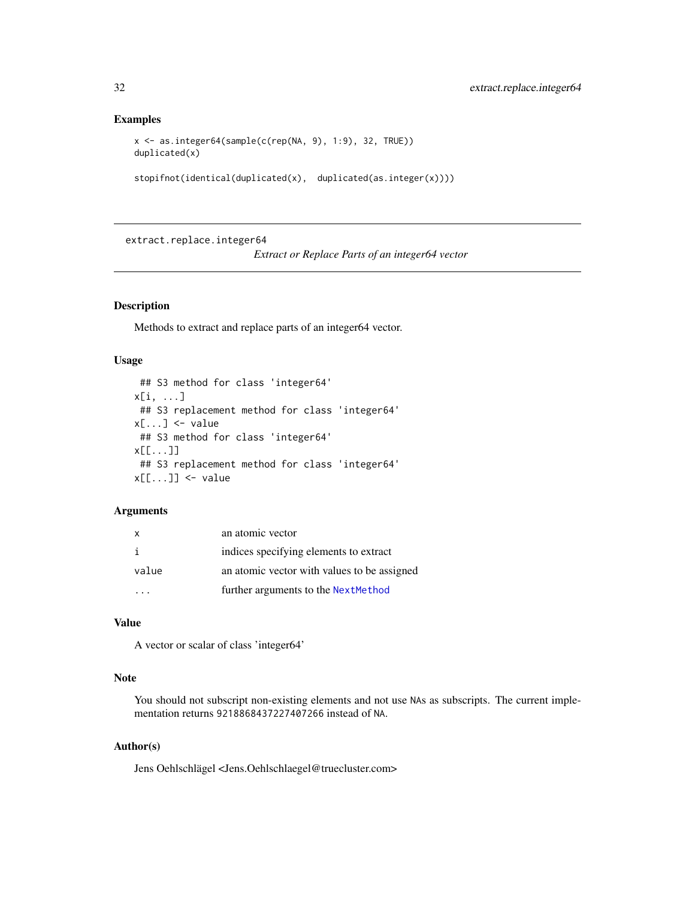#### <span id="page-31-0"></span>Examples

```
x <- as.integer64(sample(c(rep(NA, 9), 1:9), 32, TRUE))
duplicated(x)
```

```
stopifnot(identical(duplicated(x), duplicated(as.integer(x))))
```
extract.replace.integer64

*Extract or Replace Parts of an integer64 vector*

# <span id="page-31-1"></span>Description

Methods to extract and replace parts of an integer64 vector.

#### Usage

```
## S3 method for class 'integer64'
x[i, ...]
## S3 replacement method for class 'integer64'
x[\ldots] <- value
## S3 method for class 'integer64'
x[[...]]
## S3 replacement method for class 'integer64'
x[[...]] <- value
```
### Arguments

| X     | an atomic vector                            |
|-------|---------------------------------------------|
| j.    | indices specifying elements to extract      |
| value | an atomic vector with values to be assigned |
|       | further arguments to the Next Method        |

#### Value

A vector or scalar of class 'integer64'

# Note

You should not subscript non-existing elements and not use NAs as subscripts. The current implementation returns 9218868437227407266 instead of NA.

# Author(s)

Jens Oehlschlägel <Jens.Oehlschlaegel@truecluster.com>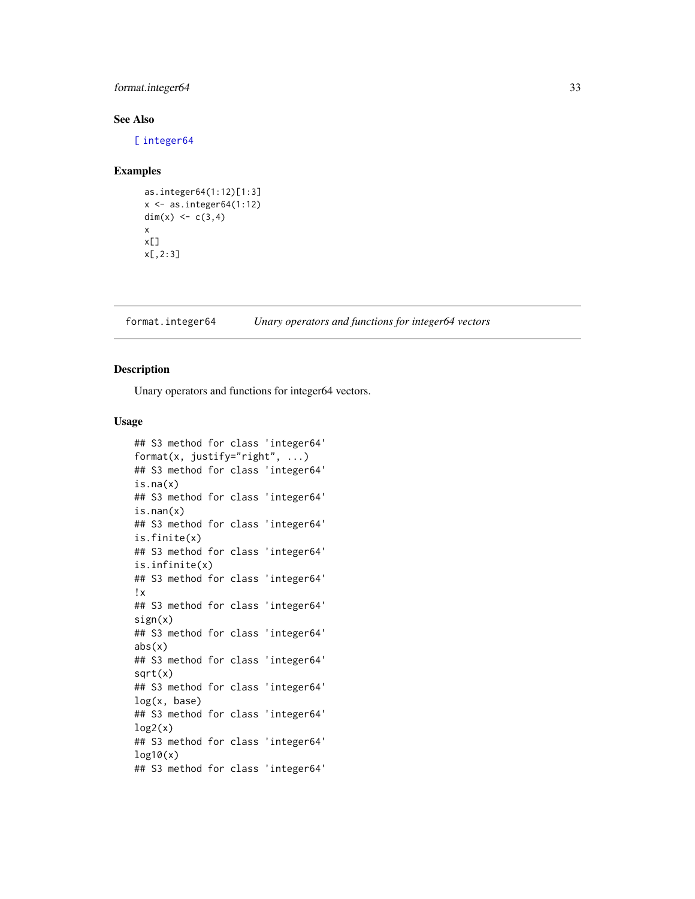# <span id="page-32-0"></span>format.integer64 33

# See Also

[\[](#page-0-0) [integer64](#page-2-1)

# Examples

```
as.integer64(1:12)[1:3]
x \leftarrow as.integer64(1:12)dim(x) <- c(3,4)x
x[]
x[,2:3]
```
<span id="page-32-2"></span>format.integer64 *Unary operators and functions for integer64 vectors*

# <span id="page-32-1"></span>Description

Unary operators and functions for integer64 vectors.

#### Usage

```
## S3 method for class 'integer64'
format(x, justify="right", ...)
## S3 method for class 'integer64'
is.na(x)
## S3 method for class 'integer64'
is.nan(x)
## S3 method for class 'integer64'
is.finite(x)
## S3 method for class 'integer64'
is.infinite(x)
## S3 method for class 'integer64'
!x
## S3 method for class 'integer64'
sign(x)
## S3 method for class 'integer64'
abs(x)## S3 method for class 'integer64'
sqrt(x)
## S3 method for class 'integer64'
log(x, base)
## S3 method for class 'integer64'
log2(x)## S3 method for class 'integer64'
log10(x)## S3 method for class 'integer64'
```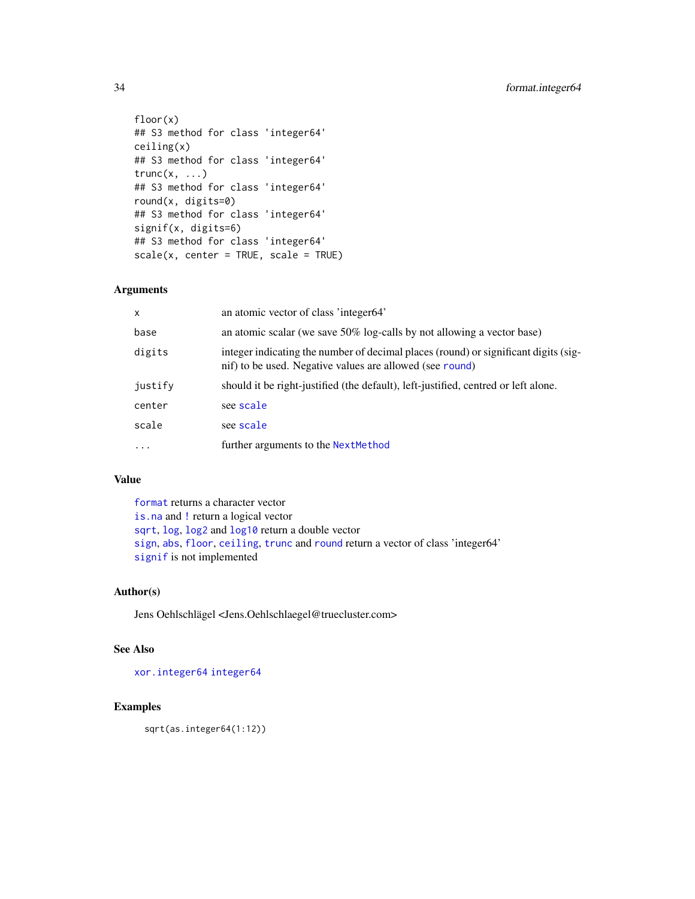```
floor(x)
## S3 method for class 'integer64'
ceiling(x)
## S3 method for class 'integer64'
trunc(x, \ldots)## S3 method for class 'integer64'
round(x, digits=0)
## S3 method for class 'integer64'
signif(x, digits=6)
## S3 method for class 'integer64'
scale(x, center = TRUE, scale = TRUE)
```
# Arguments

| $\mathsf{x}$ | an atomic vector of class 'integer64'                                                                                                           |
|--------------|-------------------------------------------------------------------------------------------------------------------------------------------------|
| base         | an atomic scalar (we save 50% log-calls by not allowing a vector base)                                                                          |
| digits       | integer indicating the number of decimal places (round) or significant digits (sig-<br>nif) to be used. Negative values are allowed (see round) |
| justify      | should it be right-justified (the default), left-justified, centred or left alone.                                                              |
| center       | see scale                                                                                                                                       |
| scale        | see scale                                                                                                                                       |
| $\cdots$     | further arguments to the NextMethod                                                                                                             |

# Value

[format](#page-0-0) returns a character vector [is.na](#page-0-0) and [!](#page-0-0) return a logical vector [sqrt](#page-0-0), [log](#page-0-0), [log2](#page-0-0) and [log10](#page-0-0) return a double vector [sign](#page-0-0), [abs](#page-0-0), [floor](#page-0-0), [ceiling](#page-0-0), [trunc](#page-0-0) and [round](#page-0-0) return a vector of class 'integer64' [signif](#page-0-0) is not implemented

# Author(s)

Jens Oehlschlägel <Jens.Oehlschlaegel@truecluster.com>

# See Also

[xor.integer64](#page-66-2) [integer64](#page-2-1)

# Examples

sqrt(as.integer64(1:12))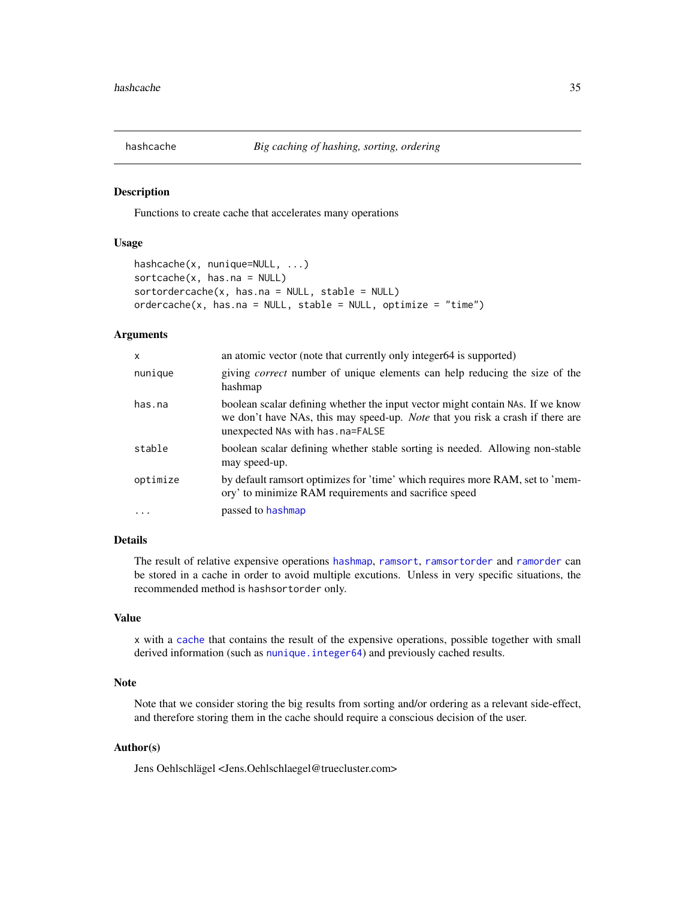<span id="page-34-1"></span><span id="page-34-0"></span>

#### <span id="page-34-2"></span>Description

Functions to create cache that accelerates many operations

# Usage

```
hashcache(x, nunique=NULL, ...)
sortcache(x, has.na = NULL)
sortordercache(x, has.na = NULL, stable = NULL)
ordercache(x, has.na = NULL, stable = NULL, optimize = "time")
```
#### **Arguments**

| $\mathsf{x}$ | an atomic vector (note that currently only integer64 is supported)                                                                                                                                           |
|--------------|--------------------------------------------------------------------------------------------------------------------------------------------------------------------------------------------------------------|
| nunique      | giving <i>correct</i> number of unique elements can help reducing the size of the<br>hashmap                                                                                                                 |
| has.na       | boolean scalar defining whether the input vector might contain NAS. If we know<br>we don't have NAs, this may speed-up. <i>Note</i> that you risk a crash if there are<br>unexpected NAs with has . na=FALSE |
| stable       | boolean scalar defining whether stable sorting is needed. Allowing non-stable<br>may speed-up.                                                                                                               |
| optimize     | by default ramsort optimizes for 'time' which requires more RAM, set to 'mem-<br>ory' to minimize RAM requirements and sacrifice speed                                                                       |
| $\cdot$      | passed to hashmap                                                                                                                                                                                            |

# Details

The result of relative expensive operations [hashmap](#page-35-1), [ramsort](#page-0-0), [ramsortorder](#page-0-0) and [ramorder](#page-0-0) can be stored in a cache in order to avoid multiple excutions. Unless in very specific situations, the recommended method is hashsortorder only.

# Value

x with a [cache](#page-27-1) that contains the result of the expensive operations, possible together with small derived information (such as [nunique.integer64](#page-39-1)) and previously cached results.

# Note

Note that we consider storing the big results from sorting and/or ordering as a relevant side-effect, and therefore storing them in the cache should require a conscious decision of the user.

# Author(s)

Jens Oehlschlägel <Jens.Oehlschlaegel@truecluster.com>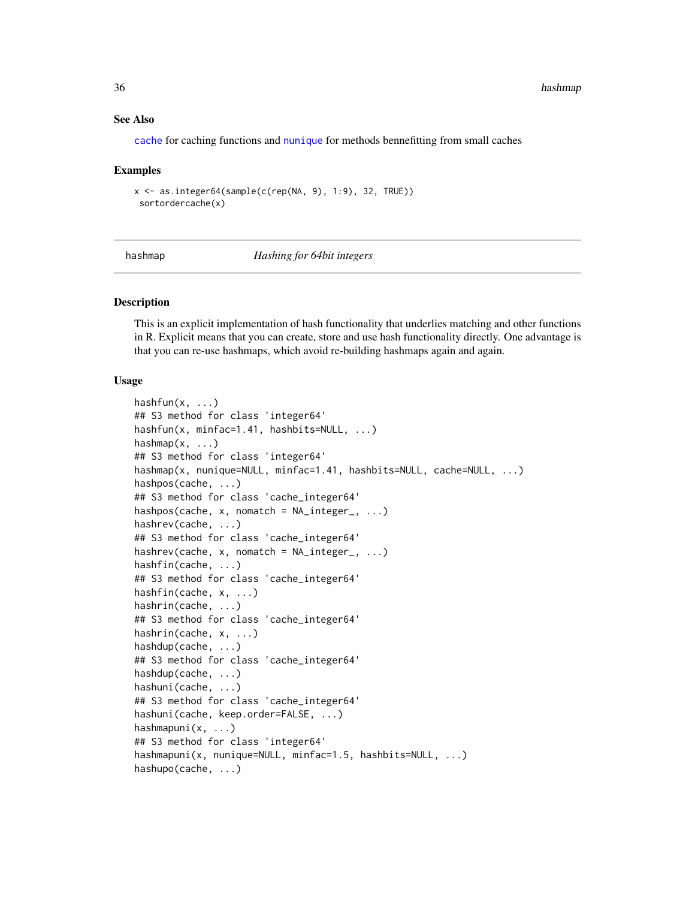#### See Also

[cache](#page-27-1) for caching functions and [nunique](#page-0-0) for methods bennefitting from small caches

#### Examples

```
x \le - as.integer64(sample(c(rep(NA, 9), 1:9), 32, TRUE))
sortordercache(x)
```
<span id="page-35-1"></span>hashmap *Hashing for 64bit integers*

### <span id="page-35-2"></span>Description

This is an explicit implementation of hash functionality that underlies matching and other functions in R. Explicit means that you can create, store and use hash functionality directly. One advantage is that you can re-use hashmaps, which avoid re-building hashmaps again and again.

## Usage

```
hashfun(x, \ldots)## S3 method for class 'integer64'
hashfun(x, minfac=1.41, hashbits=NULL, ...)
hashmap(x, \ldots)## S3 method for class 'integer64'
hashmap(x, nunique=NULL, minfac=1.41, hashbits=NULL, cache=NULL, ...)
hashpos(cache, ...)
## S3 method for class 'cache_integer64'
hashpos(cache, x, nomatch = NA\_integer_, ...)
hashrev(cache, ...)
## S3 method for class 'cache_integer64'
hashrev(cache, x, nomatch = NA_integer_, ...)
hashfin(cache, ...)
## S3 method for class 'cache_integer64'
hashfin(cache, x, ...)
hashrin(cache, ...)
## S3 method for class 'cache_integer64'
hashrin(cache, x, ...)
hashdup(cache, ...)
## S3 method for class 'cache_integer64'
hashdup(cache, ...)
hashuni(cache, ...)
## S3 method for class 'cache_integer64'
hashuni(cache, keep.order=FALSE, ...)
hashmapuni(x, ...)
## S3 method for class 'integer64'
hashmapuni(x, nunique=NULL, minfac=1.5, hashbits=NULL, ...)
hashupo(cache, ...)
```
<span id="page-35-0"></span>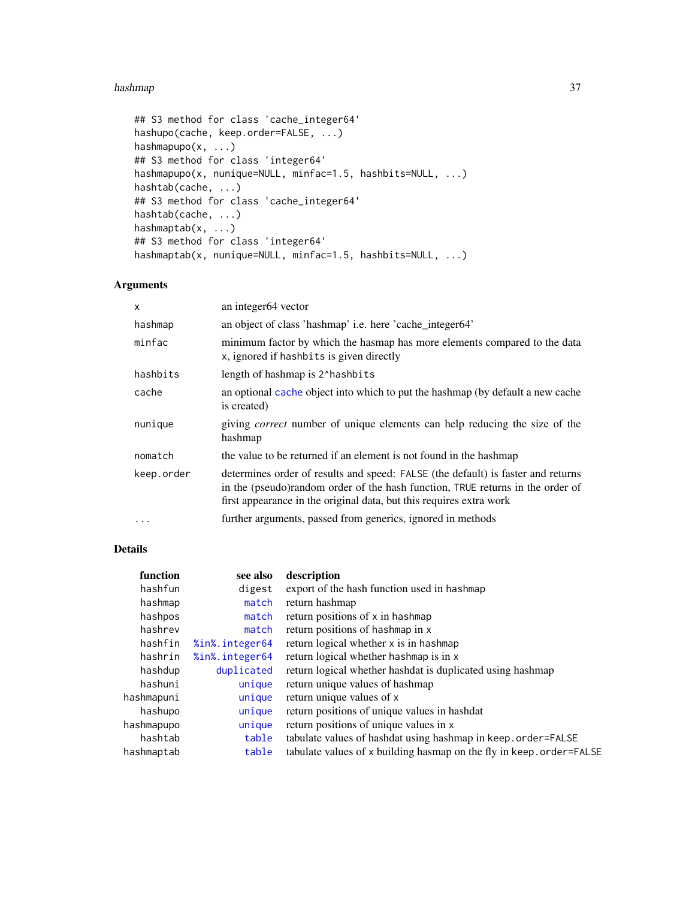#### <span id="page-36-0"></span>hashmap 37

```
## S3 method for class 'cache_integer64'
hashupo(cache, keep.order=FALSE, ...)
hashmapupo(x, ...)
## S3 method for class 'integer64'
hashmapupo(x, nunique=NULL, minfac=1.5, hashbits=NULL, ...)
hashtab(cache, ...)
## S3 method for class 'cache_integer64'
hashtab(cache, ...)
hashmaptab(x, ...)
## S3 method for class 'integer64'
hashmaptab(x, nunique=NULL, minfac=1.5, hashbits=NULL, ...)
```
# Arguments

| X          | an integer64 vector                                                                                                                                                                                                                       |
|------------|-------------------------------------------------------------------------------------------------------------------------------------------------------------------------------------------------------------------------------------------|
| hashmap    | an object of class 'hashmap' i.e. here 'cache_integer64'                                                                                                                                                                                  |
| minfac     | minimum factor by which the hasmap has more elements compared to the data<br>x, ignored if hashbits is given directly                                                                                                                     |
| hashbits   | length of hashmap is 2^hashbits                                                                                                                                                                                                           |
| cache      | an optional cache object into which to put the hashmap (by default a new cache<br>is created)                                                                                                                                             |
| nunique    | giving <i>correct</i> number of unique elements can help reducing the size of the<br>hashmap                                                                                                                                              |
| nomatch    | the value to be returned if an element is not found in the hashmap                                                                                                                                                                        |
| keep.order | determines order of results and speed: FALSE (the default) is faster and returns<br>in the (pseudo)random order of the hash function, TRUE returns in the order of<br>first appearance in the original data, but this requires extra work |
| $\cdots$   | further arguments, passed from generics, ignored in methods                                                                                                                                                                               |

# Details

| function   | see also       | description                                                          |
|------------|----------------|----------------------------------------------------------------------|
| hashfun    | digest         | export of the hash function used in hashmap                          |
| hashmap    | match          | return hashmap                                                       |
| hashpos    | match          | return positions of x in hashmap                                     |
| hashrev    | match          | return positions of hashmap in x                                     |
| hashfin    | %in%.integer64 | return logical whether x is in hashmap                               |
| hashrin    | %in%.integer64 | return logical whether hashmap is in x                               |
| hashdup    | duplicated     | return logical whether hashdat is duplicated using hashmap           |
| hashuni    | unique         | return unique values of hashmap                                      |
| hashmapuni | unique         | return unique values of x                                            |
| hashupo    | unique         | return positions of unique values in hashdat                         |
| hashmapupo | unique         | return positions of unique values in x                               |
| hashtab    | table          | tabulate values of hashdat using hashmap in keep.order=FALSE         |
| hashmaptab | table          | tabulate values of x building hasmap on the fly in keep. order=FALSE |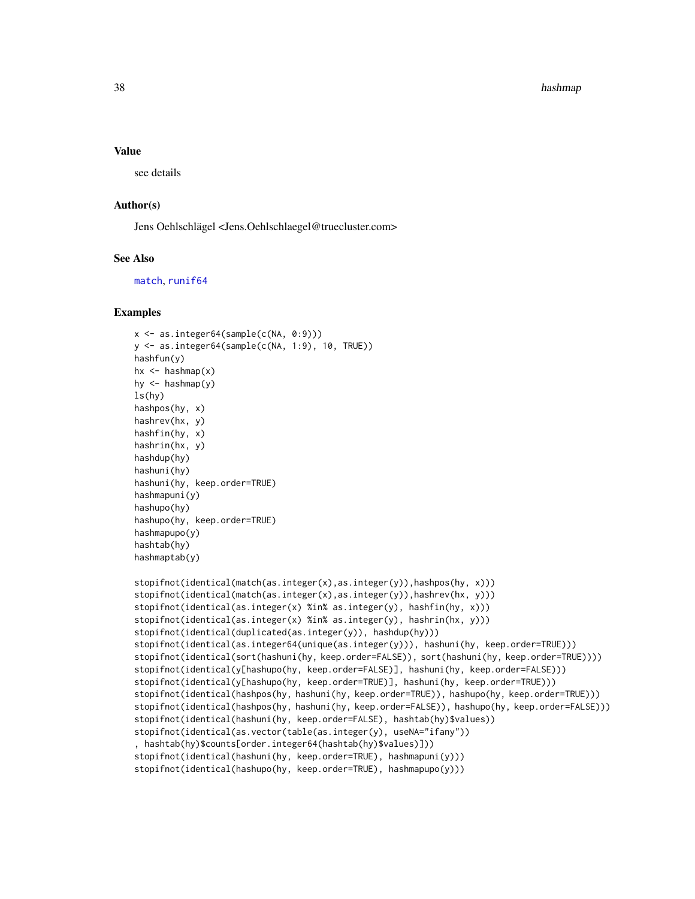## <span id="page-37-0"></span>Value

see details

# Author(s)

Jens Oehlschlägel <Jens.Oehlschlaegel@truecluster.com>

## See Also

[match](#page-42-0), [runif64](#page-52-0)

#### Examples

```
x <- as.integer64(sample(c(NA, 0:9)))
y <- as.integer64(sample(c(NA, 1:9), 10, TRUE))
hashfun(y)
hx \leftarrow hashmap(x)hy \leftarrow hashmap(y)
ls(hy)
hashpos(hy, x)
hashrev(hx, y)
hashfin(hy, x)
hashrin(hx, y)
hashdup(hy)
hashuni(hy)
hashuni(hy, keep.order=TRUE)
hashmapuni(y)
hashupo(hy)
hashupo(hy, keep.order=TRUE)
hashmapupo(y)
hashtab(hy)
hashmaptab(y)
stopifnot(identical(match(as.integer(x),as.integer(y)),hashpos(hy, x)))
stopifnot(identical(match(as.integer(x),as.integer(y)),hashrev(hx, y)))
stopifnot(identical(as.integer(x) %in% as.integer(y), hashfin(hy, x)))
stopifnot(identical(as.integer(x) %in% as.integer(y), hashrin(hx, y)))
stopifnot(identical(duplicated(as.integer(y)), hashdup(hy)))
stopifnot(identical(as.integer64(unique(as.integer(y))), hashuni(hy, keep.order=TRUE)))
stopifnot(identical(sort(hashuni(hy, keep.order=FALSE)), sort(hashuni(hy, keep.order=TRUE))))
stopifnot(identical(y[hashupo(hy, keep.order=FALSE)], hashuni(hy, keep.order=FALSE)))
stopifnot(identical(y[hashupo(hy, keep.order=TRUE)], hashuni(hy, keep.order=TRUE)))
stopifnot(identical(hashpos(hy, hashuni(hy, keep.order=TRUE)), hashupo(hy, keep.order=TRUE)))
stopifnot(identical(hashpos(hy, hashuni(hy, keep.order=FALSE)), hashupo(hy, keep.order=FALSE)))
stopifnot(identical(hashuni(hy, keep.order=FALSE), hashtab(hy)$values))
stopifnot(identical(as.vector(table(as.integer(y), useNA="ifany"))
, hashtab(hy)$counts[order.integer64(hashtab(hy)$values)]))
stopifnot(identical(hashuni(hy, keep.order=TRUE), hashmapuni(y)))
stopifnot(identical(hashupo(hy, keep.order=TRUE), hashmapupo(y)))
```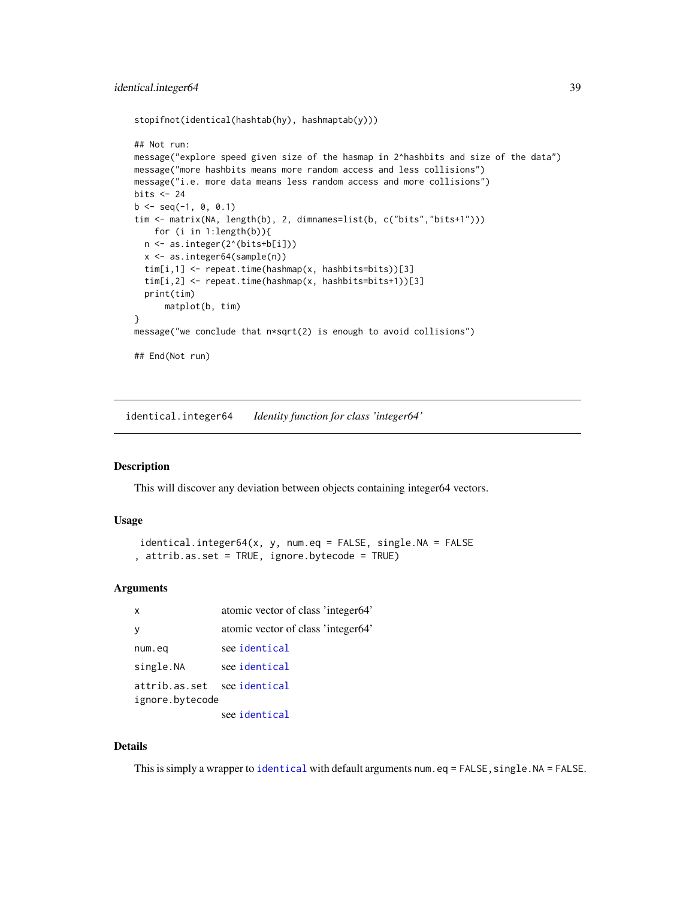```
stopifnot(identical(hashtab(hy), hashmaptab(y)))
## Not run:
message("explore speed given size of the hasmap in 2^hashbits and size of the data")
message("more hashbits means more random access and less collisions")
message("i.e. more data means less random access and more collisions")
bits <-24b \leq -\text{seq}(-1, 0, 0.1)tim <- matrix(NA, length(b), 2, dimnames=list(b, c("bits","bits+1")))
    for (i in 1:length(b)){
  n <- as.integer(2^(bits+b[i]))
  x <- as.integer64(sample(n))
  tim[i,1] <- repeat.time(hashmap(x, hashbits=bits))[3]
  tim[i,2] <- repeat.time(hashmap(x, hashbits=bits+1))[3]
  print(tim)
      matplot(b, tim)
}
message("we conclude that n*sqrt(2) is enough to avoid collisions")
## End(Not run)
```
identical.integer64 *Identity function for class 'integer64'*

## Description

This will discover any deviation between objects containing integer64 vectors.

## Usage

```
identical.integer64(x, y, num.eq = FALSE, single.NA = FALSE
, attrib.as.set = TRUE, ignore.bytecode = TRUE)
```
# **Arguments**

| $\mathsf{x}$                     | atomic vector of class 'integer64' |
|----------------------------------|------------------------------------|
|                                  | atomic vector of class 'integer64' |
| num.eq                           | see identical                      |
| single.NA                        | see identical                      |
| attrib.as.set<br>ignore.bytecode | see identical                      |
|                                  | see identical                      |

#### Details

This is simply a wrapper to [identical](#page-0-0) with default arguments num.eq =  $FALSE, single.NA = FALSE.$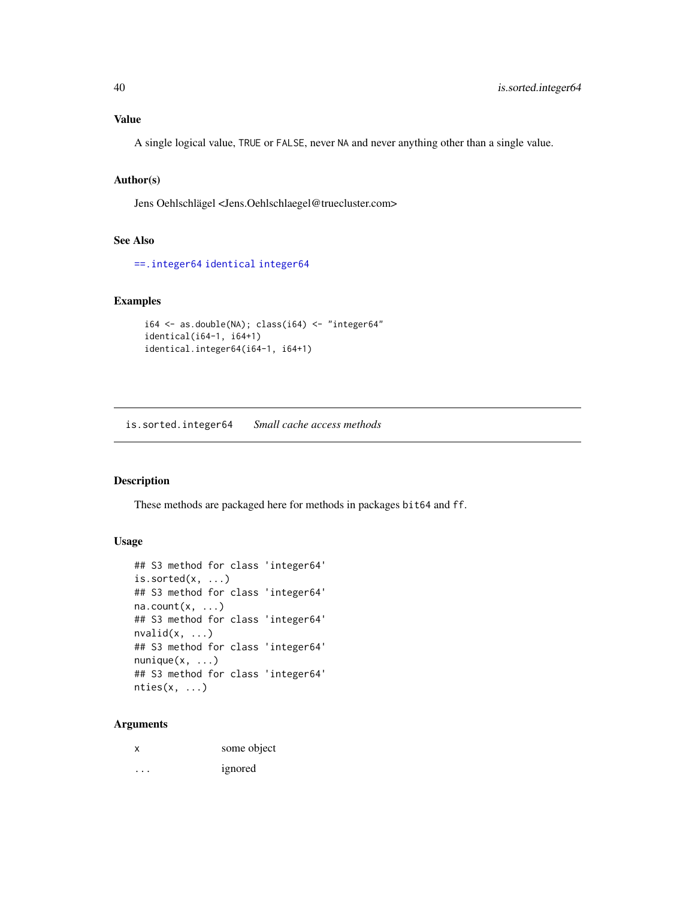# <span id="page-39-0"></span>Value

A single logical value, TRUE or FALSE, never NA and never anything other than a single value.

# Author(s)

Jens Oehlschlägel <Jens.Oehlschlaegel@truecluster.com>

# See Also

[==.integer64](#page-66-0) [identical](#page-0-0) [integer64](#page-2-0)

# Examples

```
i64 \leftarrow as.double(NA); class(i64) \leftarrow "integer64"
identical(i64-1, i64+1)
identical.integer64(i64-1, i64+1)
```
is.sorted.integer64 *Small cache access methods*

# Description

These methods are packaged here for methods in packages bit64 and ff.

# Usage

```
## S3 method for class 'integer64'
is.sorted(x, \ldots)## S3 method for class 'integer64'
na.count(x, ...)
## S3 method for class 'integer64'
nvalid(x, \ldots)## S3 method for class 'integer64'
nunique(x, \ldots)## S3 method for class 'integer64'
nties(x, ...)
```

|         | some object |
|---------|-------------|
| $\cdot$ | ignored     |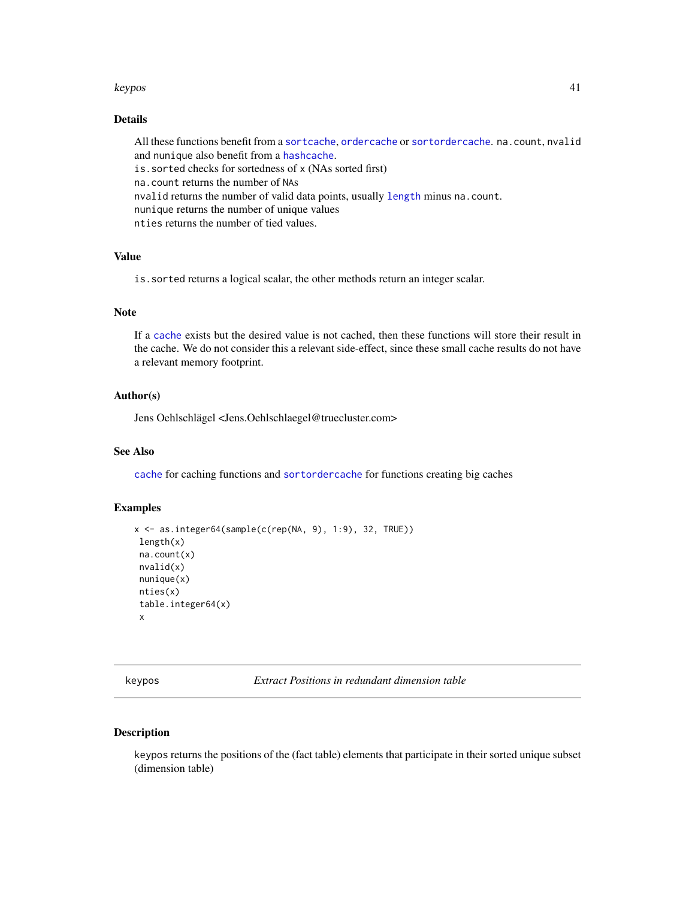#### <span id="page-40-0"></span>keypos 41

# Details

All these functions benefit from a [sortcache](#page-34-0), [ordercache](#page-34-0) or [sortordercache](#page-34-0). na.count, nvalid and nunique also benefit from a [hashcache](#page-34-1). is.sorted checks for sortedness of x (NAs sorted first) na.count returns the number of NAs nvalid returns the number of valid data points, usually [length](#page-0-0) minus na.count. nunique returns the number of unique values nties returns the number of tied values.

# Value

is.sorted returns a logical scalar, the other methods return an integer scalar.

# Note

If a [cache](#page-27-0) exists but the desired value is not cached, then these functions will store their result in the cache. We do not consider this a relevant side-effect, since these small cache results do not have a relevant memory footprint.

## Author(s)

Jens Oehlschlägel <Jens.Oehlschlaegel@truecluster.com>

#### See Also

[cache](#page-27-0) for caching functions and [sortordercache](#page-34-0) for functions creating big caches

## Examples

```
x <- as.integer64(sample(c(rep(NA, 9), 1:9), 32, TRUE))
length(x)
na.count(x)
nvalid(x)
nunique(x)
nties(x)
table.integer64(x)
 x
```
keypos *Extract Positions in redundant dimension table*

## Description

keypos returns the positions of the (fact table) elements that participate in their sorted unique subset (dimension table)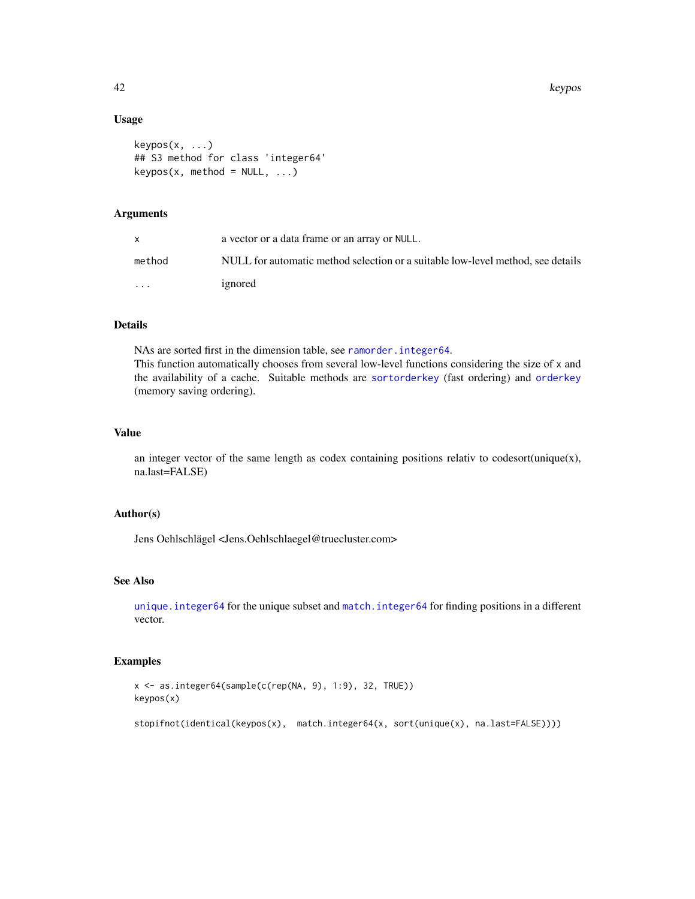# Usage

```
keypos(x, ...)
## S3 method for class 'integer64'
keypos(x, method = NULL, ...)
```
# Arguments

|                         | a vector or a data frame or an array or NULL.                                   |
|-------------------------|---------------------------------------------------------------------------------|
| method                  | NULL for automatic method selection or a suitable low-level method, see details |
| $\cdot$ $\cdot$ $\cdot$ | ignored                                                                         |

# Details

NAs are sorted first in the dimension table, see [ramorder.integer64](#page-48-0). This function automatically chooses from several low-level functions considering the size of x and the availability of a cache. Suitable methods are [sortorderkey](#page-55-0) (fast ordering) and [orderkey](#page-55-0) (memory saving ordering).

## Value

an integer vector of the same length as codex containing positions relativ to codesort(unique $(x)$ , na.last=FALSE)

# Author(s)

Jens Oehlschlägel <Jens.Oehlschlaegel@truecluster.com>

# See Also

[unique.integer64](#page-64-0) for the unique subset and [match.integer64](#page-42-0) for finding positions in a different vector.

# Examples

```
x <- as.integer64(sample(c(rep(NA, 9), 1:9), 32, TRUE))
keypos(x)
```
stopifnot(identical(keypos(x), match.integer64(x, sort(unique(x), na.last=FALSE))))

<span id="page-41-0"></span>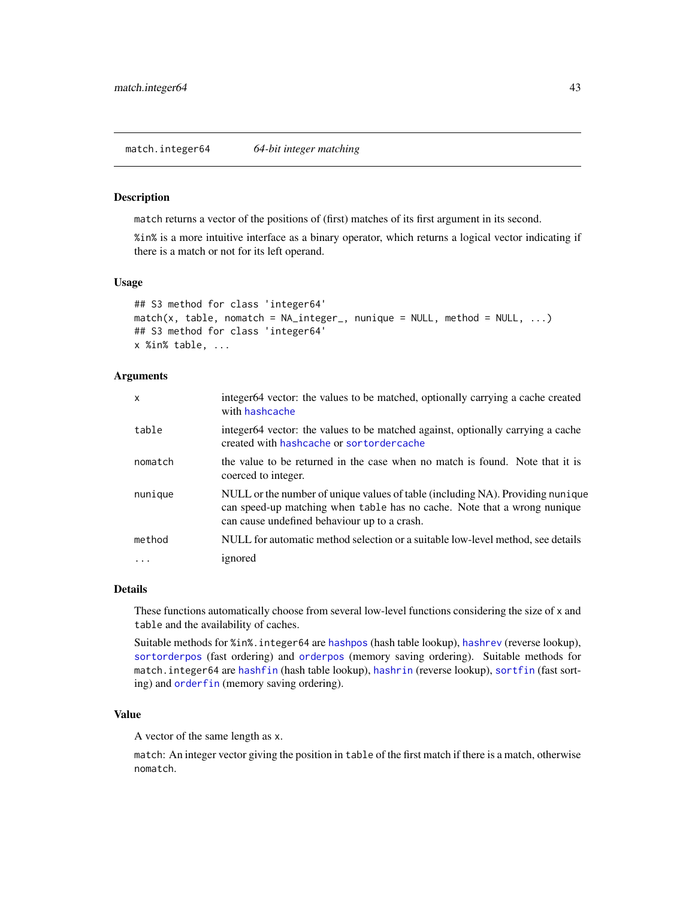<span id="page-42-2"></span><span id="page-42-0"></span>match.integer64 *64-bit integer matching*

#### <span id="page-42-1"></span>Description

match returns a vector of the positions of (first) matches of its first argument in its second.

%in% is a more intuitive interface as a binary operator, which returns a logical vector indicating if there is a match or not for its left operand.

## Usage

```
## S3 method for class 'integer64'
match(x, table, momenth = NA_interest_, nunique = NULL, method = NULL, ...)
## S3 method for class 'integer64'
x %in% table, ...
```
#### Arguments

| $\mathsf{x}$ | integer64 vector: the values to be matched, optionally carrying a cache created<br>with hashcache                                                                                                          |
|--------------|------------------------------------------------------------------------------------------------------------------------------------------------------------------------------------------------------------|
| table        | integer64 vector: the values to be matched against, optionally carrying a cache<br>created with hashcache or sortordercache                                                                                |
| nomatch      | the value to be returned in the case when no match is found. Note that it is<br>coerced to integer.                                                                                                        |
| nunique      | NULL or the number of unique values of table (including NA). Providing nunique<br>can speed-up matching when table has no cache. Note that a wrong nunique<br>can cause undefined behaviour up to a crash. |
| method       | NULL for automatic method selection or a suitable low-level method, see details                                                                                                                            |
|              | ignored                                                                                                                                                                                                    |

## Details

These functions automatically choose from several low-level functions considering the size of x and table and the availability of caches.

Suitable methods for %in%.integer64 are [hashpos](#page-35-0) (hash table lookup), [hashrev](#page-35-0) (reverse lookup), [sortorderpos](#page-55-0) (fast ordering) and [orderpos](#page-55-0) (memory saving ordering). Suitable methods for match.integer64 are [hashfin](#page-35-0) (hash table lookup), [hashrin](#page-35-0) (reverse lookup), [sortfin](#page-55-0) (fast sorting) and [orderfin](#page-55-0) (memory saving ordering).

# Value

A vector of the same length as x.

match: An integer vector giving the position in table of the first match if there is a match, otherwise nomatch.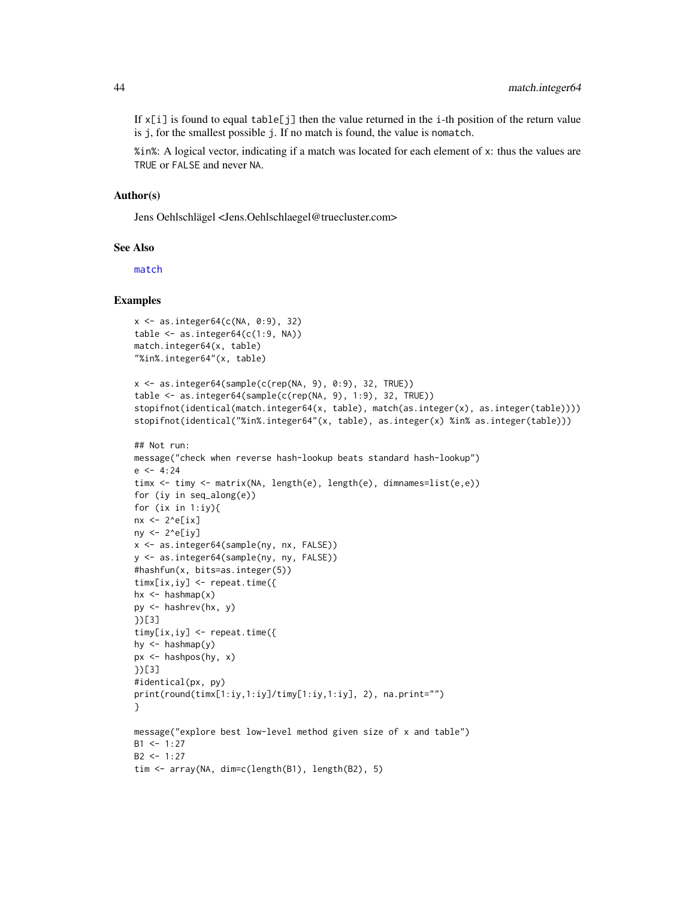<span id="page-43-0"></span>If  $x[i]$  is found to equal table[j] then the value returned in the i-th position of the return value is j, for the smallest possible j. If no match is found, the value is nomatch.

%in%: A logical vector, indicating if a match was located for each element of x: thus the values are TRUE or FALSE and never NA.

#### Author(s)

Jens Oehlschlägel <Jens.Oehlschlaegel@truecluster.com>

#### See Also

[match](#page-24-0)

#### Examples

```
x <- as.integer64(c(NA, 0:9), 32)
table \leq as. integer64(c(1:9, NA))
match.integer64(x, table)
"%in%.integer64"(x, table)
x \le - as.integer64(sample(c(rep(NA, 9), 0:9), 32, TRUE))
table <- as.integer64(sample(c(rep(NA, 9), 1:9), 32, TRUE))
stopifnot(identical(match.integer64(x, table), match(as.integer(x), as.integer(table))))
stopifnot(identical("%in%.integer64"(x, table), as.integer(x) %in% as.integer(table)))
## Not run:
message("check when reverse hash-lookup beats standard hash-lookup")
e <- 4:24
timx <- timy <- matrix(NA, length(e), length(e), dimnames=list(e,e))
for (iy in seq_along(e))
for (ix in 1:iy){
nx < -2^e[ix]ny \leftarrow 2^e[iy]x <- as.integer64(sample(ny, nx, FALSE))
y <- as.integer64(sample(ny, ny, FALSE))
#hashfun(x, bits=as.integer(5))
timx[ix,iy] <- repeat.time({
hx \leftarrow hashmap(x)py <- hashrev(hx, y)
})[3]
timy[ix,iy] <- repeat.time({
hy \left\langle -\right\rangle hashmap(y)px <- hashpos(hy, x)
})[3]
#identical(px, py)
print(round(timx[1:iy,1:iy]/timy[1:iy,1:iy], 2), na.print="")
}
message("explore best low-level method given size of x and table")
B1 < -1:27B2 < -1:27tim <- array(NA, dim=c(length(B1), length(B2), 5)
```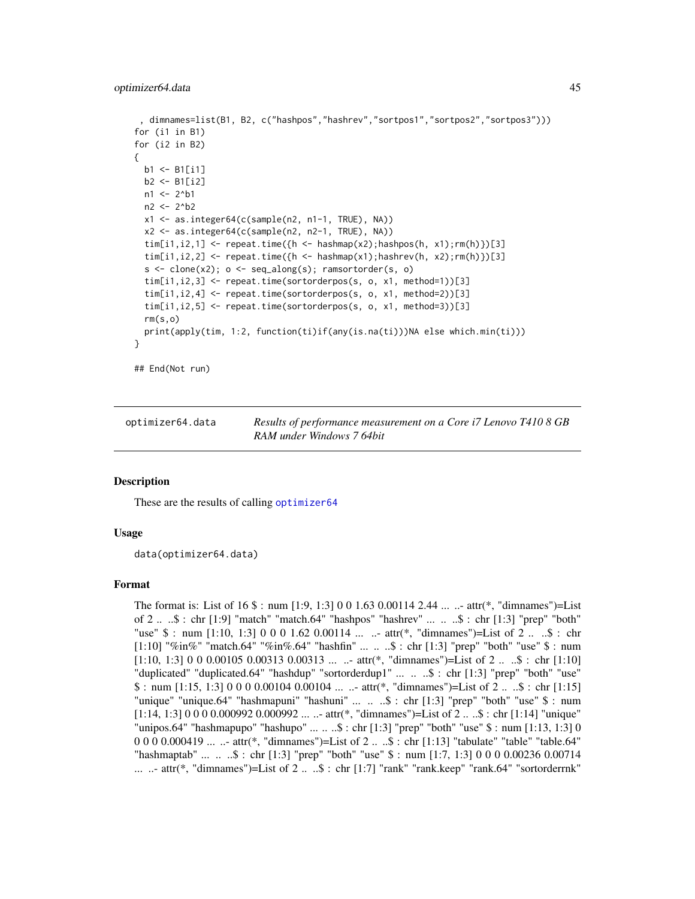```
, dimnames=list(B1, B2, c("hashpos","hashrev","sortpos1","sortpos2","sortpos3")))
for (i1 in B1)
for (i2 in B2)
{
  b1 <- B1[i1]
  b2 <- B1[i2]
  n1 < -2<sup>^</sup>b1
  n2 <- 2^b2
  x1 <- as.integer64(c(sample(n2, n1-1, TRUE), NA))
  x2 <- as.integer64(c(sample(n2, n2-1, TRUE), NA))
  \text{tim}[i1,i2,1] \leftarrow \text{repeat.time}(\{h \leftarrow \text{hashmap}(x2);\text{hashpos}(h, x1);\text{rm}(h)\})[3]tim[i1,i2,2] \leq repeat.time({h \leq hashmap(x1);hashrev(h, x2);rm(h)})[3]
  s \leq clone(x2); o \leq sc=seq\_along(s); ramsortorder(s, o)
  tim[i1,i2,3] <- repeat.time(sortorderpos(s, o, x1, method=1))[3]
  tim[i1,i2,4] <- repeat.time(sortorderpos(s, o, x1, method=2))[3]
  tim[i1,i2,5] <- repeat.time(sortorderpos(s, o, x1, method=3))[3]
  rm(s,o)
  print(apply(tim, 1:2, function(ti)if(any(is.na(ti)))NA else which.min(ti)))
}
```
## End(Not run)

| optimizer64.data | Results of performance measurement on a Core i7 Lenovo T410 8 GB |
|------------------|------------------------------------------------------------------|
|                  | RAM under Windows 7 64bit                                        |

#### **Description**

These are the results of calling [optimizer64](#page-20-0)

#### Usage

data(optimizer64.data)

## Format

The format is: List of 16 \$ : num [1:9, 1:3] 0 0 1.63 0.00114 2.44 ... ..- attr(\*, "dimnames")=List of 2 .. ..\$ : chr [1:9] "match" "match.64" "hashpos" "hashrev" ... .. ..\$ : chr [1:3] "prep" "both" "use" \$ : num [1:10, 1:3] 0 0 0 1.62 0.00114 ... ..- attr(\*, "dimnames")=List of 2 .. ..\$ : chr [1:10] "%in%" "match.64" "%in%.64" "hashfin" ... .. ..\$ : chr [1:3] "prep" "both" "use" \$ : num  $[1:10, 1:3]$  0 0 0.00105 0.00313 0.00313 ... ... attr(\*, "dimnames")=List of 2 ... \$ : chr  $[1:10]$ "duplicated" "duplicated.64" "hashdup" "sortorderdup1" ... .. ..\$ : chr [1:3] "prep" "both" "use"  $$ : num [1:15, 1:3] 0 0 0 0.00104 0.00104 ... ...$  attr(\*, "dimnames")=List of 2...\$ : chr [1:15] "unique" "unique.64" "hashmapuni" "hashuni" ... .. ..\$ : chr [1:3] "prep" "both" "use" \$ : num  $[1:14, 1:3]$  0 0 0 0.000992 0.000992 ... ..- attr(\*, "dimnames")=List of 2 ... \$ : chr [1:14] "unique" "unipos.64" "hashmapupo" "hashupo" ...  $\ldots$   $\ddots$ \$ : chr [1:3] "prep" "both" "use" \$ : num [1:13, 1:3] 0" 0 0 0 0.000419 ... ..- attr(\*, "dimnames")=List of 2 .. ..\$ : chr [1:13] "tabulate" "table" "table.64" "hashmaptab" ... .. ..\$ : chr [1:3] "prep" "both" "use" \$ : num [1:7, 1:3] 0 0 0 0.00236 0.00714 ... ..- attr(\*, "dimnames")=List of 2 ...  $\mathcal{S}$  : chr [1:7] "rank" "rank.keep" "rank.64" "sortorderrnk"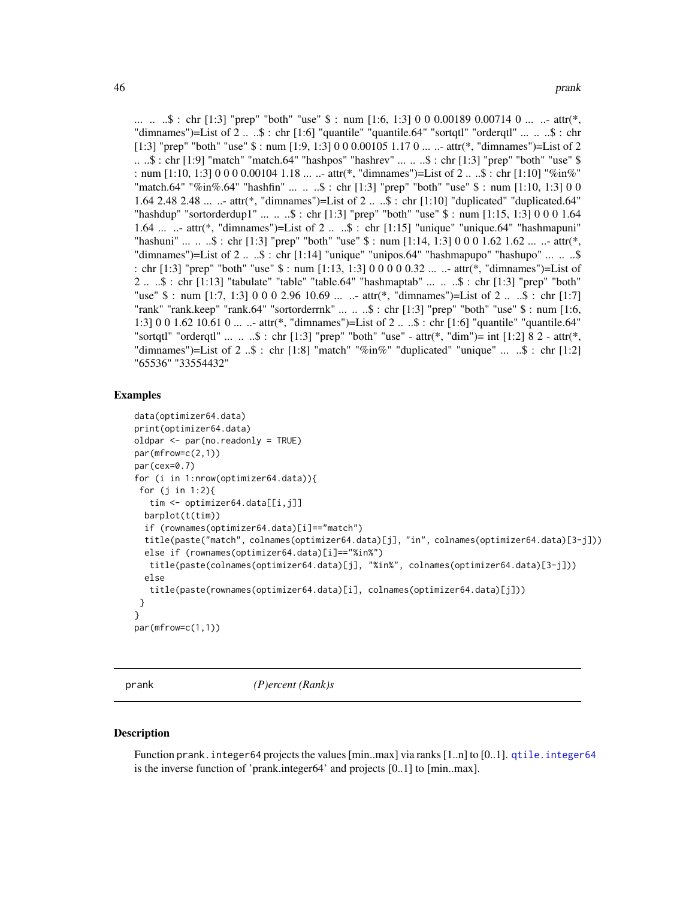<span id="page-45-2"></span>... ...  $\therefore$  : chr [1:3] "prep" "both" "use"  $\frac{1}{2}$  : num [1:6, 1:3] 0 0 0.00189 0.00714 0 ... ... attr(\*, "dimnames")=List of 2 .. ..\$ : chr [1:6] "quantile" "quantile.64" "sortqtl" "orderqtl" ... .. ..\$ : chr [1:3] "prep" "both" "use"  $\$\:$ : num [1:9, 1:3] 0 0 0.00105 1.17 0 ... ..- attr( $*$ , "dimnames")=List of 2 .. ..\$ : chr [1:9] "match" "match.64" "hashpos" "hashrev" ... .. ..\$ : chr [1:3] "prep" "both" "use" \$ : num [1:10, 1:3] 0 0 0 0.00104 1.18 ... ..- attr(\*, "dimnames")=List of 2 .. ..\$ : chr [1:10] "%in%" "match.64" "%in%.64" "hashfin" ... .. ..\$ : chr [1:3] "prep" "both" "use" \$ : num [1:10, 1:3] 0 0 1.64 2.48 2.48 ... ..- attr(\*, "dimnames")=List of 2 .. ..\$ : chr [1:10] "duplicated" "duplicated.64" "hashdup" "sortorderdup1" ... .. ..\$ : chr [1:3] "prep" "both" "use" \$ : num [1:15, 1:3] 0 0 0 1.64 1.64 ... ..- attr(\*, "dimnames")=List of 2 .. ..\$ : chr [1:15] "unique" "unique.64" "hashmapuni" "hashuni" ...  $\ldots$   $\therefore$   $\hat{s}$  : chr [1:3] "prep" "both" "use"  $\hat{s}$  : num [1:14, 1:3] 0 0 0 1.62 1.62 ...  $\ldots$ - attr(\*, "dimnames")=List of  $2 \ldots$ \$: chr [1:14] "unique" "unipos.64" "hashmapupo" "hashupo" ...  $\ldots$  ...\$ : chr [1:3] "prep" "both" "use" \$ : num [1:13, 1:3] 0 0 0 0 0.32 ... ..- attr(\*, "dimnames")=List of 2 .. ..\$ : chr [1:13] "tabulate" "table" "table.64" "hashmaptab" ... .. ..\$ : chr [1:3] "prep" "both" "use" \$ : num [1:7, 1:3] 0 0 0 2.96 10.69 ... ..- attr(\*, "dimnames")=List of 2 .. ..\$ : chr [1:7] "rank" "rank.keep" "rank.64" "sortorderrnk" ... .. ..\$ : chr [1:3] "prep" "both" "use" \$ : num [1:6, 1:3] 0 0 1.62 10.61 0 ... ..- attr(\*, "dimnames")=List of 2 .. ..\$ : chr [1:6] "quantile" "quantile.64" "sortqtl" "orderqtl" ... .. ..\$ : chr [1:3] "prep" "both" "use" - attr(\*, "dim")= int [1:2] 8 2 - attr(\*, "dimnames")=List of  $2 \dots$ \$ : chr [1:8] "match" "%in%" "duplicated" "unique" ...  $\therefore$ \$ : chr [1:2] "65536" "33554432"

#### Examples

```
data(optimizer64.data)
print(optimizer64.data)
oldpar <- par(no.readonly = TRUE)
par(mfrow=c(2,1))
par(cex=0.7)
for (i in 1:nrow(optimizer64.data)){
 for (j in 1:2){
  tim <- optimizer64.data[[i,j]]
 barplot(t(tim))
 if (rownames(optimizer64.data)[i]=="match")
 title(paste("match", colnames(optimizer64.data)[j], "in", colnames(optimizer64.data)[3-j]))
 else if (rownames(optimizer64.data)[i]=="%in%")
  title(paste(colnames(optimizer64.data)[j], "%in%", colnames(optimizer64.data)[3-j]))
 else
   title(paste(rownames(optimizer64.data)[i], colnames(optimizer64.data)[j]))
}
}
par(mfrow=c(1,1))
```
<span id="page-45-1"></span>

prank *(P)ercent (Rank)s*

#### <span id="page-45-0"></span>**Description**

Function prank.integer64 projects the values [min..max] via ranks [1..n] to [0..1]. [qtile.integer64](#page-46-0) is the inverse function of 'prank.integer64' and projects [0..1] to [min..max].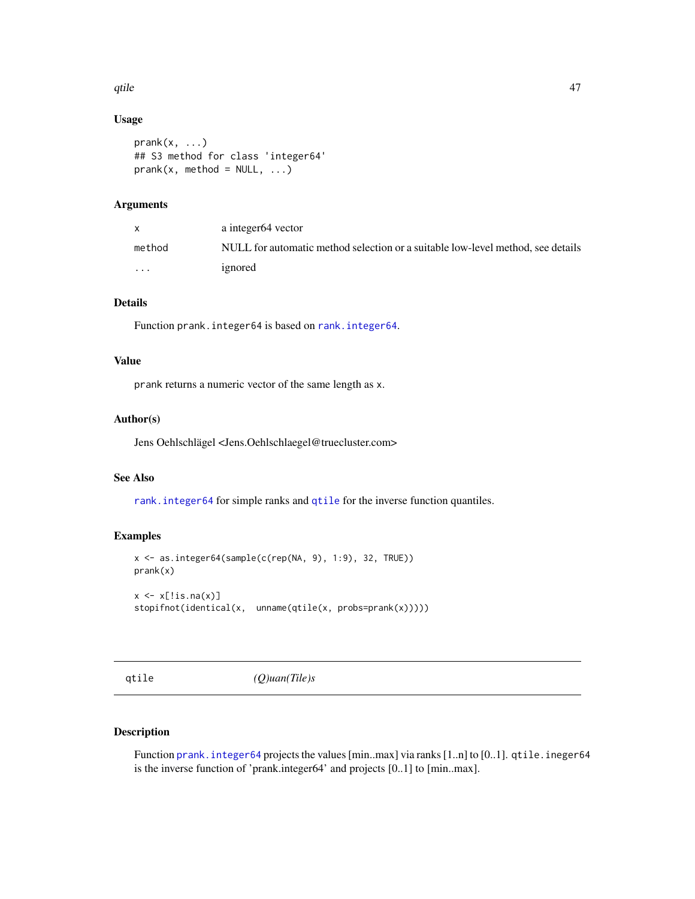#### <span id="page-46-2"></span>qtile the contract of the contract of the contract of the contract of the contract of the contract of the contract of the contract of the contract of the contract of the contract of the contract of the contract of the cont

## Usage

```
prank(x, \ldots)## S3 method for class 'integer64'
prank(x, method = NULL, ...)
```
# Arguments

|                         | a integer <sub>64</sub> vector                                                  |
|-------------------------|---------------------------------------------------------------------------------|
| method                  | NULL for automatic method selection or a suitable low-level method, see details |
| $\cdot$ $\cdot$ $\cdot$ | ignored                                                                         |

## Details

Function prank. integer64 is based on rank. integer64.

# Value

prank returns a numeric vector of the same length as x.

## Author(s)

Jens Oehlschlägel <Jens.Oehlschlaegel@truecluster.com>

# See Also

[rank.integer64](#page-50-0) for simple ranks and [qtile](#page-46-1) for the inverse function quantiles.

# Examples

```
x <- as.integer64(sample(c(rep(NA, 9), 1:9), 32, TRUE))
prank(x)
x \leftarrow x[:is.na(x)]stopifnot(identical(x, unname(qtile(x, probs=prank(x)))))
```
<span id="page-46-1"></span>qtile *(Q)uan(Tile)s*

# <span id="page-46-0"></span>Description

Function prank. integer64 projects the values [min..max] via ranks [1..n] to [0..1]. qtile. ineger64 is the inverse function of 'prank.integer64' and projects [0..1] to [min..max].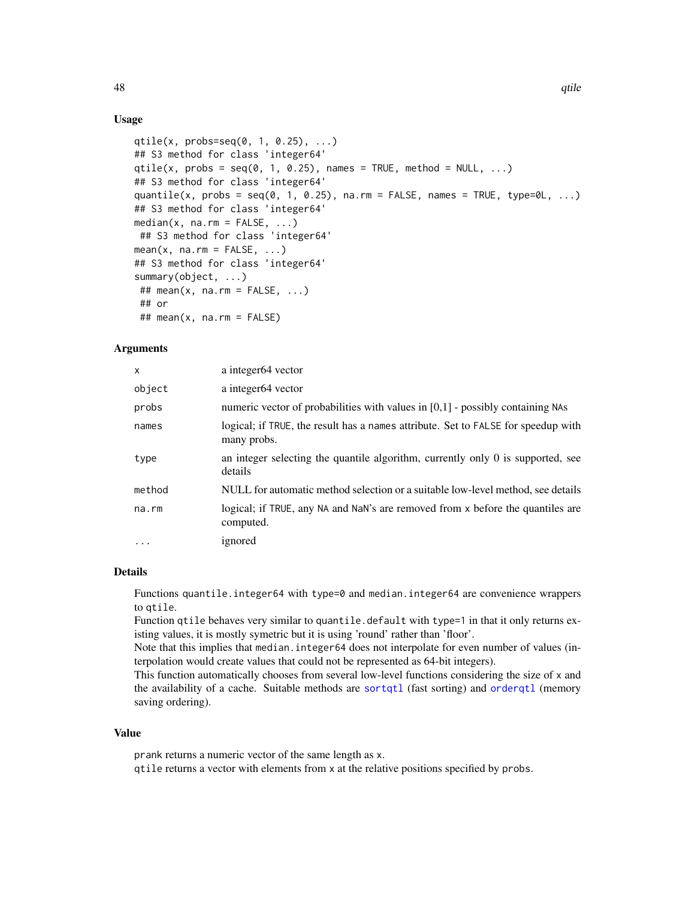# Usage

```
qtile(x, probs=seq(0, 1, 0.25), ...)
## S3 method for class 'integer64'
qtile(x, probs = seq(0, 1, 0.25), names = TRUE, method = NULL, ...)## S3 method for class 'integer64'
quantile(x, probs = seq(0, 1, 0.25), na.rm = FALSE, names = TRUE, type=0L, \dots)
## S3 method for class 'integer64'
median(x, na.rm = FALSE, ...)## S3 method for class 'integer64'
mean(x, na.rm = FALSE, ...)## S3 method for class 'integer64'
summary(object, ...)
## mean(x, na.rm = FALSE, ...)
## or
## mean(x, na.rm = FALSE)
```
# Arguments

| $\mathsf{x}$ | a integer <sub>64</sub> vector                                                                   |
|--------------|--------------------------------------------------------------------------------------------------|
| object       | a integer64 vector                                                                               |
| probs        | numeric vector of probabilities with values in $[0,1]$ - possibly containing NAs                 |
| names        | logical; if TRUE, the result has a names attribute. Set to FALSE for speedup with<br>many probs. |
| type         | an integer selecting the quantile algorithm, currently only 0 is supported, see<br>details       |
| method       | NULL for automatic method selection or a suitable low-level method, see details                  |
| na.rm        | logical; if TRUE, any NA and NaN's are removed from x before the quantiles are<br>computed.      |
| $\cdots$     | ignored                                                                                          |

## Details

Functions quantile.integer64 with type=0 and median.integer64 are convenience wrappers to qtile.

Function qtile behaves very similar to quantile.default with type=1 in that it only returns existing values, it is mostly symetric but it is using 'round' rather than 'floor'.

Note that this implies that median.integer64 does not interpolate for even number of values (interpolation would create values that could not be represented as 64-bit integers).

This function automatically chooses from several low-level functions considering the size of x and the availability of a cache. Suitable methods are [sortqtl](#page-55-0) (fast sorting) and [orderqtl](#page-55-0) (memory saving ordering).

#### Value

prank returns a numeric vector of the same length as x. qtile returns a vector with elements from x at the relative positions specified by probs.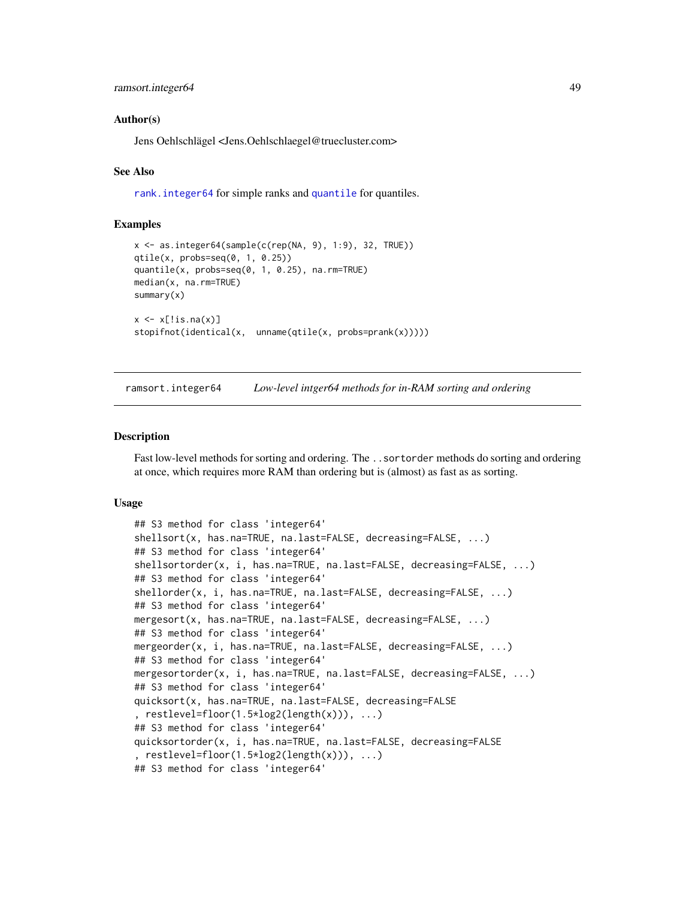#### <span id="page-48-1"></span>Author(s)

Jens Oehlschlägel <Jens.Oehlschlaegel@truecluster.com>

## See Also

[rank.integer64](#page-50-0) for simple ranks and [quantile](#page-0-0) for quantiles.

## Examples

```
x \le - as.integer64(sample(c(rep(NA, 9), 1:9), 32, TRUE))
qtile(x, probs=seq(0, 1, 0.25))
quantile(x, probs=seq(0, 1, 0.25), na.rm=TRUE)
median(x, na.rm=TRUE)
summary(x)
x \leftarrow x[:is.na(x)]stopifnot(identical(x, unname(qtile(x, probs=prank(x)))))
```
ramsort.integer64 *Low-level intger64 methods for in-RAM sorting and ordering*

## <span id="page-48-0"></span>Description

Fast low-level methods for sorting and ordering. The ..sortorder methods do sorting and ordering at once, which requires more RAM than ordering but is (almost) as fast as as sorting.

#### Usage

```
## S3 method for class 'integer64'
shellsort(x, has.na=TRUE, na.last=FALSE, decreasing=FALSE, ...)
## S3 method for class 'integer64'
shellsortorder(x, i, has.na=TRUE, na.last=FALSE, decreasing=FALSE, ...)
## S3 method for class 'integer64'
shellorder(x, i, has.na=TRUE, na.last=FALSE, decreasing=FALSE, ...)
## S3 method for class 'integer64'
mergesort(x, has.na=TRUE, na.last=FALSE, decreasing=FALSE, ...)
## S3 method for class 'integer64'
mergeorder(x, i, has.na=TRUE, na.last=FALSE, decreasing=FALSE, ...)
## S3 method for class 'integer64'
mergesortorder(x, i, has.na=TRUE, na.last=FALSE, decreasing=FALSE, ...)
## S3 method for class 'integer64'
quicksort(x, has.na=TRUE, na.last=FALSE, decreasing=FALSE
, restlevel=floor(1.5*log2(length(x))), ...)
## S3 method for class 'integer64'
quicksortorder(x, i, has.na=TRUE, na.last=FALSE, decreasing=FALSE
, restlevel=floor(1.5*log2(length(x))), ...)
## S3 method for class 'integer64'
```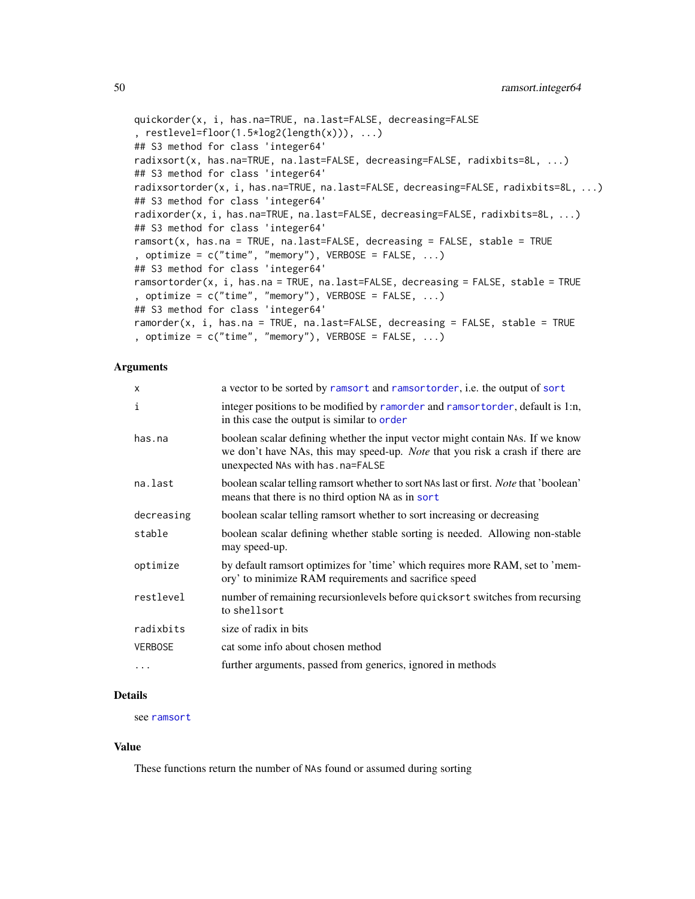```
quickorder(x, i, has.na=TRUE, na.last=FALSE, decreasing=FALSE
, restlevel=floor(1.5*log2(length(x))), ...)
## S3 method for class 'integer64'
radixsort(x, has.na=TRUE, na.last=FALSE, decreasing=FALSE, radixbits=8L, ...)
## S3 method for class 'integer64'
radixsortorder(x, i, has.na=TRUE, na.last=FALSE, decreasing=FALSE, radixbits=8L, ...)
## S3 method for class 'integer64'
radixorder(x, i, has.na=TRUE, na.last=FALSE, decreasing=FALSE, radixbits=8L, ...)
## S3 method for class 'integer64'
ramsort(x, has.na = TRUE, na.last=FALSE, decreasing = FALSE, stable = TRUE
, optimize = c("time", "memory"), VERBOSE = FALSE, ...)## S3 method for class 'integer64'
ramsortorder(x, i, has.na = TRUE, na.last=FALSE, decreasing = FALSE, stable = TRUE
, optimize = c("time", "memory"), VERBOSE = FALSE, ...)
## S3 method for class 'integer64'
ramorder(x, i, has.na = TRUE, na.last=FALSE, decreasing = FALSE, stable = TRUE
, optimize = c("time", "memory"), VERBOSE = FALSE, ...)
```
## Arguments

| $\times$       | a vector to be sorted by ramsort and ramsortorder, i.e. the output of sort                                                                                                                            |
|----------------|-------------------------------------------------------------------------------------------------------------------------------------------------------------------------------------------------------|
| $\mathbf{i}$   | integer positions to be modified by ramorder and ramsortorder, default is 1:n,<br>in this case the output is similar to order                                                                         |
| has.na         | boolean scalar defining whether the input vector might contain NAs. If we know<br>we don't have NAs, this may speed-up. Note that you risk a crash if there are<br>unexpected NAs with has . na=FALSE |
| na.last        | boolean scalar telling ramsort whether to sort NAs last or first. Note that 'boolean'<br>means that there is no third option NA as in sort                                                            |
| decreasing     | boolean scalar telling ramsort whether to sort increasing or decreasing                                                                                                                               |
| stable         | boolean scalar defining whether stable sorting is needed. Allowing non-stable<br>may speed-up.                                                                                                        |
| optimize       | by default ramsort optimizes for 'time' which requires more RAM, set to 'mem-<br>ory' to minimize RAM requirements and sacrifice speed                                                                |
| restlevel      | number of remaining recursion levels before quicks or t switches from recursing<br>to shellsort                                                                                                       |
| radixbits      | size of radix in bits                                                                                                                                                                                 |
| <b>VERBOSE</b> | cat some info about chosen method                                                                                                                                                                     |
| .              | further arguments, passed from generics, ignored in methods                                                                                                                                           |
|                |                                                                                                                                                                                                       |

## Details

see [ramsort](#page-0-0)

#### Value

These functions return the number of NAs found or assumed during sorting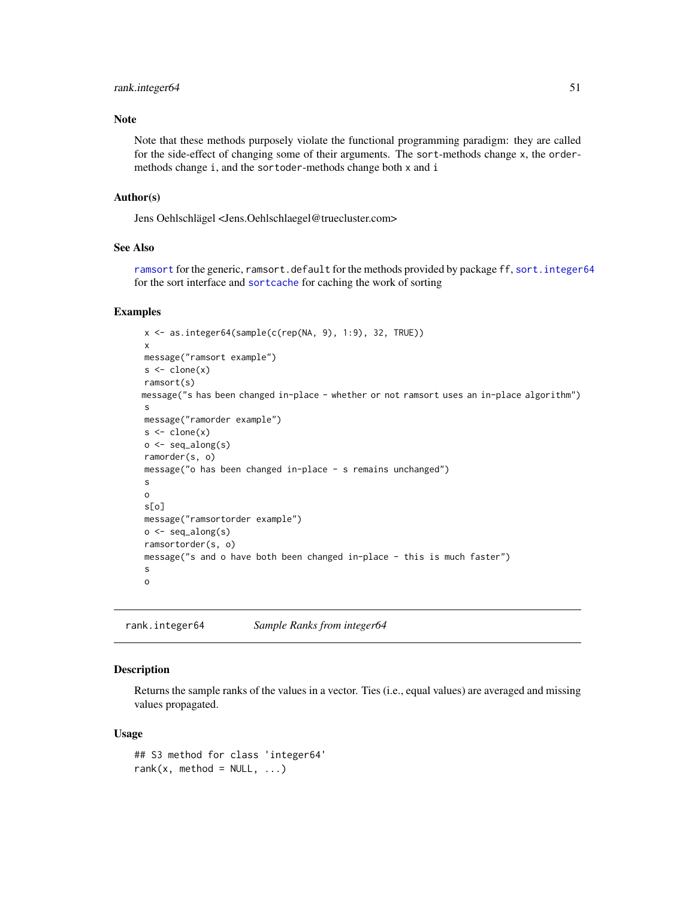## <span id="page-50-1"></span>rank.integer64 51

## Note

Note that these methods purposely violate the functional programming paradigm: they are called for the side-effect of changing some of their arguments. The sort-methods change x, the ordermethods change i, and the sortoder-methods change both x and i

#### Author(s)

Jens Oehlschlägel <Jens.Oehlschlaegel@truecluster.com>

# See Also

[ramsort](#page-0-0) for the generic, ramsort.default for the methods provided by package ff, [sort.integer64](#page-54-0) for the sort interface and [sortcache](#page-34-0) for caching the work of sorting

# Examples

```
x <- as.integer64(sample(c(rep(NA, 9), 1:9), 32, TRUE))
x
message("ramsort example")
s < - \text{clone}(x)ramsort(s)
message("s has been changed in-place - whether or not ramsort uses an in-place algorithm")
 s
message("ramorder example")
s < - \text{clone}(x)o \leftarrow seq_along(s)ramorder(s, o)
message("o has been changed in-place - s remains unchanged")
s
o
s[o]
message("ramsortorder example")
o \leftarrow seq_along(s)ramsortorder(s, o)
message("s and o have both been changed in-place - this is much faster")
s
o
```
<span id="page-50-0"></span>rank.integer64 *Sample Ranks from integer64*

#### Description

Returns the sample ranks of the values in a vector. Ties (i.e., equal values) are averaged and missing values propagated.

#### Usage

```
## S3 method for class 'integer64'
rank(x, method = NULL, ...)
```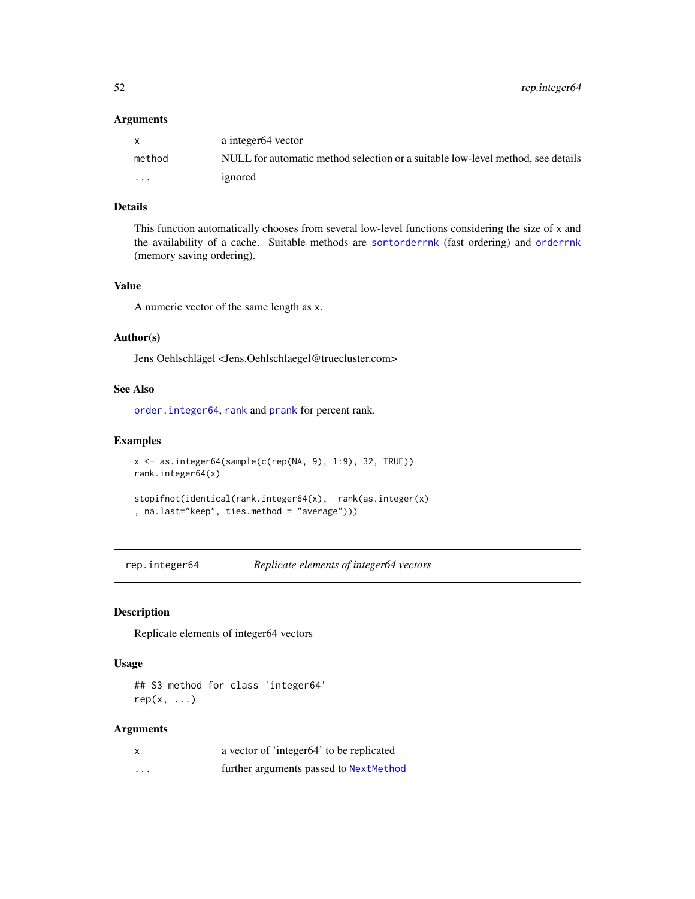<span id="page-51-1"></span>52 rep.integer64

#### Arguments

|          | a integer <sub>64</sub> vector                                                  |
|----------|---------------------------------------------------------------------------------|
| method   | NULL for automatic method selection or a suitable low-level method, see details |
| $\cdots$ | ignored                                                                         |

# Details

This function automatically chooses from several low-level functions considering the size of x and the availability of a cache. Suitable methods are [sortorderrnk](#page-55-0) (fast ordering) and [orderrnk](#page-55-0) (memory saving ordering).

# Value

A numeric vector of the same length as x.

#### Author(s)

Jens Oehlschlägel <Jens.Oehlschlaegel@truecluster.com>

# See Also

[order.integer64](#page-54-1), [rank](#page-24-0) and [prank](#page-45-1) for percent rank.

#### Examples

```
x <- as.integer64(sample(c(rep(NA, 9), 1:9), 32, TRUE))
rank.integer64(x)
stopifnot(identical(rank.integer64(x), rank(as.integer(x)
```

```
, na.last="keep", ties.method = "average")))
```
<span id="page-51-0"></span>rep.integer64 *Replicate elements of integer64 vectors*

# Description

Replicate elements of integer64 vectors

#### Usage

## S3 method for class 'integer64'  $rep(x, \ldots)$ 

| X        | a vector of 'integer64' to be replicated |
|----------|------------------------------------------|
| $\cdots$ | further arguments passed to NextMethod   |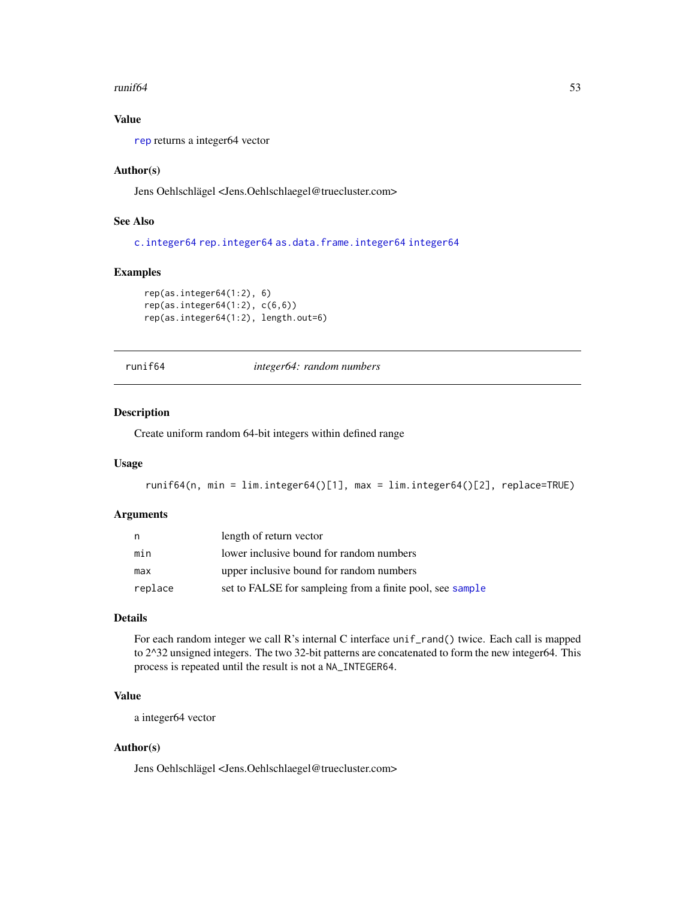#### <span id="page-52-1"></span> $runif64$  53

# Value

[rep](#page-0-0) returns a integer64 vector

## Author(s)

Jens Oehlschlägel <Jens.Oehlschlaegel@truecluster.com>

# See Also

[c.integer64](#page-26-0) [rep.integer64](#page-51-0) [as.data.frame.integer64](#page-18-0) [integer64](#page-2-0)

## Examples

```
rep(as.integer64(1:2), 6)
rep(as.integer64(1:2), c(6,6))
rep(as.integer64(1:2), length.out=6)
```
<span id="page-52-0"></span>runif64 *integer64: random numbers*

# Description

Create uniform random 64-bit integers within defined range

## Usage

```
runif64(n, min = lim.integer64()[1], max = lim.integer64()[2], replace=TRUE)
```
## Arguments

| n,      | length of return vector                                   |
|---------|-----------------------------------------------------------|
| min     | lower inclusive bound for random numbers                  |
| max     | upper inclusive bound for random numbers                  |
| replace | set to FALSE for sampleing from a finite pool, see sample |

# Details

For each random integer we call R's internal C interface unif\_rand() twice. Each call is mapped to 2^32 unsigned integers. The two 32-bit patterns are concatenated to form the new integer64. This process is repeated until the result is not a NA\_INTEGER64.

# Value

a integer64 vector

# Author(s)

Jens Oehlschlägel <Jens.Oehlschlaegel@truecluster.com>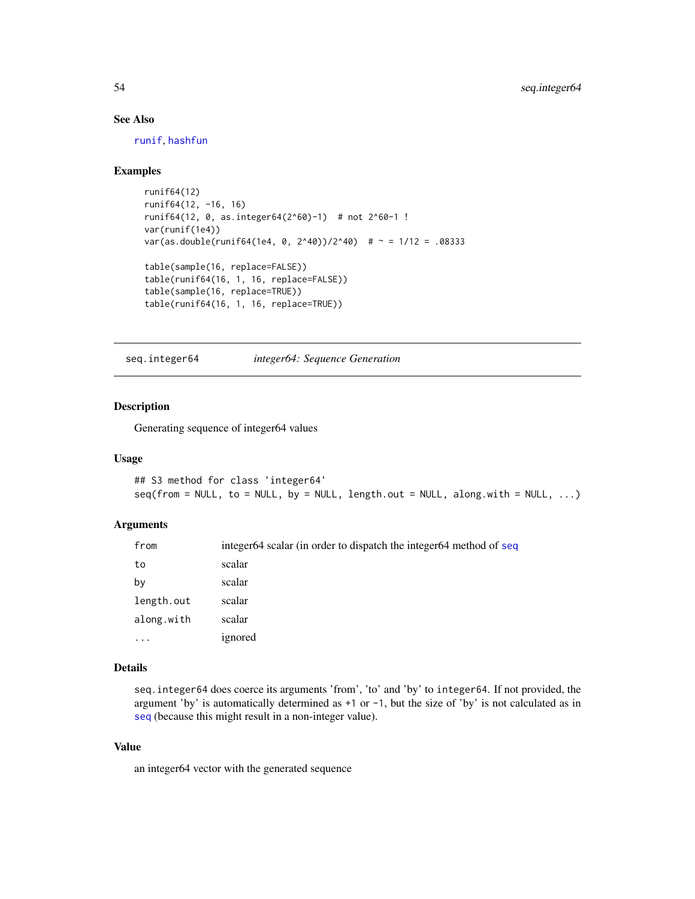# See Also

[runif](#page-0-0), [hashfun](#page-35-0)

## Examples

```
runif64(12)
runif64(12, -16, 16)
runif64(12, 0, as.integer64(2^60)-1) # not 2^60-1 !
var(runif(1e4))
var(as.double(runif64(1e4, 0, 2^40))/2^40) # ~ = 1/12 = .08333
table(sample(16, replace=FALSE))
table(runif64(16, 1, 16, replace=FALSE))
table(sample(16, replace=TRUE))
table(runif64(16, 1, 16, replace=TRUE))
```
seq.integer64 *integer64: Sequence Generation*

## Description

Generating sequence of integer64 values

#### Usage

```
## S3 method for class 'integer64'
seq(from = NULL, to = NULL, by = NULL, length.out = NULL, along with = NULL, ...)
```
# Arguments

| from       | integer64 scalar (in order to dispatch the integer64 method of seq |
|------------|--------------------------------------------------------------------|
| to         | scalar                                                             |
| by         | scalar                                                             |
| length.out | scalar                                                             |
| along.with | scalar                                                             |
| $\cdots$   | ignored                                                            |

# Details

seq.integer64 does coerce its arguments 'from', 'to' and 'by' to integer64. If not provided, the argument 'by' is automatically determined as +1 or -1, but the size of 'by' is not calculated as in [seq](#page-0-0) (because this might result in a non-integer value).

## Value

an integer64 vector with the generated sequence

<span id="page-53-0"></span>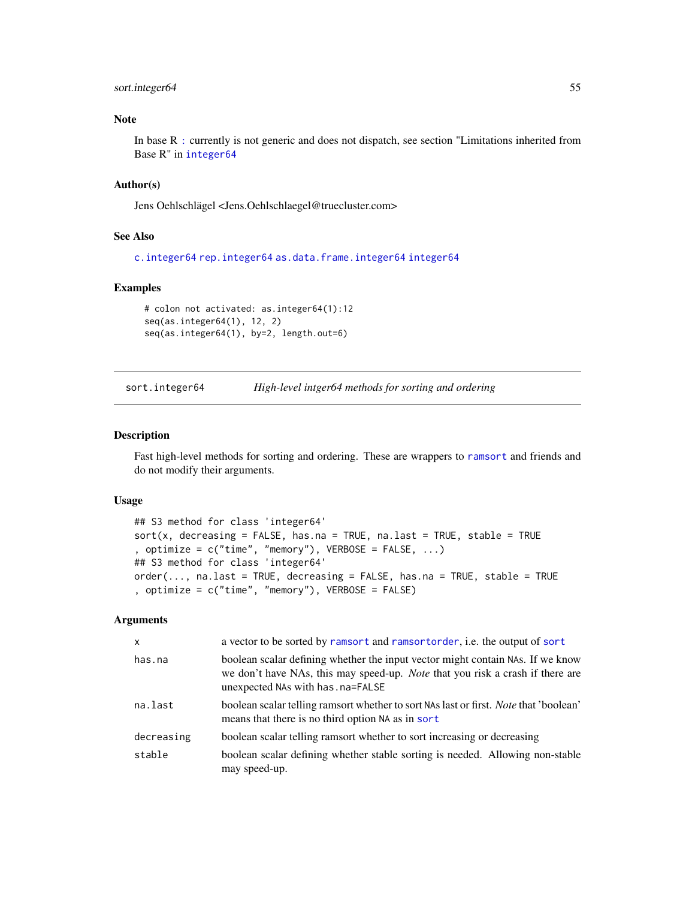## <span id="page-54-2"></span>sort.integer64 55

# Note

In base R [:](#page-24-0) currently is not generic and does not dispatch, see section "Limitations inherited from Base R" in [integer64](#page-2-0)

## Author(s)

Jens Oehlschlägel <Jens.Oehlschlaegel@truecluster.com>

## See Also

[c.integer64](#page-26-0) [rep.integer64](#page-51-0) [as.data.frame.integer64](#page-18-0) [integer64](#page-2-0)

# Examples

```
# colon not activated: as.integer64(1):12
seq(as.integer64(1), 12, 2)
seq(as.integer64(1), by=2, length.out=6)
```
<span id="page-54-0"></span>sort.integer64 *High-level intger64 methods for sorting and ordering*

#### <span id="page-54-1"></span>Description

Fast high-level methods for sorting and ordering. These are wrappers to [ramsort](#page-0-0) and friends and do not modify their arguments.

#### Usage

```
## S3 method for class 'integer64'
sort(x, decreasing = FALSE, has.na = TRUE, na last = TRUE, stable = TRUE, optimize = c("time", "memory"), VERBOSE = FALSE, ...)## S3 method for class 'integer64'
order(..., na.last = TRUE, decreasing = FALSE, has.na = TRUE, stable = TRUE
, optimize = c("time", "memory"), VERBOSE = FALSE)
```

| $\mathsf{x}$ | a vector to be sorted by ramsort and ramsort order, i.e. the output of sort                                                                                                                                  |
|--------------|--------------------------------------------------------------------------------------------------------------------------------------------------------------------------------------------------------------|
| has.na       | boolean scalar defining whether the input vector might contain NAS. If we know<br>we don't have NAs, this may speed-up. <i>Note</i> that you risk a crash if there are<br>unexpected NAs with has . na=FALSE |
| na.last      | boolean scalar telling ramsort whether to sort NAs last or first. <i>Note</i> that 'boolean'<br>means that there is no third option NA as in sort                                                            |
| decreasing   | boolean scalar telling ramsort whether to sort increasing or decreasing                                                                                                                                      |
| stable       | boolean scalar defining whether stable sorting is needed. Allowing non-stable<br>may speed-up.                                                                                                               |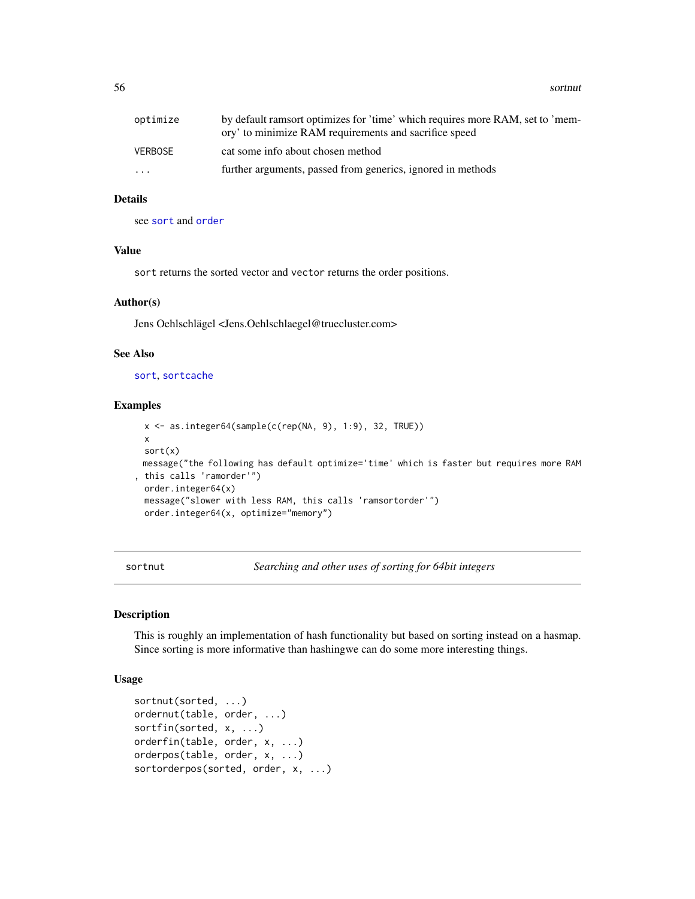<span id="page-55-1"></span>56 sortnut and the set of the set of the set of the set of the set of the set of the set of the set of the set of the set of the set of the set of the set of the set of the set of the set of the set of the set of the set o

| optimize  | by default ramsort optimizes for 'time' which requires more RAM, set to 'mem-<br>ory' to minimize RAM requirements and sacrifice speed |
|-----------|----------------------------------------------------------------------------------------------------------------------------------------|
| VERBOSE   | cat some info about chosen method                                                                                                      |
| $\ddotsc$ | further arguments, passed from generics, ignored in methods                                                                            |

# Details

see [sort](#page-0-0) and [order](#page-24-0)

# Value

sort returns the sorted vector and vector returns the order positions.

#### Author(s)

Jens Oehlschlägel <Jens.Oehlschlaegel@truecluster.com>

## See Also

[sort](#page-54-0), [sortcache](#page-34-0)

## Examples

```
x <- as.integer64(sample(c(rep(NA, 9), 1:9), 32, TRUE))
 x
 sort(x)
 message("the following has default optimize='time' which is faster but requires more RAM
, this calls 'ramorder'")
 order.integer64(x)
 message("slower with less RAM, this calls 'ramsortorder'")
 order.integer64(x, optimize="memory")
```
sortnut *Searching and other uses of sorting for 64bit integers*

#### <span id="page-55-0"></span>Description

This is roughly an implementation of hash functionality but based on sorting instead on a hasmap. Since sorting is more informative than hashingwe can do some more interesting things.

## Usage

```
sortnut(sorted, ...)
ordernut(table, order, ...)
sortfin(sorted, x, ...)
orderfin(table, order, x, ...)
orderpos(table, order, x, ...)
sortorderpos(sorted, order, x, ...)
```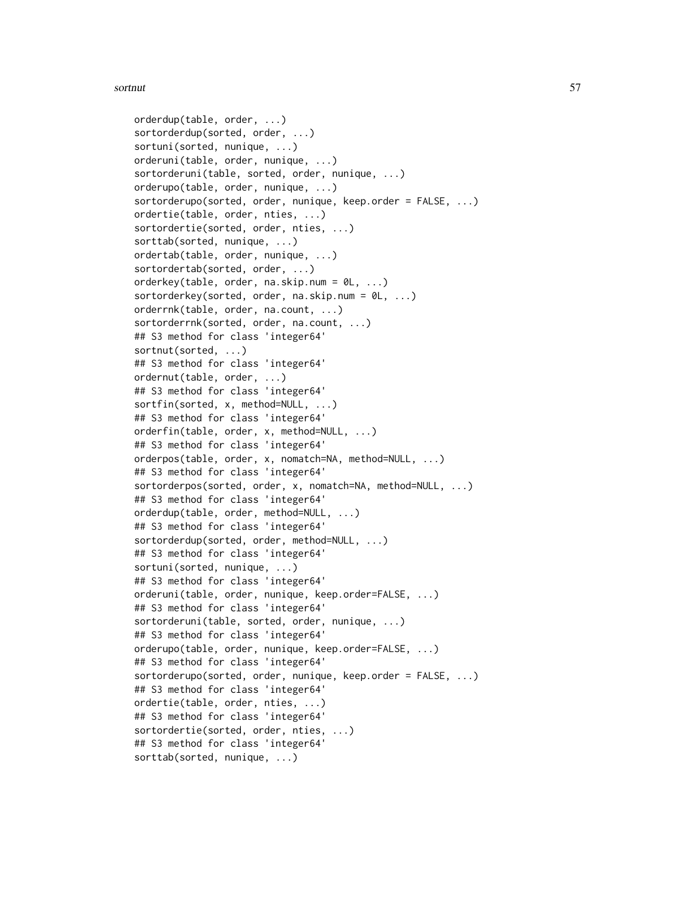```
orderdup(table, order, ...)
sortorderdup(sorted, order, ...)
sortuni(sorted, nunique, ...)
orderuni(table, order, nunique, ...)
sortorderuni(table, sorted, order, nunique, ...)
orderupo(table, order, nunique, ...)
sortorderupo(sorted, order, nunique, keep.order = FALSE, ...)
ordertie(table, order, nties, ...)
sortordertie(sorted, order, nties, ...)
sorttab(sorted, nunique, ...)
ordertab(table, order, nunique, ...)
sortordertab(sorted, order, ...)
orderkey(table, order, na.skip.num = 0L, ...)
sortorderkey(sorted, order, na.skip.num = 0L, ...)
orderrnk(table, order, na.count, ...)
sortorderrnk(sorted, order, na.count, ...)
## S3 method for class 'integer64'
sortnut(sorted, ...)
## S3 method for class 'integer64'
ordernut(table, order, ...)
## S3 method for class 'integer64'
sortfin(sorted, x, method=NULL, ...)
## S3 method for class 'integer64'
orderfin(table, order, x, method=NULL, ...)
## S3 method for class 'integer64'
orderpos(table, order, x, nomatch=NA, method=NULL, ...)
## S3 method for class 'integer64'
sortorderpos(sorted, order, x, nomatch=NA, method=NULL, ...)
## S3 method for class 'integer64'
orderdup(table, order, method=NULL, ...)
## S3 method for class 'integer64'
sortorderdup(sorted, order, method=NULL, ...)
## S3 method for class 'integer64'
sortuni(sorted, nunique, ...)
## S3 method for class 'integer64'
orderuni(table, order, nunique, keep.order=FALSE, ...)
## S3 method for class 'integer64'
sortorderuni(table, sorted, order, nunique, ...)
## S3 method for class 'integer64'
orderupo(table, order, nunique, keep.order=FALSE, ...)
## S3 method for class 'integer64'
sortorderupo(sorted, order, nunique, keep.order = FALSE, ...)
## S3 method for class 'integer64'
ordertie(table, order, nties, ...)
## S3 method for class 'integer64'
sortordertie(sorted, order, nties, ...)
## S3 method for class 'integer64'
sorttab(sorted, nunique, ...)
```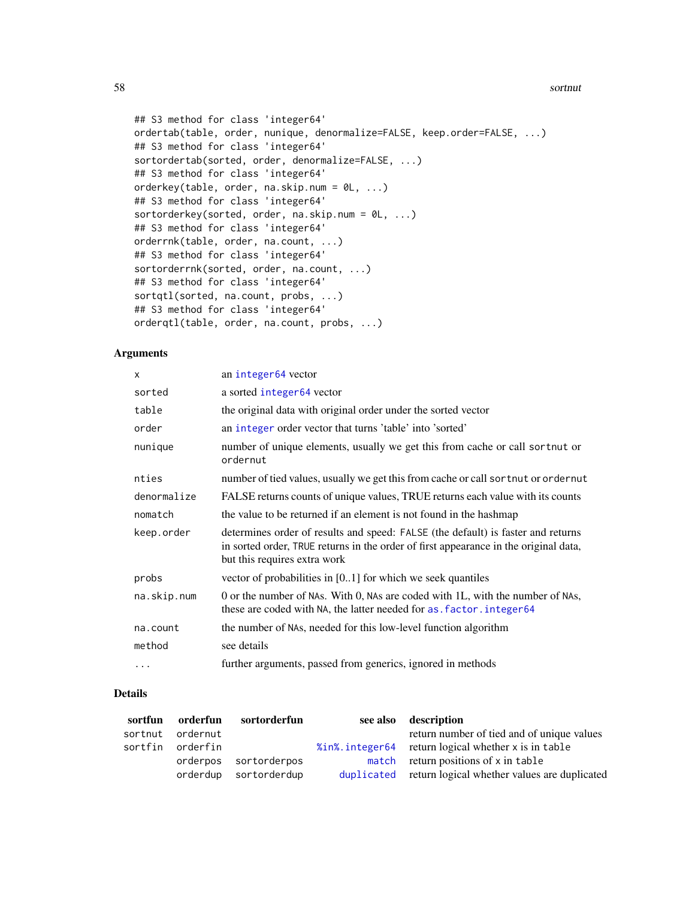58 sortnut and the set of the set of the set of the set of the set of the set of the set of the set of the set of the set of the set of the set of the set of the set of the set of the set of the set of the set of the set o

```
## S3 method for class 'integer64'
ordertab(table, order, nunique, denormalize=FALSE, keep.order=FALSE, ...)
## S3 method for class 'integer64'
sortordertab(sorted, order, denormalize=FALSE, ...)
## S3 method for class 'integer64'
orderkey(table, order, na.skip.num = 0L, ...)
## S3 method for class 'integer64'
sortorderkey(sorted, order, na.skip.num = \emptysetL, ...)
## S3 method for class 'integer64'
orderrnk(table, order, na.count, ...)
## S3 method for class 'integer64'
sortorderrnk(sorted, order, na.count, ...)
## S3 method for class 'integer64'
sortqtl(sorted, na.count, probs, ...)
## S3 method for class 'integer64'
orderqtl(table, order, na.count, probs, ...)
```
## Arguments

| X           | an integer <sub>64</sub> vector                                                                                                                                                                          |
|-------------|----------------------------------------------------------------------------------------------------------------------------------------------------------------------------------------------------------|
| sorted      | a sorted integer64 vector                                                                                                                                                                                |
| table       | the original data with original order under the sorted vector                                                                                                                                            |
| order       | an integer order vector that turns 'table' into 'sorted'                                                                                                                                                 |
| nunique     | number of unique elements, usually we get this from cache or call sortnut or<br>ordernut                                                                                                                 |
| nties       | number of tied values, usually we get this from cache or call sortnut or ordernut                                                                                                                        |
| denormalize | FALSE returns counts of unique values, TRUE returns each value with its counts                                                                                                                           |
| nomatch     | the value to be returned if an element is not found in the hashmap                                                                                                                                       |
| keep.order  | determines order of results and speed: FALSE (the default) is faster and returns<br>in sorted order, TRUE returns in the order of first appearance in the original data,<br>but this requires extra work |
| probs       | vector of probabilities in $[0, 1]$ for which we seek quantiles                                                                                                                                          |
| na.skip.num | 0 or the number of NAs. With 0, NAs are coded with 1L, with the number of NAs,<br>these are coded with NA, the latter needed for as . factor . integer64                                                 |
| na.count    | the number of NAs, needed for this low-level function algorithm                                                                                                                                          |
| method      | see details                                                                                                                                                                                              |
| $\cdots$    | further arguments, passed from generics, ignored in methods                                                                                                                                              |

## Details

|                  | sortfun orderfun sortorderfun | see also description                                    |
|------------------|-------------------------------|---------------------------------------------------------|
| sortnut ordernut |                               | return number of tied and of unique values              |
| sortfin orderfin |                               | %in%. integer64 return logical whether x is in table    |
|                  | orderpos sortorderpos         | match return positions of x in table                    |
|                  | orderdup sortorderdup         | duplicated return logical whether values are duplicated |

<span id="page-57-0"></span>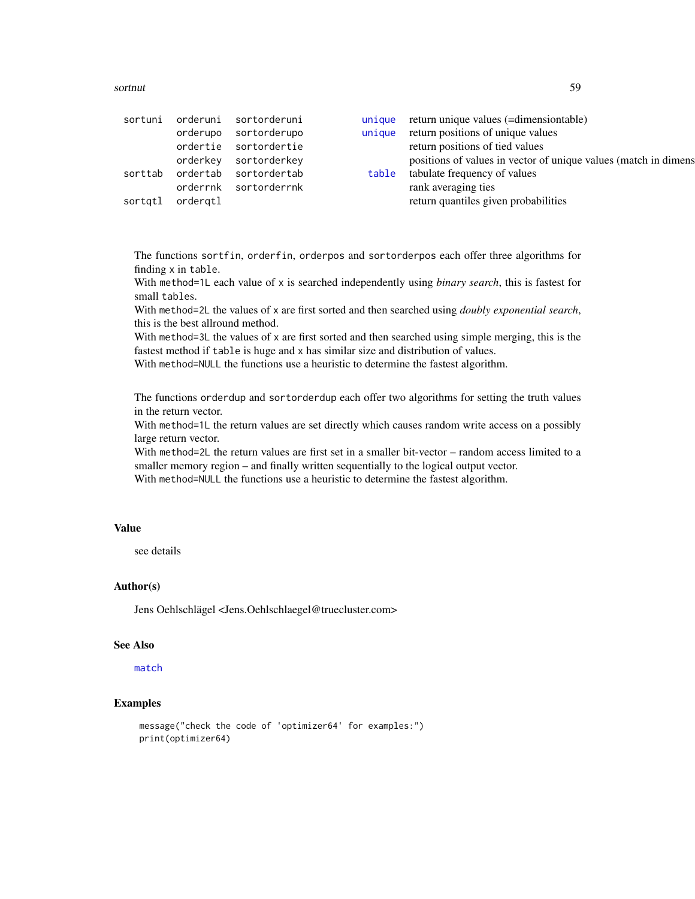#### <span id="page-58-0"></span>sortnut 59

| orderupo<br>orderkey<br>ordergtl<br>sortgtl | sortuni orderuni sortorderuni<br>sortorderupo<br>ordertie sortordertie<br>sortorderkey<br>sorttab ordertab sortordertab<br>orderrnk sortorderrnk | unique<br>table | unique return unique values (=dimensiontable)<br>return positions of unique values<br>return positions of tied values<br>positions of values in vector of unique values (match in dimens<br>tabulate frequency of values<br>rank averaging ties<br>return quantiles given probabilities |
|---------------------------------------------|--------------------------------------------------------------------------------------------------------------------------------------------------|-----------------|-----------------------------------------------------------------------------------------------------------------------------------------------------------------------------------------------------------------------------------------------------------------------------------------|
|---------------------------------------------|--------------------------------------------------------------------------------------------------------------------------------------------------|-----------------|-----------------------------------------------------------------------------------------------------------------------------------------------------------------------------------------------------------------------------------------------------------------------------------------|

The functions sortfin, orderfin, orderpos and sortorderpos each offer three algorithms for finding x in table.

With method=1L each value of x is searched independently using *binary search*, this is fastest for small tables.

With method=2L the values of x are first sorted and then searched using *doubly exponential search*, this is the best allround method.

With method=3L the values of x are first sorted and then searched using simple merging, this is the fastest method if table is huge and x has similar size and distribution of values.

With method=NULL the functions use a heuristic to determine the fastest algorithm.

The functions orderdup and sortorderdup each offer two algorithms for setting the truth values in the return vector.

With method=1L the return values are set directly which causes random write access on a possibly large return vector.

With method=2L the return values are first set in a smaller bit-vector – random access limited to a smaller memory region – and finally written sequentially to the logical output vector. With method=NULL the functions use a heuristic to determine the fastest algorithm.

## Value

see details

## Author(s)

Jens Oehlschlägel <Jens.Oehlschlaegel@truecluster.com>

## See Also

[match](#page-42-0)

# Examples

```
message("check the code of 'optimizer64' for examples:")
print(optimizer64)
```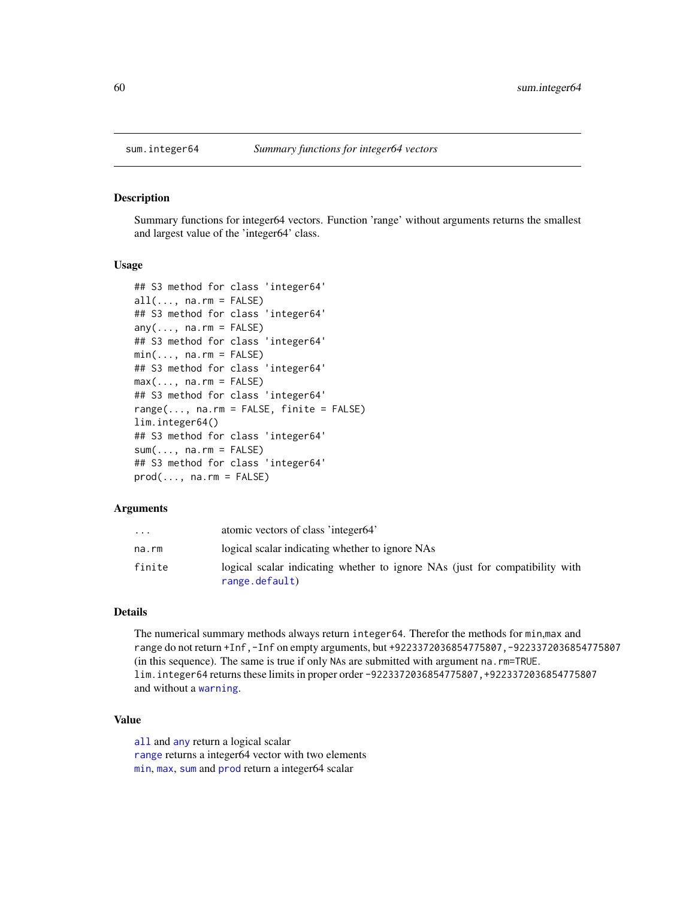<span id="page-59-0"></span>

#### Description

Summary functions for integer64 vectors. Function 'range' without arguments returns the smallest and largest value of the 'integer64' class.

#### Usage

```
## S3 method for class 'integer64'
all(..., na.rm = FALSE)## S3 method for class 'integer64'
any(..., na.rm = FALSE)## S3 method for class 'integer64'
min(..., na.rm = FALSE)## S3 method for class 'integer64'
max(..., na.rm = FALSE)## S3 method for class 'integer64'
range(..., na.rm = FALSE, finite = FALSE)lim.integer64()
## S3 method for class 'integer64'
sum(..., na.rm = FALSE)## S3 method for class 'integer64'
prod(..., na.rm = FALSE)
```
#### Arguments

| $\cdot$ $\cdot$ $\cdot$ | atomic vectors of class 'integer64'                                                            |
|-------------------------|------------------------------------------------------------------------------------------------|
| na.rm                   | logical scalar indicating whether to ignore NAs                                                |
| finite                  | logical scalar indicating whether to ignore NAs (just for compatibility with<br>range.default) |

# Details

The numerical summary methods always return integer64. Therefor the methods for min,max and range do not return +Inf,-Inf on empty arguments, but +9223372036854775807,-9223372036854775807 (in this sequence). The same is true if only NAs are submitted with argument na.rm=TRUE. lim.integer64 returns these limits in proper order -9223372036854775807,+9223372036854775807 and without a [warning](#page-0-0).

## Value

[all](#page-0-0) and [any](#page-0-0) return a logical scalar [range](#page-0-0) returns a integer64 vector with two elements [min](#page-0-0), [max](#page-0-0), [sum](#page-0-0) and [prod](#page-0-0) return a integer64 scalar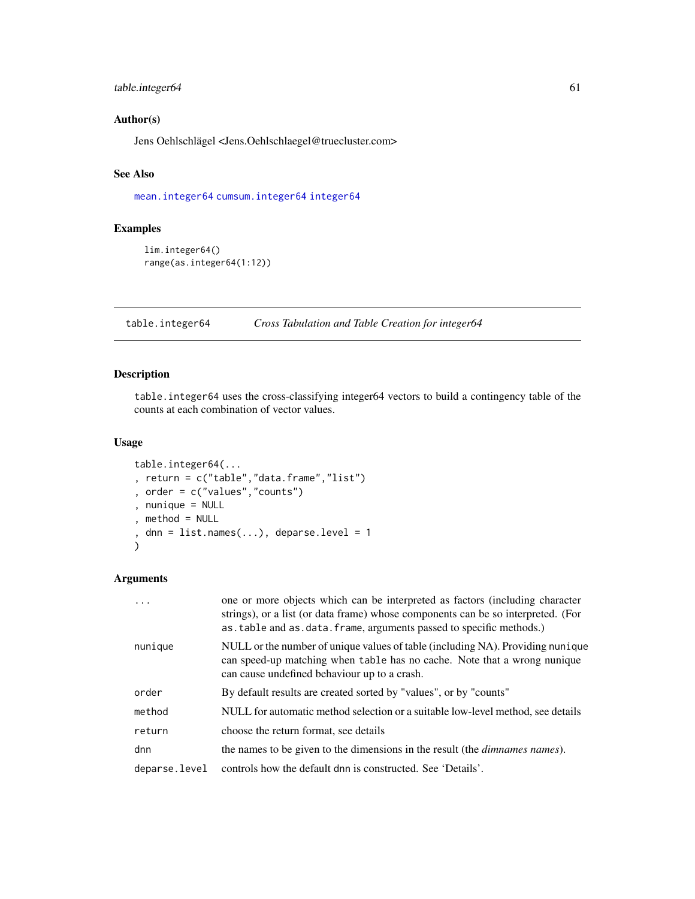# <span id="page-60-1"></span>table.integer64 61

# Author(s)

Jens Oehlschlägel <Jens.Oehlschlaegel@truecluster.com>

# See Also

[mean.integer64](#page-46-0) [cumsum.integer64](#page-29-0) [integer64](#page-2-0)

# Examples

```
lim.integer64()
range(as.integer64(1:12))
```
<span id="page-60-0"></span>table.integer64 *Cross Tabulation and Table Creation for integer64*

# Description

table.integer64 uses the cross-classifying integer64 vectors to build a contingency table of the counts at each combination of vector values.

# Usage

```
table.integer64(...
, return = c("table","data.frame","list")
, order = c("values","counts")
, nunique = NULL
, method = NULL
, dnn = list.names(...), deparse.level = 1
\lambda
```

| $\cdot$       | one or more objects which can be interpreted as factors (including character<br>strings), or a list (or data frame) whose components can be so interpreted. (For<br>as table and as data. frame, arguments passed to specific methods.) |
|---------------|-----------------------------------------------------------------------------------------------------------------------------------------------------------------------------------------------------------------------------------------|
| nunique       | NULL or the number of unique values of table (including NA). Providing nunique<br>can speed-up matching when table has no cache. Note that a wrong nunique<br>can cause undefined behaviour up to a crash.                              |
| order         | By default results are created sorted by "values", or by "counts"                                                                                                                                                                       |
| method        | NULL for automatic method selection or a suitable low-level method, see details                                                                                                                                                         |
| return        | choose the return format, see details                                                                                                                                                                                                   |
| dnn           | the names to be given to the dimensions in the result (the <i>dimnames names</i> ).                                                                                                                                                     |
| deparse.level | controls how the default dnn is constructed. See 'Details'.                                                                                                                                                                             |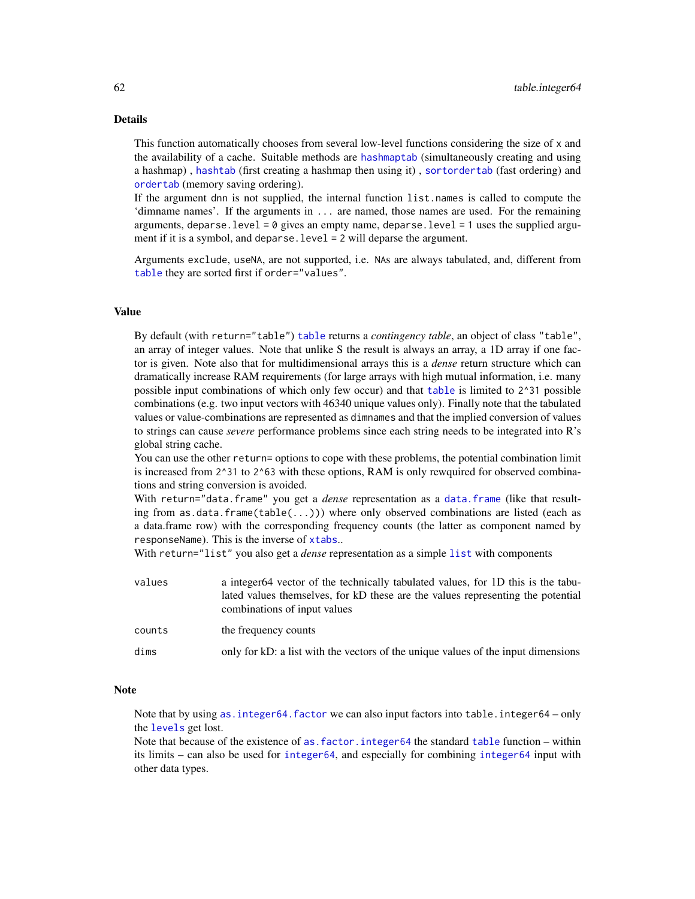# <span id="page-61-0"></span>Details

This function automatically chooses from several low-level functions considering the size of x and the availability of a cache. Suitable methods are [hashmaptab](#page-35-0) (simultaneously creating and using a hashmap) , [hashtab](#page-35-0) (first creating a hashmap then using it) , [sortordertab](#page-55-0) (fast ordering) and [ordertab](#page-55-0) (memory saving ordering).

If the argument dnn is not supplied, the internal function list.names is called to compute the 'dimname names'. If the arguments in ... are named, those names are used. For the remaining arguments, deparse. level =  $\theta$  gives an empty name, deparse. level = 1 uses the supplied argument if it is a symbol, and deparse. level = 2 will deparse the argument.

Arguments exclude, useNA, are not supported, i.e. NAs are always tabulated, and, different from [table](#page-0-0) they are sorted first if order="values".

## Value

By default (with return="table") [table](#page-0-0) returns a *contingency table*, an object of class "table", an array of integer values. Note that unlike S the result is always an array, a 1D array if one factor is given. Note also that for multidimensional arrays this is a *dense* return structure which can dramatically increase RAM requirements (for large arrays with high mutual information, i.e. many possible input combinations of which only few occur) and that [table](#page-0-0) is limited to 2^31 possible combinations (e.g. two input vectors with 46340 unique values only). Finally note that the tabulated values or value-combinations are represented as dimnames and that the implied conversion of values to strings can cause *severe* performance problems since each string needs to be integrated into R's global string cache.

You can use the other return= options to cope with these problems, the potential combination limit is increased from 2<sup> $\text{231}$ </sup> to 2<sup> $\text{63}$ </sup> with these options, RAM is only rewquired for observed combinations and string conversion is avoided.

With return="[data.frame](#page-0-0)" you get a *dense* representation as a data.frame (like that resulting from as.data.frame(table( $\dots$ ))) where only observed combinations are listed (each as a data.frame row) with the corresponding frequency counts (the latter as component named by responseName). This is the inverse of [xtabs](#page-0-0)..

With return="list" you also get a *dense* representation as a simple [list](#page-0-0) with components

| values | a integer64 vector of the technically tabulated values, for 1D this is the tabu-<br>lated values themselves, for kD these are the values representing the potential<br>combinations of input values |
|--------|-----------------------------------------------------------------------------------------------------------------------------------------------------------------------------------------------------|
| counts | the frequency counts                                                                                                                                                                                |
| dims   | only for kD: a list with the vectors of the unique values of the input dimensions                                                                                                                   |

## **Note**

Note that by using [as.integer64.factor](#page-19-0) we can also input factors into table.integer64 – only the [levels](#page-0-0) get lost.

Note that because of the existence of [as.factor.integer64](#page-17-0) the standard [table](#page-0-0) function – within its limits – can also be used for [integer64](#page-2-0), and especially for combining [integer64](#page-2-0) input with other data types.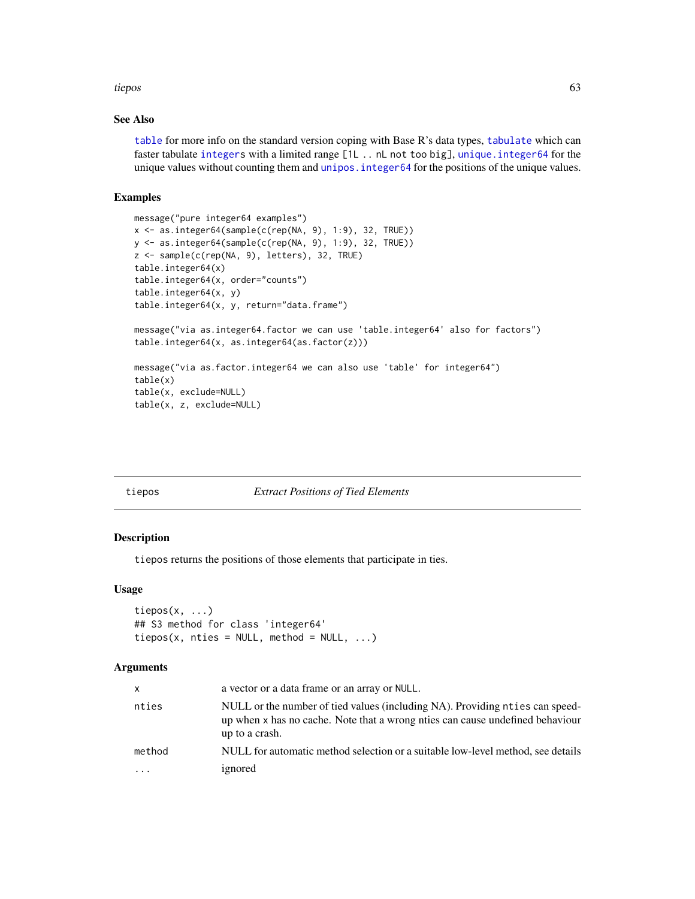#### <span id="page-62-0"></span>tiepos 63

# See Also

[table](#page-0-0) for more info on the standard version coping with Base R's data types, [tabulate](#page-0-0) which can faster tabulate [integers](#page-0-0) with a limited range [1L .. nL not too big], [unique.integer64](#page-64-0) for the unique values without counting them and [unipos.integer64](#page-63-0) for the positions of the unique values.

## Examples

```
message("pure integer64 examples")
x <- as.integer64(sample(c(rep(NA, 9), 1:9), 32, TRUE))
y <- as.integer64(sample(c(rep(NA, 9), 1:9), 32, TRUE))
z <- sample(c(rep(NA, 9), letters), 32, TRUE)
table.integer64(x)
table.integer64(x, order="counts")
table.integer64(x, y)
table.integer64(x, y, return="data.frame")
message("via as.integer64.factor we can use 'table.integer64' also for factors")
table.integer64(x, as.integer64(as.factor(z)))
message("via as.factor.integer64 we can also use 'table' for integer64")
table(x)
table(x, exclude=NULL)
table(x, z, exclude=NULL)
```

|  | tiepos |  |  |
|--|--------|--|--|

## **Extract Positions of Tied Elements**

## Description

tiepos returns the positions of those elements that participate in ties.

#### Usage

```
tiepos(x, ...)
## S3 method for class 'integer64'
tiepos(x, nties = NULL, method = NULL, ...)
```

| $\mathsf{x}$ | a vector or a data frame or an array or NULL.                                                                                                                                   |
|--------------|---------------------------------------------------------------------------------------------------------------------------------------------------------------------------------|
| nties        | NULL or the number of tied values (including NA). Providing nties can speed-<br>up when x has no cache. Note that a wrong nties can cause undefined behaviour<br>up to a crash. |
| method       | NULL for automatic method selection or a suitable low-level method, see details                                                                                                 |
| .            | ignored                                                                                                                                                                         |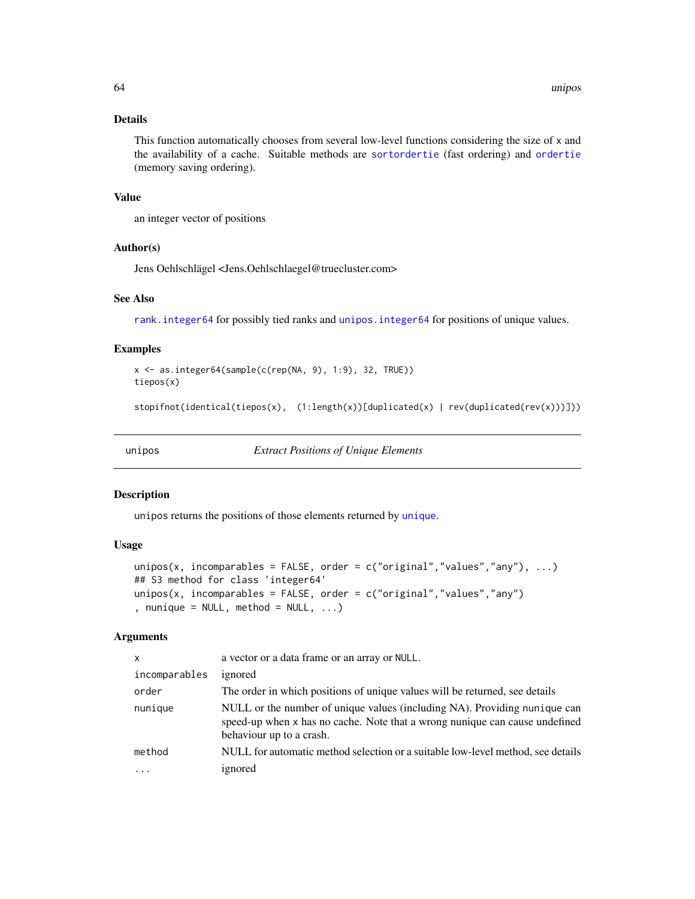# <span id="page-63-2"></span>Details

This function automatically chooses from several low-level functions considering the size of x and the availability of a cache. Suitable methods are [sortordertie](#page-55-0) (fast ordering) and [ordertie](#page-55-0) (memory saving ordering).

#### Value

an integer vector of positions

# Author(s)

Jens Oehlschlägel <Jens.Oehlschlaegel@truecluster.com>

# See Also

[rank.integer64](#page-50-0) for possibly tied ranks and [unipos.integer64](#page-63-0) for positions of unique values.

## Examples

```
x <- as.integer64(sample(c(rep(NA, 9), 1:9), 32, TRUE))
tiepos(x)
```

```
stopifnot(identical(tiepos(x), (1:length(x))[duplicated(x) | rev(duplicated(rev(x)))]))
```
<span id="page-63-1"></span>unipos *Extract Positions of Unique Elements*

#### <span id="page-63-0"></span>Description

unipos returns the positions of those elements returned by [unique](#page-0-0).

## Usage

```
unipos(x, incomparables = FALSE, order = c("original", "values", "any"), ...)
## S3 method for class 'integer64'
unipos(x, incomparables = FALSE, order = c("original", "values", "any"), nunique = NULL, method = NULL, ...)
```

| X             | a vector or a data frame or an array or NULL.                                                                                                                                        |
|---------------|--------------------------------------------------------------------------------------------------------------------------------------------------------------------------------------|
| incomparables | ignored                                                                                                                                                                              |
| order         | The order in which positions of unique values will be returned, see details                                                                                                          |
| nunique       | NULL or the number of unique values (including NA). Providing nunique can<br>speed-up when x has no cache. Note that a wrong nunique can cause undefined<br>behaviour up to a crash. |
| method        | NULL for automatic method selection or a suitable low-level method, see details                                                                                                      |
|               | ignored                                                                                                                                                                              |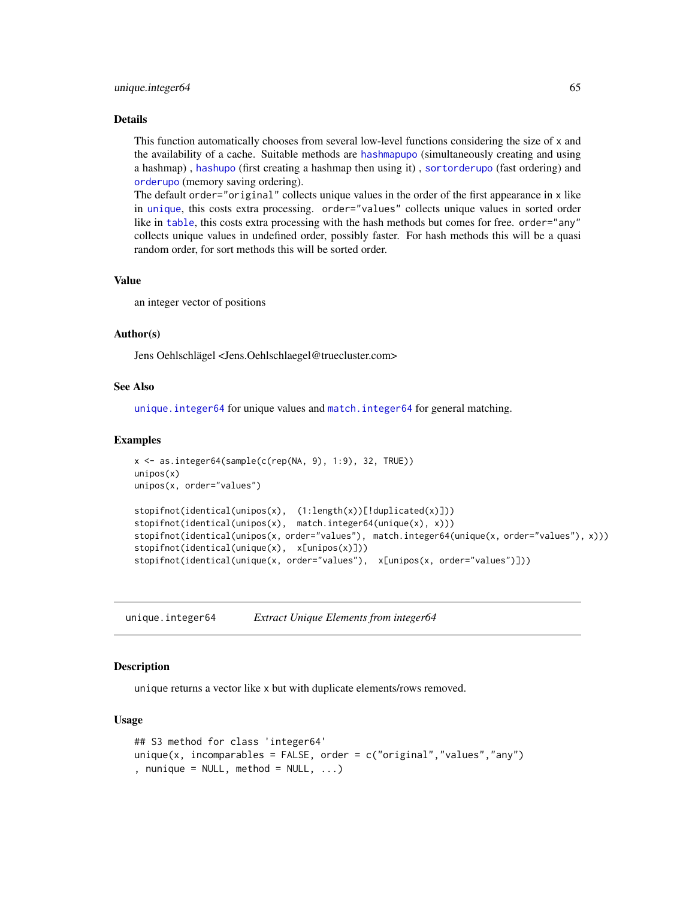#### <span id="page-64-1"></span>unique.integer64 65

#### Details

This function automatically chooses from several low-level functions considering the size of x and the availability of a cache. Suitable methods are [hashmapupo](#page-35-0) (simultaneously creating and using a hashmap) , [hashupo](#page-35-0) (first creating a hashmap then using it) , [sortorderupo](#page-55-0) (fast ordering) and [orderupo](#page-55-0) (memory saving ordering).

The default order="original" collects unique values in the order of the first appearance in x like in [unique](#page-0-0), this costs extra processing. order="values" collects unique values in sorted order like in [table](#page-0-0), this costs extra processing with the hash methods but comes for free. order="any" collects unique values in undefined order, possibly faster. For hash methods this will be a quasi random order, for sort methods this will be sorted order.

#### Value

an integer vector of positions

#### Author(s)

Jens Oehlschlägel <Jens.Oehlschlaegel@truecluster.com>

# See Also

unique. integer64 for unique values and match. integer64 for general matching.

#### Examples

```
x \le - as.integer64(sample(c(rep(NA, 9), 1:9), 32, TRUE))
unipos(x)
unipos(x, order="values")
stopifnot(identical(unipos(x), (1:length(x))[!duplicated(x)]))
stopifnot(identical(unipos(x), match.integer64(unique(x), x)))
stopifnot(identical(unipos(x, order="values"), match.integer64(unique(x, order="values"), x)))
stopifnot(identical(unique(x), x[unipos(x)]))
stopifnot(identical(unique(x, order="values"), x[unipos(x, order="values")]))
```
<span id="page-64-0"></span>unique.integer64 *Extract Unique Elements from integer64*

## Description

unique returns a vector like x but with duplicate elements/rows removed.

#### Usage

```
## S3 method for class 'integer64'
unique(x, incomparables = FALSE, order = c("original", "values", "any"), nunique = NULL, method = NULL, ...)
```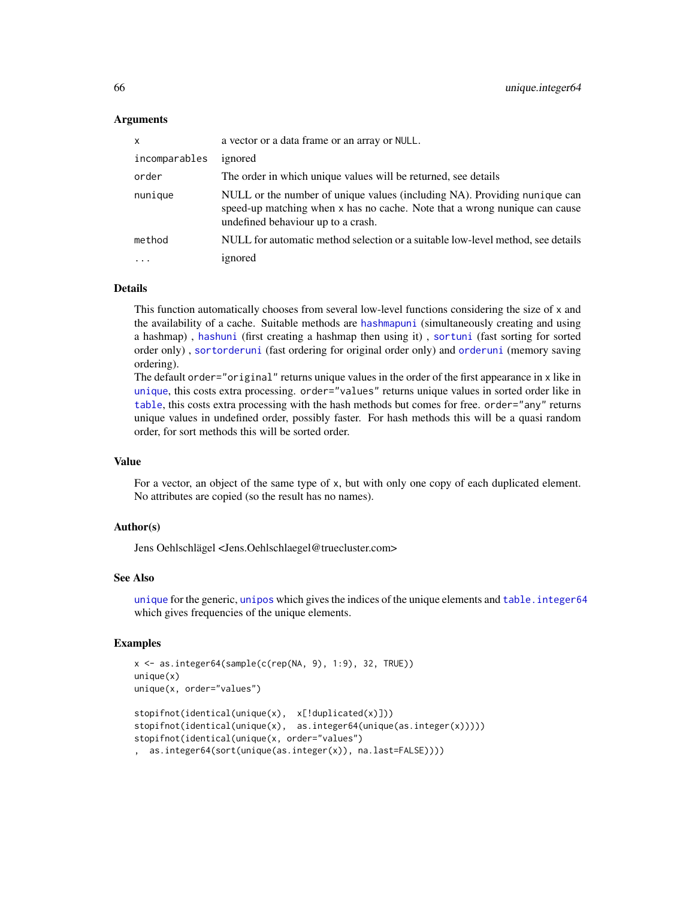## Arguments

| $\mathsf{x}$  | a vector or a data frame or an array or NULL.                                                                                                                                                 |
|---------------|-----------------------------------------------------------------------------------------------------------------------------------------------------------------------------------------------|
| incomparables | ignored                                                                                                                                                                                       |
| order         | The order in which unique values will be returned, see details                                                                                                                                |
| nunique       | NULL or the number of unique values (including NA). Providing nunique can<br>speed-up matching when x has no cache. Note that a wrong nunique can cause<br>undefined behaviour up to a crash. |
| method        | NULL for automatic method selection or a suitable low-level method, see details                                                                                                               |
| $\ddotsc$     | ignored                                                                                                                                                                                       |

# Details

This function automatically chooses from several low-level functions considering the size of x and the availability of a cache. Suitable methods are [hashmapuni](#page-35-0) (simultaneously creating and using a hashmap) , [hashuni](#page-35-0) (first creating a hashmap then using it) , [sortuni](#page-55-0) (fast sorting for sorted order only) , [sortorderuni](#page-55-0) (fast ordering for original order only) and [orderuni](#page-55-0) (memory saving ordering).

The default order="original" returns unique values in the order of the first appearance in x like in [unique](#page-0-0), this costs extra processing. order="values" returns unique values in sorted order like in [table](#page-0-0), this costs extra processing with the hash methods but comes for free. order="any" returns unique values in undefined order, possibly faster. For hash methods this will be a quasi random order, for sort methods this will be sorted order.

# Value

For a vector, an object of the same type of x, but with only one copy of each duplicated element. No attributes are copied (so the result has no names).

#### Author(s)

Jens Oehlschlägel <Jens.Oehlschlaegel@truecluster.com>

#### See Also

[unique](#page-0-0) for the generic, [unipos](#page-63-1) which gives the indices of the unique elements and table. integer64 which gives frequencies of the unique elements.

## Examples

```
x <- as.integer64(sample(c(rep(NA, 9), 1:9), 32, TRUE))
unique(x)
unique(x, order="values")
stopifnot(identical(unique(x), x[!duplicated(x)]))
stopifnot(identical(unique(x), as.integer64(unique(as.integer(x)))))
stopifnot(identical(unique(x, order="values")
, as.integer64(sort(unique(as.integer(x)), na.last=FALSE))))
```
<span id="page-65-0"></span>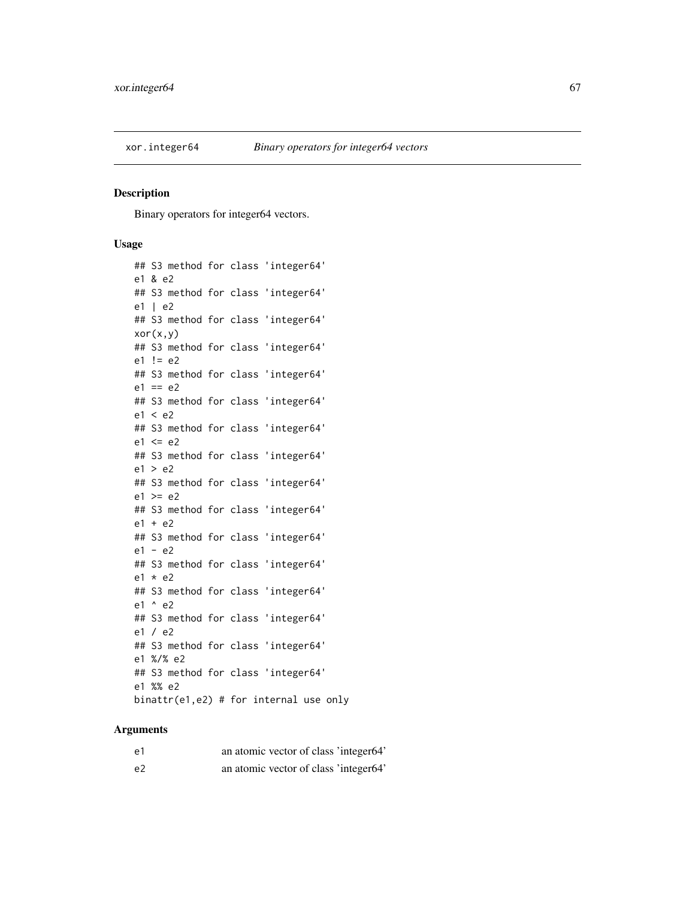<span id="page-66-1"></span>

# <span id="page-66-0"></span>Description

Binary operators for integer64 vectors.

# Usage

```
## S3 method for class 'integer64'
e1 & e2
## S3 method for class 'integer64'
e1 | e2
## S3 method for class 'integer64'
xor(x,y)
## S3 method for class 'integer64'
e1 != e2
## S3 method for class 'integer64'
e1 == e2## S3 method for class 'integer64'
e1 < e2
## S3 method for class 'integer64'
e1 \leq e2## S3 method for class 'integer64'
e1 > e2
## S3 method for class 'integer64'
e1 >= e2## S3 method for class 'integer64'
e1 + e2
## S3 method for class 'integer64'
e1 - e2
## S3 method for class 'integer64'
e1 * e2
## S3 method for class 'integer64'
e1 ^ e2
## S3 method for class 'integer64'
e1 / e2
## S3 method for class 'integer64'
e1 %/% e2
## S3 method for class 'integer64'
e1 %% e2
binattr(e1,e2) # for internal use only
```

| e1             | an atomic vector of class 'integer64' |  |
|----------------|---------------------------------------|--|
| e <sub>2</sub> | an atomic vector of class 'integer64' |  |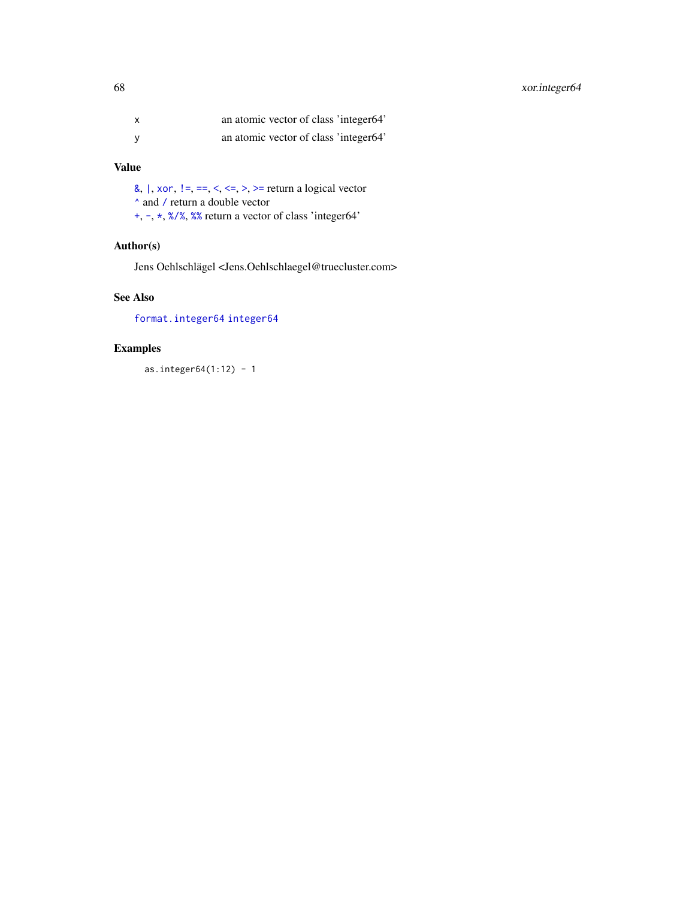# <span id="page-67-0"></span>68 xor.integer64

| x | an atomic vector of class 'integer64' |
|---|---------------------------------------|
| v | an atomic vector of class 'integer64' |

# Value

[&](#page-0-0),  $\vert$ , [xor](#page-0-0),  $\vert =, =, <, <, >$  $\vert =, =, <, <, >$  $\vert =, =, <, <, >$  $\vert =, =, <, <, >$ ,  $>$  return a logical vector [^](#page-0-0) and [/](#page-0-0) return a double vector [+](#page-0-0), [-](#page-0-0), [\\*](#page-0-0), [%/%](#page-0-0), [%%](#page-0-0) return a vector of class 'integer64'

# Author(s)

Jens Oehlschlägel <Jens.Oehlschlaegel@truecluster.com>

# See Also

[format.integer64](#page-32-0) [integer64](#page-2-0)

# Examples

as.integer $64(1:12) - 1$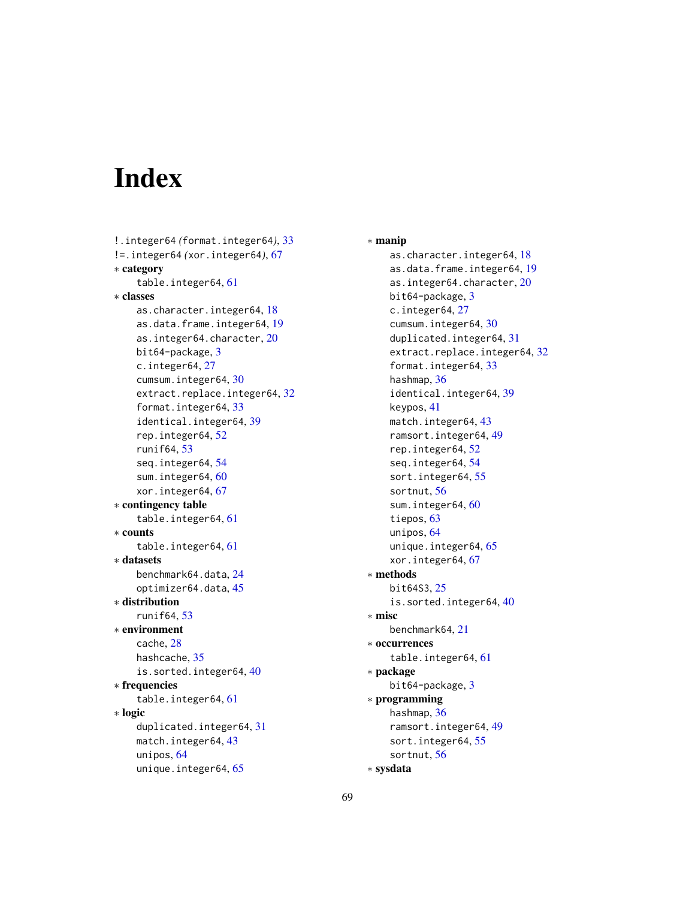# **Index**

```
!.integer64 (format.integer64), 33
!=.integer64 (xor.integer64), 67
∗ category
    table.integer64, 61
∗ classes
    as.character.integer64, 18
    as.data.frame.integer64, 19
    as.integer64.character, 20
    bit64-package, 3
    c.integer64, 27
    cumsum.integer64, 30
    extract.replace.integer64, 32
    format.integer64, 33
    identical.integer64, 39
    rep.integer64, 52
    runif64, 53
    seq.integer64, 54
    sum.integer64, 60
    xor.integer64, 67
∗ contingency table
    table.integer64, 61
∗ counts
    table.integer64, 61
∗ datasets
    benchmark64.data, 24
    optimizer64.data, 45
∗ distribution
    runif64, 53
∗ environment
    cache, 28
    hashcache, 35
    is.sorted.integer64, 40
∗ frequencies
    table.integer64, 61
∗ logic
    duplicated.integer64, 31
    match.integer64, 43
    unipos, 64
    unique.integer64, 65
```
∗ manip as.character.integer64, [18](#page-17-1) as.data.frame.integer64, [19](#page-18-1) as.integer64.character, [20](#page-19-1) bit64-package, [3](#page-2-1) c.integer64, [27](#page-26-1) cumsum.integer64, [30](#page-29-1) duplicated.integer64, [31](#page-30-1) extract.replace.integer64, [32](#page-31-0) format.integer64, [33](#page-32-1) hashmap, [36](#page-35-1) identical.integer64, [39](#page-38-0) keypos, [41](#page-40-0) match.integer64, [43](#page-42-2) ramsort.integer64, [49](#page-48-1) rep.integer64, [52](#page-51-1) seq.integer64, [54](#page-53-0) sort.integer64, [55](#page-54-2) sortnut, [56](#page-55-1) sum.integer64, [60](#page-59-0) tiepos, [63](#page-62-0) unipos, [64](#page-63-2) unique.integer64, [65](#page-64-1) xor.integer64, [67](#page-66-1) ∗ methods bit64S3, [25](#page-24-1) is.sorted.integer64, [40](#page-39-0) ∗ misc benchmark64, [21](#page-20-1) ∗ occurrences table.integer64, [61](#page-60-1) ∗ package bit64-package, [3](#page-2-1) ∗ programming hashmap, [36](#page-35-1) ramsort.integer64, [49](#page-48-1) sort.integer64, [55](#page-54-2) sortnut, [56](#page-55-1) ∗ sysdata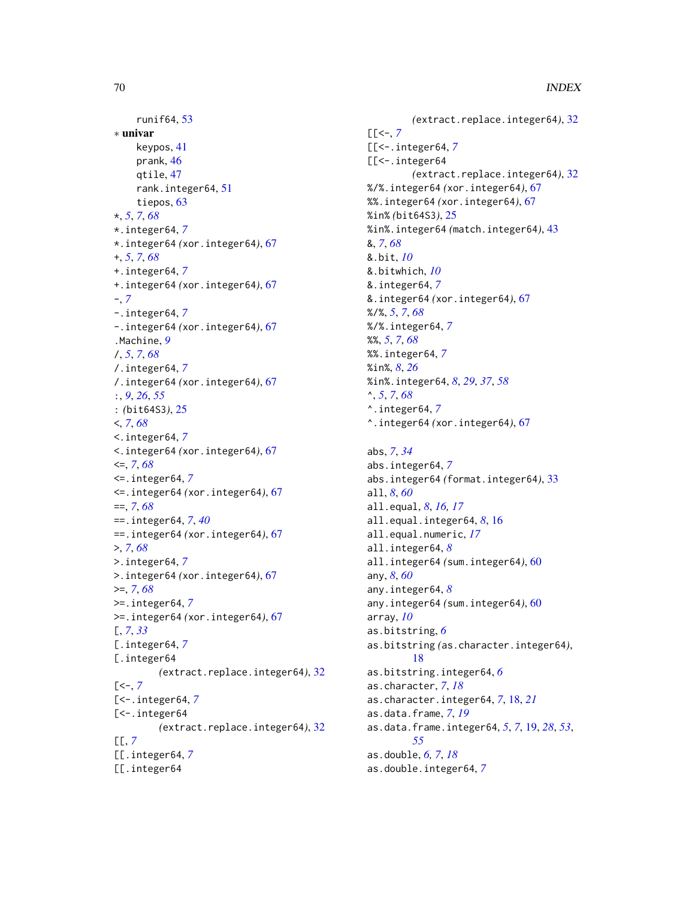```
runif64, 53
∗ univar
    keypos, 41
    prank, 46
    qtile, 47
    rank.integer64, 51
    tiepos, 63
*, 5, 7, 68
*.integer64, 7
*.integer64 (xor.integer64), 67
+, 5, 7, 68
+.integer64, 7
+.integer64 (xor.integer64), 67
-, 7
-.integer64, 7
-.integer64 (xor.integer64), 67
.Machine, 9
/, 5, 7, 68
/.integer64, 7
/.integer64 (xor.integer64), 67
:, 9, 26, 55
: (bit64S3), 25
<, 7, 68
<.integer64, 7
<.integer64 (xor.integer64), 67
<=, 7, 68
<=.integer64, 7
<=.integer64 (xor.integer64), 67
==, 7, 68
==.integer64, 7, 40
==.integer64 (xor.integer64), 67
>, 7, 68
>.integer64, 7
>.integer64 (xor.integer64), 67
>=, 7, 68
>=.integer64, 7
>=.integer64 (xor.integer64), 67
[, 7, 33
[.integer64, 7
[.integer64
        (extract.replace.integer64), 32
7][<-.integer64, 7
[<-.integer64]
        (extract.replace.integer64), 32
[[, 7
[[.integer64, 7
[[.integer64
```

```
(extract.replace.integer64), 32
[[<-, 7
[[<-.integer64, 7
[[<-.integer64
         (extract.replace.integer64), 32
%/%.integer64 (xor.integer64), 67
%%.integer64 (xor.integer64), 67
%in% (bit64S3), 25
%in%.integer64 (match.integer64), 43
&, 7, 68
&.bit, 10
&.bitwhich, 10
&.integer64, 7
&.integer64 (xor.integer64), 67
%/%, 5, 7, 68
%/%.integer64, 7
%%, 5, 7, 68
%%.integer64, 7
%in%, 8, 26
%in%.integer64, 8, 29, 37, 58
^, 5, 7, 68
^.integer64, 7
^.integer64 (xor.integer64), 67
abs, 7, 34
abs.integer64, 7
abs.integer64 (format.integer64), 33
all, 8, 60
all.equal, 8, 16, 17
all.equal.integer64, 8, 16
all.equal.numeric, 17
all.integer64, 8
all.integer64 (sum.integer64), 60
any, 8, 60
any.integer64, 8
any.integer64 (sum.integer64), 60
array, 10
as.bitstring, 6
as.bitstring (as.character.integer64),
         18
as.bitstring.integer64, 6
as.character, 7, 18
as.character.integer64, 7, 18, 21
as.data.frame, 7, 19
as.data.frame.integer64, 5, 7, 19, 28, 53,
         55
as.double, 6, 7, 18
as.double.integer64, 7
```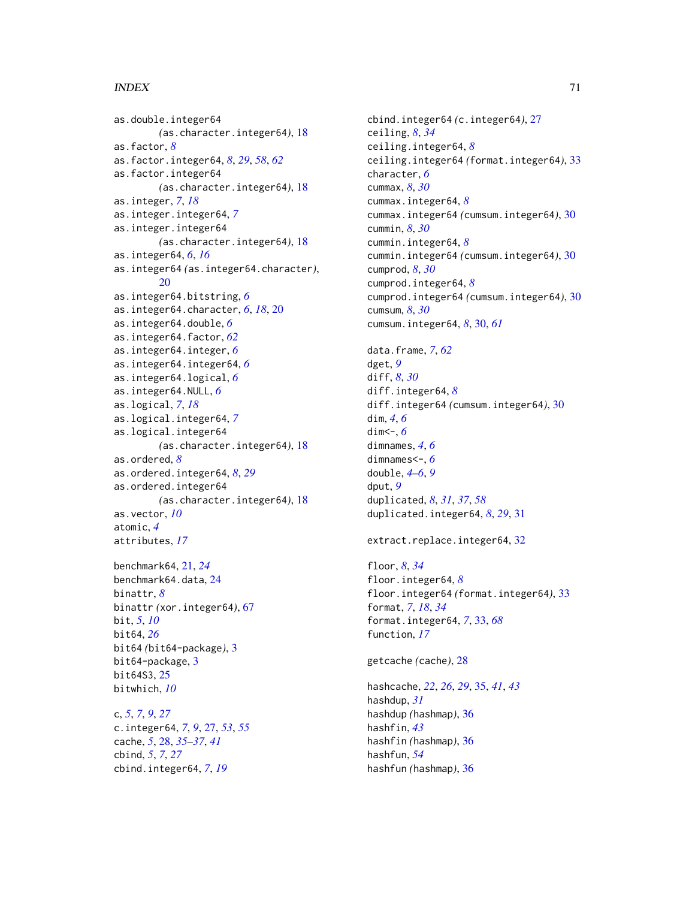## $I<sub>N</sub>$  in  $I<sub>1</sub>$  is  $I<sub>2</sub>$  in  $I<sub>3</sub>$  in  $I<sub>4</sub>$  in  $I<sub>5</sub>$  in  $I<sub>6</sub>$  in  $I<sub>7</sub>$  in  $I<sub>8</sub>$  in  $I<sub>9</sub>$  in  $I<sub>9</sub>$  in  $I<sub>9</sub>$  in  $I<sub>9</sub>$  in  $I<sub>9</sub>$  in  $I<sub>9</sub>$  in  $I<sub>9</sub>$  i

```
as.double.integer64
        (as.character.integer64), 18
as.factor, 8
as.factor.integer64, 8, 29, 58, 62
as.factor.integer64
        (as.character.integer64), 18
as.integer, 7, 18
as.integer.integer64, 7
as.integer.integer64
        (as.character.integer64), 18
as.integer64, 6, 16
as.integer64 (as.integer64.character),
        20
as.integer64.bitstring, 6
as.integer64.character, 6, 18, 20
as.integer64.double, 6
as.integer64.factor, 62
as.integer64.integer, 6
as.integer64.integer64, 6
as.integer64.logical, 6
as.integer64.NULL, 6
as.logical, 7, 18
as.logical.integer64, 7
as.logical.integer64
        (as.character.integer64), 18
as.ordered, 8
as.ordered.integer64, 8, 29
as.ordered.integer64
        (as.character.integer64), 18
as.vector, 10
atomic, 4
attributes, 17
```

```
benchmark64, 21, 24
benchmark64.data, 24
binattr, 8
binattr (xor.integer64), 67
bit, 5, 10
bit64, 26
bit64 (bit64-package), 3
bit64-package, 3
bit64S3, 25
bitwhich, 10
```
c, *[5](#page-4-0)*, *[7](#page-6-0)*, *[9](#page-8-0)*, *[27](#page-26-1)* c.integer64, *[7](#page-6-0)*, *[9](#page-8-0)*, [27,](#page-26-1) *[53](#page-52-1)*, *[55](#page-54-2)* cache, *[5](#page-4-0)*, [28,](#page-27-1) *[35](#page-34-2)[–37](#page-36-0)*, *[41](#page-40-0)* cbind, *[5](#page-4-0)*, *[7](#page-6-0)*, *[27](#page-26-1)* cbind.integer64, *[7](#page-6-0)*, *[19](#page-18-1)*

cbind.integer64 *(*c.integer64*)*, [27](#page-26-1) ceiling, *[8](#page-7-0)*, *[34](#page-33-0)* ceiling.integer64, *[8](#page-7-0)* ceiling.integer64 *(*format.integer64*)*, [33](#page-32-1) character, *[6](#page-5-0)* cummax, *[8](#page-7-0)*, *[30](#page-29-1)* cummax.integer64, *[8](#page-7-0)* cummax.integer64 *(*cumsum.integer64*)*, [30](#page-29-1) cummin, *[8](#page-7-0)*, *[30](#page-29-1)* cummin.integer64, *[8](#page-7-0)* cummin.integer64 *(*cumsum.integer64*)*, [30](#page-29-1) cumprod, *[8](#page-7-0)*, *[30](#page-29-1)* cumprod.integer64, *[8](#page-7-0)* cumprod.integer64 *(*cumsum.integer64*)*, [30](#page-29-1) cumsum, *[8](#page-7-0)*, *[30](#page-29-1)* cumsum.integer64, *[8](#page-7-0)*, [30,](#page-29-1) *[61](#page-60-1)* data.frame, *[7](#page-6-0)*, *[62](#page-61-0)* dget, *[9](#page-8-0)* diff, *[8](#page-7-0)*, *[30](#page-29-1)* diff.integer64, *[8](#page-7-0)* diff.integer64 *(*cumsum.integer64*)*, [30](#page-29-1) dim, *[4](#page-3-0)*, *[6](#page-5-0)* dim<-, *[6](#page-5-0)* dimnames, *[4](#page-3-0)*, *[6](#page-5-0)* dimnames<-, *[6](#page-5-0)* double, *[4](#page-3-0)[–6](#page-5-0)*, *[9](#page-8-0)* dput, *[9](#page-8-0)* duplicated, *[8](#page-7-0)*, *[31](#page-30-1)*, *[37](#page-36-0)*, *[58](#page-57-0)* duplicated.integer64, *[8](#page-7-0)*, *[29](#page-28-0)*, [31](#page-30-1) extract.replace.integer64, [32](#page-31-0) floor, *[8](#page-7-0)*, *[34](#page-33-0)*

floor.integer64, *[8](#page-7-0)* floor.integer64 *(*format.integer64*)*, [33](#page-32-1) format, *[7](#page-6-0)*, *[18](#page-17-1)*, *[34](#page-33-0)* format.integer64, *[7](#page-6-0)*, [33,](#page-32-1) *[68](#page-67-0)* function, *[17](#page-16-0)*

getcache *(*cache*)*, [28](#page-27-1)

hashcache, *[22](#page-21-0)*, *[26](#page-25-0)*, *[29](#page-28-0)*, [35,](#page-34-2) *[41](#page-40-0)*, *[43](#page-42-2)* hashdup, *[31](#page-30-1)* hashdup *(*hashmap*)*, [36](#page-35-1) hashfin, *[43](#page-42-2)* hashfin *(*hashmap*)*, [36](#page-35-1) hashfun, *[54](#page-53-0)* hashfun *(*hashmap*)*, [36](#page-35-1)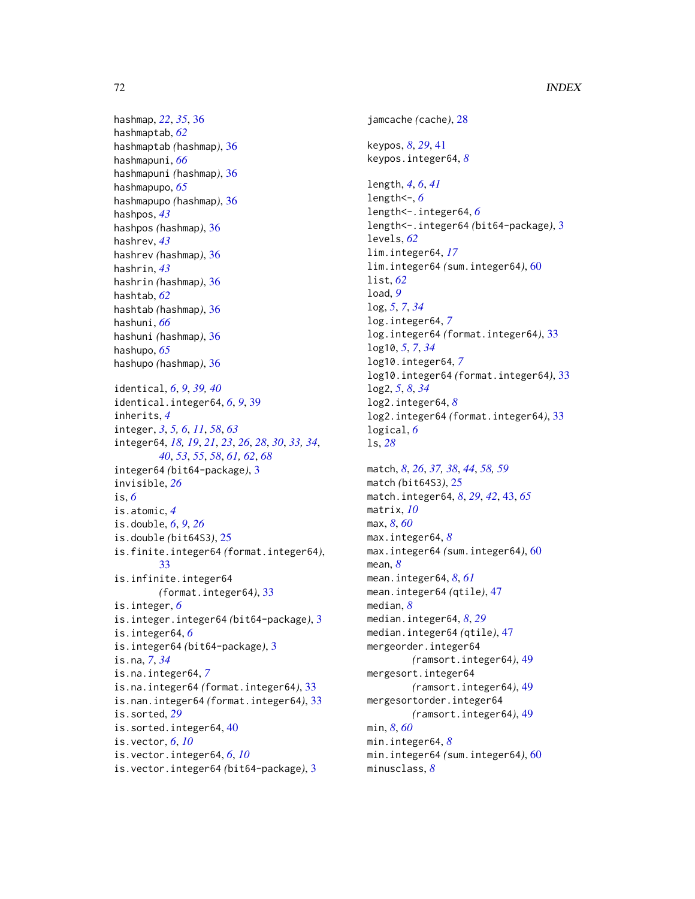hashmap, *[22](#page-21-0)*, *[35](#page-34-2)*, [36](#page-35-1) hashmaptab, *[62](#page-61-0)* hashmaptab *(*hashmap*)*, [36](#page-35-1) hashmapuni, *[66](#page-65-0)* hashmapuni *(*hashmap*)*, [36](#page-35-1) hashmapupo, *[65](#page-64-1)* hashmapupo *(*hashmap*)*, [36](#page-35-1) hashpos, *[43](#page-42-2)* hashpos *(*hashmap*)*, [36](#page-35-1) hashrev, *[43](#page-42-2)* hashrev *(*hashmap*)*, [36](#page-35-1) hashrin, *[43](#page-42-2)* hashrin *(*hashmap*)*, [36](#page-35-1) hashtab, *[62](#page-61-0)* hashtab *(*hashmap*)*, [36](#page-35-1) hashuni, *[66](#page-65-0)* hashuni *(*hashmap*)*, [36](#page-35-1) hashupo, *[65](#page-64-1)* hashupo *(*hashmap*)*, [36](#page-35-1) identical, *[6](#page-5-0)*, *[9](#page-8-0)*, *[39,](#page-38-0) [40](#page-39-0)* identical.integer64, *[6](#page-5-0)*, *[9](#page-8-0)*, [39](#page-38-0) inherits, *[4](#page-3-0)* integer, *[3](#page-2-1)*, *[5,](#page-4-0) [6](#page-5-0)*, *[11](#page-10-0)*, *[58](#page-57-0)*, *[63](#page-62-0)* integer64, *[18,](#page-17-1) [19](#page-18-1)*, *[21](#page-20-1)*, *[23](#page-22-0)*, *[26](#page-25-0)*, *[28](#page-27-1)*, *[30](#page-29-1)*, *[33,](#page-32-1) [34](#page-33-0)*, *[40](#page-39-0)*, *[53](#page-52-1)*, *[55](#page-54-2)*, *[58](#page-57-0)*, *[61,](#page-60-1) [62](#page-61-0)*, *[68](#page-67-0)* integer64 *(*bit64-package*)*, [3](#page-2-1) invisible, *[26](#page-25-0)* is, *[6](#page-5-0)* is.atomic, *[4](#page-3-0)* is.double, *[6](#page-5-0)*, *[9](#page-8-0)*, *[26](#page-25-0)* is.double *(*bit64S3*)*, [25](#page-24-1) is.finite.integer64 *(*format.integer64*)*, [33](#page-32-1) is.infinite.integer64 *(*format.integer64*)*, [33](#page-32-1) is.integer, *[6](#page-5-0)* is.integer.integer64 *(*bit64-package*)*, [3](#page-2-1) is.integer64, *[6](#page-5-0)* is.integer64 *(*bit64-package*)*, [3](#page-2-1) is.na, *[7](#page-6-0)*, *[34](#page-33-0)* is.na.integer64, *[7](#page-6-0)* is.na.integer64 *(*format.integer64*)*, [33](#page-32-1) is.nan.integer64 *(*format.integer64*)*, [33](#page-32-1) is.sorted, *[29](#page-28-0)* is.sorted.integer64, [40](#page-39-0) is.vector, *[6](#page-5-0)*, *[10](#page-9-0)* is.vector.integer64, *[6](#page-5-0)*, *[10](#page-9-0)* is.vector.integer64 *(*bit64-package*)*, [3](#page-2-1)

jamcache *(*cache*)*, [28](#page-27-1) keypos, *[8](#page-7-0)*, *[29](#page-28-0)*, [41](#page-40-0) keypos.integer64, *[8](#page-7-0)* length, *[4](#page-3-0)*, *[6](#page-5-0)*, *[41](#page-40-0)* length<-, *[6](#page-5-0)* length<-.integer64, *[6](#page-5-0)* length<-.integer64 *(*bit64-package*)*, [3](#page-2-1) levels, *[62](#page-61-0)* lim.integer64, *[17](#page-16-0)* lim.integer64 *(*sum.integer64*)*, [60](#page-59-0) list, *[62](#page-61-0)* load, *[9](#page-8-0)* log, *[5](#page-4-0)*, *[7](#page-6-0)*, *[34](#page-33-0)* log.integer64, *[7](#page-6-0)* log.integer64 *(*format.integer64*)*, [33](#page-32-1) log10, *[5](#page-4-0)*, *[7](#page-6-0)*, *[34](#page-33-0)* log10.integer64, *[7](#page-6-0)* log10.integer64 *(*format.integer64*)*, [33](#page-32-1) log2, *[5](#page-4-0)*, *[8](#page-7-0)*, *[34](#page-33-0)* log2.integer64, *[8](#page-7-0)* log2.integer64 *(*format.integer64*)*, [33](#page-32-1) logical, *[6](#page-5-0)* ls, *[28](#page-27-1)* match, *[8](#page-7-0)*, *[26](#page-25-0)*, *[37,](#page-36-0) [38](#page-37-0)*, *[44](#page-43-0)*, *[58,](#page-57-0) [59](#page-58-0)* match *(*bit64S3*)*, [25](#page-24-1) match.integer64, *[8](#page-7-0)*, *[29](#page-28-0)*, *[42](#page-41-0)*, [43,](#page-42-2) *[65](#page-64-1)* matrix, *[10](#page-9-0)* max, *[8](#page-7-0)*, *[60](#page-59-0)* max.integer64, *[8](#page-7-0)* max.integer64 *(*sum.integer64*)*, [60](#page-59-0) mean, *[8](#page-7-0)* mean.integer64, *[8](#page-7-0)*, *[61](#page-60-1)* mean.integer64 *(*qtile*)*, [47](#page-46-2) median, *[8](#page-7-0)* median.integer64, *[8](#page-7-0)*, *[29](#page-28-0)* median.integer64 *(*qtile*)*, [47](#page-46-2) mergeorder.integer64 *(*ramsort.integer64*)*, [49](#page-48-1) mergesort.integer64 *(*ramsort.integer64*)*, [49](#page-48-1) mergesortorder.integer64 *(*ramsort.integer64*)*, [49](#page-48-1) min, *[8](#page-7-0)*, *[60](#page-59-0)* min.integer64, *[8](#page-7-0)* min.integer64 *(*sum.integer64*)*, [60](#page-59-0) minusclass, *[8](#page-7-0)*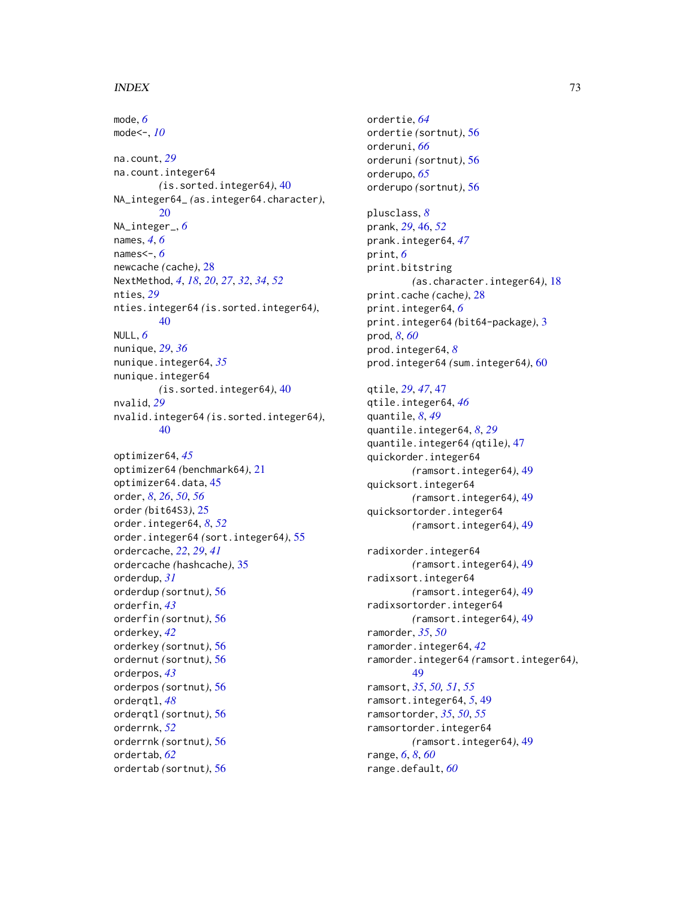## $I<sub>N</sub>$   $I<sub>3</sub>$   $I<sub>3</sub>$   $I<sub>4</sub>$   $I<sub>5</sub>$   $I<sub>6</sub>$   $I<sub>7</sub>$   $I<sub>8</sub>$   $I<sub>9</sub>$   $I<sub>9</sub>$   $I<sub>9</sub>$   $I<sub>9</sub>$   $I<sub>9</sub>$   $I<sub>9</sub>$   $I<sub>9</sub>$   $I<sub>9</sub>$   $I<sub>9</sub>$   $I<sub>9</sub>$   $I<sub>9</sub>$   $I<sub>9</sub>$   $I$

mode, *[6](#page-5-0)* mode<-, *[10](#page-9-0)* na.count, *[29](#page-28-0)* na.count.integer64 *(*is.sorted.integer64*)*, [40](#page-39-0) NA\_integer64\_ *(*as.integer64.character*)*, [20](#page-19-0) NA\_integer\_, *[6](#page-5-0)* names, *[4](#page-3-0)*, *[6](#page-5-0)* names<-, *[6](#page-5-0)* newcache *(*cache*)*, [28](#page-27-0) NextMethod, *[4](#page-3-0)*, *[18](#page-17-0)*, *[20](#page-19-0)*, *[27](#page-26-0)*, *[32](#page-31-0)*, *[34](#page-33-0)*, *[52](#page-51-0)* nties, *[29](#page-28-0)* nties.integer64 *(*is.sorted.integer64*)*, [40](#page-39-0) NULL, *[6](#page-5-0)* nunique, *[29](#page-28-0)*, *[36](#page-35-0)* nunique.integer64, *[35](#page-34-0)* nunique.integer64 *(*is.sorted.integer64*)*, [40](#page-39-0) nvalid, *[29](#page-28-0)* nvalid.integer64 *(*is.sorted.integer64*)*, [40](#page-39-0) optimizer64, *[45](#page-44-0)* optimizer64 *(*benchmark64*)*, [21](#page-20-0) optimizer64.data, [45](#page-44-0) order, *[8](#page-7-0)*, *[26](#page-25-0)*, *[50](#page-49-0)*, *[56](#page-55-0)* order *(*bit64S3*)*, [25](#page-24-0) order.integer64, *[8](#page-7-0)*, *[52](#page-51-0)* order.integer64 *(*sort.integer64*)*, [55](#page-54-0) ordercache, *[22](#page-21-0)*, *[29](#page-28-0)*, *[41](#page-40-0)* ordercache *(*hashcache*)*, [35](#page-34-0) orderdup, *[31](#page-30-0)* orderdup *(*sortnut*)*, [56](#page-55-0) orderfin, *[43](#page-42-0)* orderfin *(*sortnut*)*, [56](#page-55-0) orderkey, *[42](#page-41-0)* orderkey *(*sortnut*)*, [56](#page-55-0) ordernut *(*sortnut*)*, [56](#page-55-0) orderpos, *[43](#page-42-0)* orderpos *(*sortnut*)*, [56](#page-55-0) orderqtl, *[48](#page-47-0)* orderqtl *(*sortnut*)*, [56](#page-55-0) orderrnk, *[52](#page-51-0)* orderrnk *(*sortnut*)*, [56](#page-55-0) ordertab, *[62](#page-61-0)* ordertab *(*sortnut*)*, [56](#page-55-0)

ordertie, *[64](#page-63-0)* ordertie *(*sortnut*)*, [56](#page-55-0) orderuni, *[66](#page-65-0)* orderuni *(*sortnut*)*, [56](#page-55-0) orderupo, *[65](#page-64-0)* orderupo *(*sortnut*)*, [56](#page-55-0) plusclass, *[8](#page-7-0)* prank, *[29](#page-28-0)*, [46,](#page-45-0) *[52](#page-51-0)* prank.integer64, *[47](#page-46-0)* print, *[6](#page-5-0)* print.bitstring *(*as.character.integer64*)*, [18](#page-17-0) print.cache *(*cache*)*, [28](#page-27-0) print.integer64, *[6](#page-5-0)* print.integer64 *(*bit64-package*)*, [3](#page-2-0) prod, *[8](#page-7-0)*, *[60](#page-59-0)* prod.integer64, *[8](#page-7-0)* prod.integer64 *(*sum.integer64*)*, [60](#page-59-0) qtile, *[29](#page-28-0)*, *[47](#page-46-0)*, [47](#page-46-0) qtile.integer64, *[46](#page-45-0)* quantile, *[8](#page-7-0)*, *[49](#page-48-0)* quantile.integer64, *[8](#page-7-0)*, *[29](#page-28-0)* quantile.integer64 *(*qtile*)*, [47](#page-46-0) quickorder.integer64 *(*ramsort.integer64*)*, [49](#page-48-0) quicksort.integer64 *(*ramsort.integer64*)*, [49](#page-48-0) quicksortorder.integer64 *(*ramsort.integer64*)*, [49](#page-48-0) radixorder.integer64 *(*ramsort.integer64*)*, [49](#page-48-0) radixsort.integer64 *(*ramsort.integer64*)*, [49](#page-48-0) radixsortorder.integer64 *(*ramsort.integer64*)*, [49](#page-48-0) ramorder, *[35](#page-34-0)*, *[50](#page-49-0)* ramorder.integer64, *[42](#page-41-0)* ramorder.integer64 *(*ramsort.integer64*)*, [49](#page-48-0) ramsort, *[35](#page-34-0)*, *[50,](#page-49-0) [51](#page-50-0)*, *[55](#page-54-0)* ramsort.integer64, *[5](#page-4-0)*, [49](#page-48-0) ramsortorder, *[35](#page-34-0)*, *[50](#page-49-0)*, *[55](#page-54-0)* ramsortorder.integer64 *(*ramsort.integer64*)*, [49](#page-48-0) range, *[6](#page-5-0)*, *[8](#page-7-0)*, *[60](#page-59-0)*

range.default, *[60](#page-59-0)*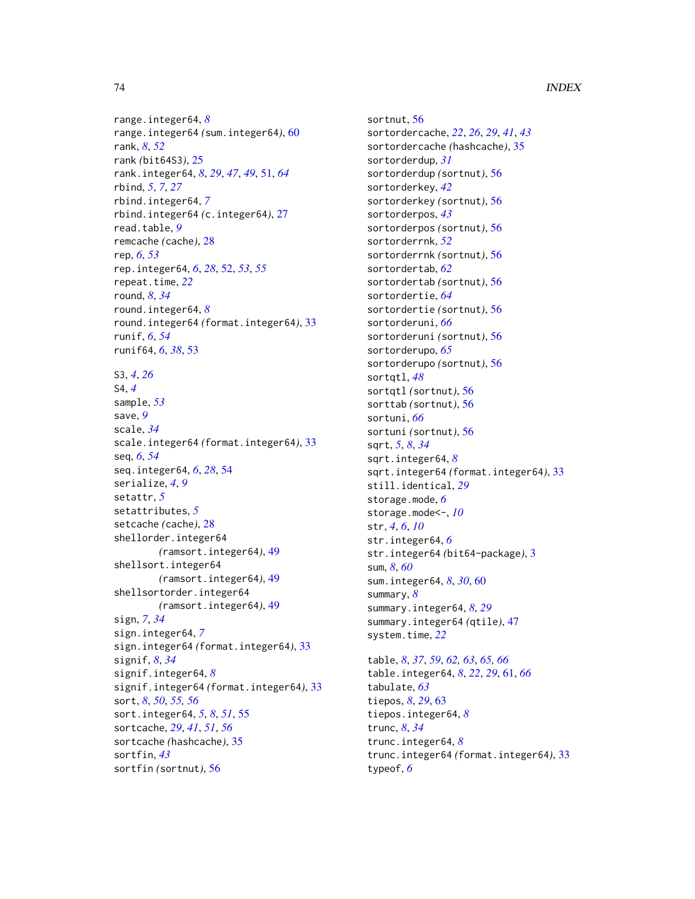range.integer64, *[8](#page-7-0)* range.integer64 *(*sum.integer64*)*, [60](#page-59-0) rank, *[8](#page-7-0)*, *[52](#page-51-0)* rank *(*bit64S3*)*, [25](#page-24-0) rank.integer64, *[8](#page-7-0)*, *[29](#page-28-0)*, *[47](#page-46-0)*, *[49](#page-48-0)*, [51,](#page-50-0) *[64](#page-63-0)* rbind, *[5](#page-4-0)*, *[7](#page-6-0)*, *[27](#page-26-0)* rbind.integer64, *[7](#page-6-0)* rbind.integer64 *(*c.integer64*)*, [27](#page-26-0) read.table, *[9](#page-8-0)* remcache *(*cache*)*, [28](#page-27-0) rep, *[6](#page-5-0)*, *[53](#page-52-0)* rep.integer64, *[6](#page-5-0)*, *[28](#page-27-0)*, [52,](#page-51-0) *[53](#page-52-0)*, *[55](#page-54-0)* repeat.time, *[22](#page-21-0)* round, *[8](#page-7-0)*, *[34](#page-33-0)* round.integer64, *[8](#page-7-0)* round.integer64 *(*format.integer64*)*, [33](#page-32-0) runif, *[6](#page-5-0)*, *[54](#page-53-0)* runif64, *[6](#page-5-0)*, *[38](#page-37-0)*, [53](#page-52-0) S3, *[4](#page-3-0)*, *[26](#page-25-0)* S4, *[4](#page-3-0)* sample, *[53](#page-52-0)* save, *[9](#page-8-0)* scale, *[34](#page-33-0)* scale.integer64 *(*format.integer64*)*, [33](#page-32-0) seq, *[6](#page-5-0)*, *[54](#page-53-0)* seq.integer64, *[6](#page-5-0)*, *[28](#page-27-0)*, [54](#page-53-0) serialize, *[4](#page-3-0)*, *[9](#page-8-0)* setattr, *[5](#page-4-0)* setattributes, *[5](#page-4-0)* setcache *(*cache*)*, [28](#page-27-0) shellorder.integer64 *(*ramsort.integer64*)*, [49](#page-48-0) shellsort.integer64 *(*ramsort.integer64*)*, [49](#page-48-0) shellsortorder.integer64 *(*ramsort.integer64*)*, [49](#page-48-0) sign, *[7](#page-6-0)*, *[34](#page-33-0)* sign.integer64, *[7](#page-6-0)* sign.integer64 *(*format.integer64*)*, [33](#page-32-0) signif, *[8](#page-7-0)*, *[34](#page-33-0)* signif.integer64, *[8](#page-7-0)* signif.integer64 *(*format.integer64*)*, [33](#page-32-0) sort, *[8](#page-7-0)*, *[50](#page-49-0)*, *[55,](#page-54-0) [56](#page-55-0)* sort.integer64, *[5](#page-4-0)*, *[8](#page-7-0)*, *[51](#page-50-0)*, [55](#page-54-0) sortcache, *[29](#page-28-0)*, *[41](#page-40-0)*, *[51](#page-50-0)*, *[56](#page-55-0)* sortcache *(*hashcache*)*, [35](#page-34-0) sortfin, *[43](#page-42-0)* sortfin *(*sortnut*)*, [56](#page-55-0)

sortnut, [56](#page-55-0) sortordercache, *[22](#page-21-0)*, *[26](#page-25-0)*, *[29](#page-28-0)*, *[41](#page-40-0)*, *[43](#page-42-0)* sortordercache *(*hashcache*)*, [35](#page-34-0) sortorderdup, *[31](#page-30-0)* sortorderdup *(*sortnut*)*, [56](#page-55-0) sortorderkey, *[42](#page-41-0)* sortorderkey *(*sortnut*)*, [56](#page-55-0) sortorderpos, *[43](#page-42-0)* sortorderpos *(*sortnut*)*, [56](#page-55-0) sortorderrnk, *[52](#page-51-0)* sortorderrnk *(*sortnut*)*, [56](#page-55-0) sortordertab, *[62](#page-61-0)* sortordertab *(*sortnut*)*, [56](#page-55-0) sortordertie, *[64](#page-63-0)* sortordertie *(*sortnut*)*, [56](#page-55-0) sortorderuni, *[66](#page-65-0)* sortorderuni *(*sortnut*)*, [56](#page-55-0) sortorderupo, *[65](#page-64-0)* sortorderupo *(*sortnut*)*, [56](#page-55-0) sortqtl, *[48](#page-47-0)* sortqtl *(*sortnut*)*, [56](#page-55-0) sorttab *(*sortnut*)*, [56](#page-55-0) sortuni, *[66](#page-65-0)* sortuni *(*sortnut*)*, [56](#page-55-0) sqrt, *[5](#page-4-0)*, *[8](#page-7-0)*, *[34](#page-33-0)* sqrt.integer64, *[8](#page-7-0)* sqrt.integer64 *(*format.integer64*)*, [33](#page-32-0) still.identical, *[29](#page-28-0)* storage.mode, *[6](#page-5-0)* storage.mode<-, *[10](#page-9-0)* str, *[4](#page-3-0)*, *[6](#page-5-0)*, *[10](#page-9-0)* str.integer64, *[6](#page-5-0)* str.integer64 *(*bit64-package*)*, [3](#page-2-0) sum, *[8](#page-7-0)*, *[60](#page-59-0)* sum.integer64, *[8](#page-7-0)*, *[30](#page-29-0)*, [60](#page-59-0) summary, *[8](#page-7-0)* summary.integer64, *[8](#page-7-0)*, *[29](#page-28-0)* summary.integer64 *(*qtile*)*, [47](#page-46-0) system.time, *[22](#page-21-0)* table, *[8](#page-7-0)*, *[37](#page-36-0)*, *[59](#page-58-0)*, *[62,](#page-61-0) [63](#page-62-0)*, *[65,](#page-64-0) [66](#page-65-0)* table.integer64, *[8](#page-7-0)*, *[22](#page-21-0)*, *[29](#page-28-0)*, [61,](#page-60-0) *[66](#page-65-0)* tabulate, *[63](#page-62-0)* tiepos, *[8](#page-7-0)*, *[29](#page-28-0)*, [63](#page-62-0) tiepos.integer64, *[8](#page-7-0)* trunc, *[8](#page-7-0)*, *[34](#page-33-0)* trunc.integer64, *[8](#page-7-0)* trunc.integer64 *(*format.integer64*)*, [33](#page-32-0) typeof, *[6](#page-5-0)*